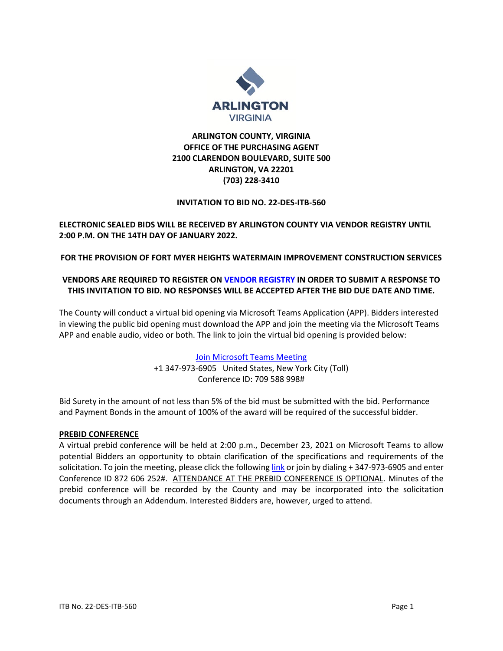

# **ARLINGTON COUNTY, VIRGINIA OFFICE OF THE PURCHASING AGENT 2100 CLARENDON BOULEVARD, SUITE 500 ARLINGTON, VA 22201 (703) 228-3410**

#### **INVITATION TO BID NO. 22-DES-ITB-560**

## **ELECTRONIC SEALED BIDS WILL BE RECEIVED BY ARLINGTON COUNTY VIA VENDOR REGISTRY UNTIL 2:00 P.M. ON THE 14TH DAY OF JANUARY 2022.**

## **FOR THE PROVISION OF FORT MYER HEIGHTS WATERMAIN IMPROVEMENT CONSTRUCTION SERVICES**

## **VENDORS ARE REQUIRED TO REGISTER ON [VENDOR REGISTRY](https://vrapp.vendorregistry.com/Vendor/Register/Index/arlington-county-government-va-vendor-registration) IN ORDER TO SUBMIT A RESPONSE TO THIS INVITATION TO BID. NO RESPONSES WILL BE ACCEPTED AFTER THE BID DUE DATE AND TIME.**

The County will conduct a virtual bid opening via Microsoft Teams Application (APP). Bidders interested in viewing the public bid opening must download the APP and join the meeting via the Microsoft Teams APP and enable audio, video or both. The link to join the virtual bid opening is provided below:

> [Join Microsoft Teams Meeting](https://teams.microsoft.com/l/meetup-join/19%3ameeting_MzIwMWQ2ZTUtNzBlMy00NzljLWE1MzMtZmYzZjIwNTk2OGUx%40thread.v2/0?context=%7b%22Tid%22%3a%2280354804-1fdf-428e-9f5f-5091e994cf54%22%2c%22Oid%22%3a%2254efb5dc-9088-48b8-9072-fc70eaafd87e%22%7d) +1 347-973-6905 United States, New York City (Toll) Conference ID: 709 588 998#

Bid Surety in the amount of not less than 5% of the bid must be submitted with the bid. Performance and Payment Bonds in the amount of 100% of the award will be required of the successful bidder.

#### **PREBID CONFERENCE**

A virtual prebid conference will be held at 2:00 p.m., December 23, 2021 on Microsoft Teams to allow potential Bidders an opportunity to obtain clarification of the specifications and requirements of the solicitation. To join the meeting, please click the followin[g link](https://teams.microsoft.com/l/meetup-join/19%3ameeting_NWI3YmU3ZDEtYjdlZi00ODQzLWIwNzYtMzUwOTE5MTI4N2M3%40thread.v2/0?context=%7b%22Tid%22%3a%2280354804-1fdf-428e-9f5f-5091e994cf54%22%2c%22Oid%22%3a%2254efb5dc-9088-48b8-9072-fc70eaafd87e%22%7d) or join by dialing + 347-973-6905 and enter Conference ID 872 606 252#. ATTENDANCE AT THE PREBID CONFERENCE IS OPTIONAL. Minutes of the prebid conference will be recorded by the County and may be incorporated into the solicitation documents through an Addendum. Interested Bidders are, however, urged to attend.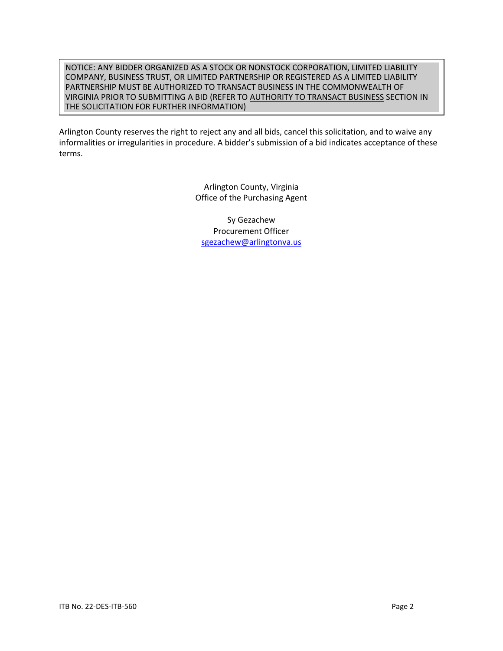#### NOTICE: ANY BIDDER ORGANIZED AS A STOCK OR NONSTOCK CORPORATION, LIMITED LIABILITY COMPANY, BUSINESS TRUST, OR LIMITED PARTNERSHIP OR REGISTERED AS A LIMITED LIABILITY PARTNERSHIP MUST BE AUTHORIZED TO TRANSACT BUSINESS IN THE COMMONWEALTH OF VIRGINIA PRIOR TO SUBMITTING A BID (REFER TO AUTHORITY TO TRANSACT BUSINESS SECTION IN THE SOLICITATION FOR FURTHER INFORMATION)

Arlington County reserves the right to reject any and all bids, cancel this solicitation, and to waive any informalities or irregularities in procedure. A bidder's submission of a bid indicates acceptance of these terms.

> Arlington County, Virginia Office of the Purchasing Agent

Sy Gezachew Procurement Officer [sgezachew@arlingtonva.us](mailto:sgezachew@arlingtonva.us)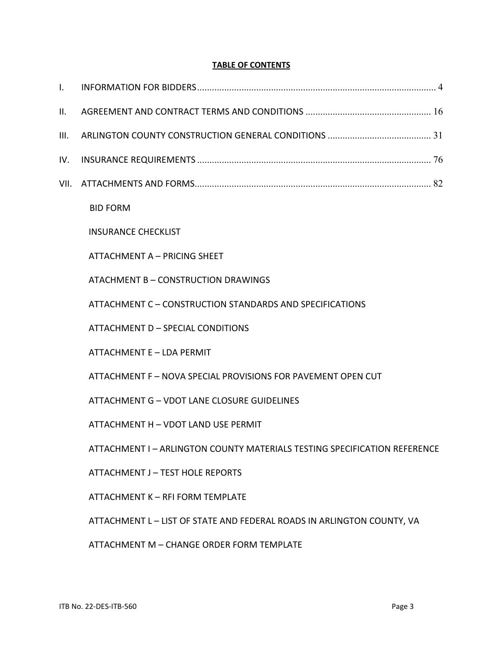# **TABLE OF CONTENTS**

| $\mathbf{I}$ . |                                                                           |
|----------------|---------------------------------------------------------------------------|
| II.            |                                                                           |
| III.           |                                                                           |
| IV.            |                                                                           |
| VII.           |                                                                           |
|                | <b>BID FORM</b>                                                           |
|                | <b>INSURANCE CHECKLIST</b>                                                |
|                | ATTACHMENT A - PRICING SHEET                                              |
|                | ATACHMENT B - CONSTRUCTION DRAWINGS                                       |
|                | ATTACHMENT C - CONSTRUCTION STANDARDS AND SPECIFICATIONS                  |
|                | ATTACHMENT D - SPECIAL CONDITIONS                                         |
|                | ATTACHMENT E - LDA PERMIT                                                 |
|                | ATTACHMENT F - NOVA SPECIAL PROVISIONS FOR PAVEMENT OPEN CUT              |
|                | ATTACHMENT G - VDOT LANE CLOSURE GUIDELINES                               |
|                | ATTACHMENT H - VDOT LAND USE PERMIT                                       |
|                | ATTACHMENT I - ARLINGTON COUNTY MATERIALS TESTING SPECIFICATION REFERENCE |
|                | <b>ATTACHMENT J - TEST HOLE REPORTS</b>                                   |
|                | ATTACHMENT K - RFI FORM TEMPLATE                                          |
|                | ATTACHMENT L - LIST OF STATE AND FEDERAL ROADS IN ARLINGTON COUNTY, VA    |
|                | ATTACHMENT M - CHANGE ORDER FORM TEMPLATE                                 |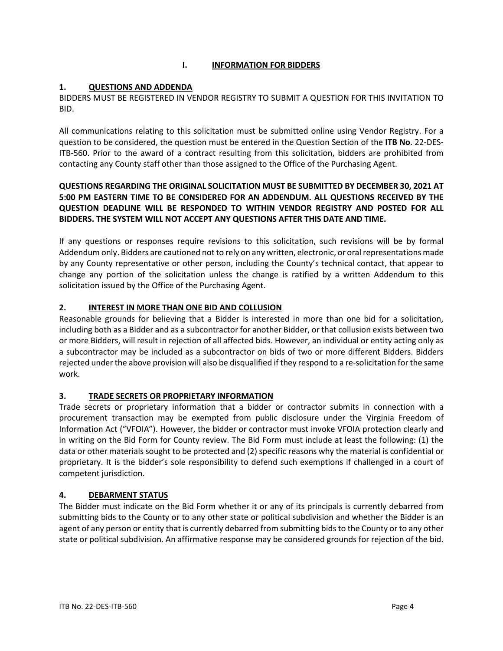# **I. INFORMATION FOR BIDDERS**

## <span id="page-3-0"></span>**1. QUESTIONS AND ADDENDA**

BIDDERS MUST BE REGISTERED IN VENDOR REGISTRY TO SUBMIT A QUESTION FOR THIS INVITATION TO BID.

All communications relating to this solicitation must be submitted online using Vendor Registry. For a question to be considered, the question must be entered in the Question Section of the **ITB No**. 22-DES-ITB-560. Prior to the award of a contract resulting from this solicitation, bidders are prohibited from contacting any County staff other than those assigned to the Office of the Purchasing Agent.

## **QUESTIONS REGARDING THE ORIGINAL SOLICITATION MUST BE SUBMITTED BY DECEMBER 30, 2021 AT 5:00 PM EASTERN TIME TO BE CONSIDERED FOR AN ADDENDUM. ALL QUESTIONS RECEIVED BY THE QUESTION DEADLINE WILL BE RESPONDED TO WITHIN VENDOR REGISTRY AND POSTED FOR ALL BIDDERS. THE SYSTEM WILL NOT ACCEPT ANY QUESTIONS AFTER THIS DATE AND TIME.**

If any questions or responses require revisions to this solicitation, such revisions will be by formal Addendum only. Bidders are cautioned not to rely on any written, electronic, or oral representations made by any County representative or other person, including the County's technical contact, that appear to change any portion of the solicitation unless the change is ratified by a written Addendum to this solicitation issued by the Office of the Purchasing Agent.

## **2. INTEREST IN MORE THAN ONE BID AND COLLUSION**

Reasonable grounds for believing that a Bidder is interested in more than one bid for a solicitation, including both as a Bidder and as a subcontractor for another Bidder, or that collusion exists between two or more Bidders, will result in rejection of all affected bids. However, an individual or entity acting only as a subcontractor may be included as a subcontractor on bids of two or more different Bidders. Bidders rejected under the above provision will also be disqualified if they respond to a re-solicitation for the same work.

# **3. TRADE SECRETS OR PROPRIETARY INFORMATION**

Trade secrets or proprietary information that a bidder or contractor submits in connection with a procurement transaction may be exempted from public disclosure under the Virginia Freedom of Information Act ("VFOIA"). However, the bidder or contractor must invoke VFOIA protection clearly and in writing on the Bid Form for County review. The Bid Form must include at least the following: (1) the data or other materials sought to be protected and (2) specific reasons why the material is confidential or proprietary. It is the bidder's sole responsibility to defend such exemptions if challenged in a court of competent jurisdiction.

# **4. DEBARMENT STATUS**

The Bidder must indicate on the Bid Form whether it or any of its principals is currently debarred from submitting bids to the County or to any other state or political subdivision and whether the Bidder is an agent of any person or entity that is currently debarred from submitting bids to the County or to any other state or political subdivision. An affirmative response may be considered grounds for rejection of the bid.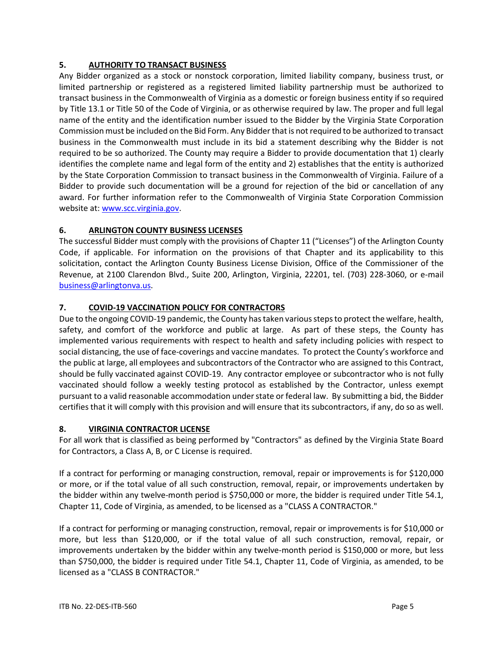## **5. AUTHORITY TO TRANSACT BUSINESS**

Any Bidder organized as a stock or nonstock corporation, limited liability company, business trust, or limited partnership or registered as a registered limited liability partnership must be authorized to transact business in the Commonwealth of Virginia as a domestic or foreign business entity if so required by Title 13.1 or Title 50 of the Code of Virginia, or as otherwise required by law. The proper and full legal name of the entity and the identification number issued to the Bidder by the Virginia State Corporation Commission must be included on the Bid Form. Any Bidder that is not required to be authorized to transact business in the Commonwealth must include in its bid a statement describing why the Bidder is not required to be so authorized. The County may require a Bidder to provide documentation that 1) clearly identifies the complete name and legal form of the entity and 2) establishes that the entity is authorized by the State Corporation Commission to transact business in the Commonwealth of Virginia. Failure of a Bidder to provide such documentation will be a ground for rejection of the bid or cancellation of any award. For further information refer to the Commonwealth of Virginia State Corporation Commission website at: [www.scc.virginia.gov.](http://www.scc.virginia.gov/)

# **6. ARLINGTON COUNTY BUSINESS LICENSES**

The successful Bidder must comply with the provisions of Chapter 11 ("Licenses") of the Arlington County Code, if applicable. For information on the provisions of that Chapter and its applicability to this solicitation, contact the Arlington County Business License Division, Office of the Commissioner of the Revenue, at 2100 Clarendon Blvd., Suite 200, Arlington, Virginia, 22201, tel. (703) 228-3060, or e-mail [business@arlingtonva.us.](mailto:business@arlingtonva.us)

# **7. COVID-19 VACCINATION POLICY FOR CONTRACTORS**

Due to the ongoing COVID-19 pandemic, the County has taken various steps to protect the welfare, health, safety, and comfort of the workforce and public at large. As part of these steps, the County has implemented various requirements with respect to health and safety including policies with respect to social distancing, the use of face-coverings and vaccine mandates. To protect the County's workforce and the public at large, all employees and subcontractors of the Contractor who are assigned to this Contract, should be fully vaccinated against COVID-19. Any contractor employee or subcontractor who is not fully vaccinated should follow a weekly testing protocol as established by the Contractor, unless exempt pursuant to a valid reasonable accommodation under state or federal law. By submitting a bid, the Bidder certifies that it will comply with this provision and will ensure that its subcontractors, if any, do so as well.

## **8. VIRGINIA CONTRACTOR LICENSE**

For all work that is classified as being performed by "Contractors" as defined by the Virginia State Board for Contractors, a Class A, B, or C License is required.

If a contract for performing or managing construction, removal, repair or improvements is for \$120,000 or more, or if the total value of all such construction, removal, repair, or improvements undertaken by the bidder within any twelve-month period is \$750,000 or more, the bidder is required under Title 54.1, Chapter 11, Code of Virginia, as amended, to be licensed as a "CLASS A CONTRACTOR."

If a contract for performing or managing construction, removal, repair or improvements is for \$10,000 or more, but less than \$120,000, or if the total value of all such construction, removal, repair, or improvements undertaken by the bidder within any twelve-month period is \$150,000 or more, but less than \$750,000, the bidder is required under Title 54.1, Chapter 11, Code of Virginia, as amended, to be licensed as a "CLASS B CONTRACTOR."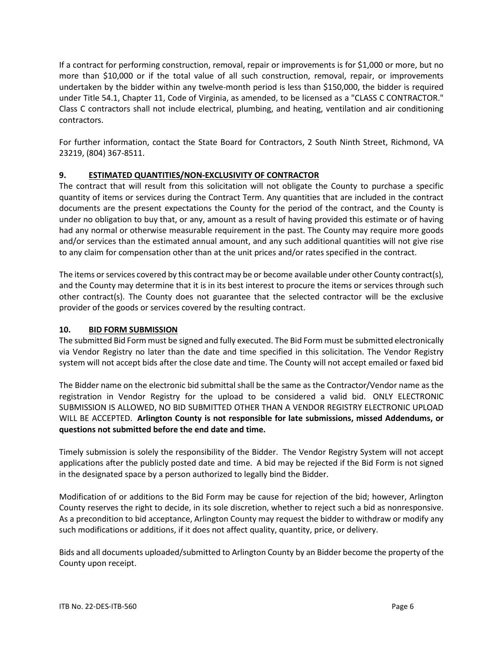If a contract for performing construction, removal, repair or improvements is for \$1,000 or more, but no more than \$10,000 or if the total value of all such construction, removal, repair, or improvements undertaken by the bidder within any twelve-month period is less than \$150,000, the bidder is required under Title 54.1, Chapter 11, Code of Virginia, as amended, to be licensed as a "CLASS C CONTRACTOR." Class C contractors shall not include electrical, plumbing, and heating, ventilation and air conditioning contractors.

For further information, contact the State Board for Contractors, 2 South Ninth Street, Richmond, VA 23219, (804) 367-8511.

# **9. ESTIMATED QUANTITIES/NON-EXCLUSIVITY OF CONTRACTOR**

The contract that will result from this solicitation will not obligate the County to purchase a specific quantity of items or services during the Contract Term. Any quantities that are included in the contract documents are the present expectations the County for the period of the contract, and the County is under no obligation to buy that, or any, amount as a result of having provided this estimate or of having had any normal or otherwise measurable requirement in the past. The County may require more goods and/or services than the estimated annual amount, and any such additional quantities will not give rise to any claim for compensation other than at the unit prices and/or rates specified in the contract.

The items or services covered by this contract may be or become available under other County contract(s), and the County may determine that it is in its best interest to procure the items or services through such other contract(s). The County does not guarantee that the selected contractor will be the exclusive provider of the goods or services covered by the resulting contract.

# **10. BID FORM SUBMISSION**

The submitted Bid Form must be signed and fully executed. The Bid Form must be submitted electronically via Vendor Registry no later than the date and time specified in this solicitation. The Vendor Registry system will not accept bids after the close date and time. The County will not accept emailed or faxed bid

The Bidder name on the electronic bid submittal shall be the same as the Contractor/Vendor name as the registration in Vendor Registry for the upload to be considered a valid bid. ONLY ELECTRONIC SUBMISSION IS ALLOWED, NO BID SUBMITTED OTHER THAN A VENDOR REGISTRY ELECTRONIC UPLOAD WILL BE ACCEPTED. **Arlington County is not responsible for late submissions, missed Addendums, or questions not submitted before the end date and time.**

Timely submission is solely the responsibility of the Bidder. The Vendor Registry System will not accept applications after the publicly posted date and time. A bid may be rejected if the Bid Form is not signed in the designated space by a person authorized to legally bind the Bidder.

Modification of or additions to the Bid Form may be cause for rejection of the bid; however, Arlington County reserves the right to decide, in its sole discretion, whether to reject such a bid as nonresponsive. As a precondition to bid acceptance, Arlington County may request the bidder to withdraw or modify any such modifications or additions, if it does not affect quality, quantity, price, or delivery.

Bids and all documents uploaded/submitted to Arlington County by an Bidder become the property of the County upon receipt.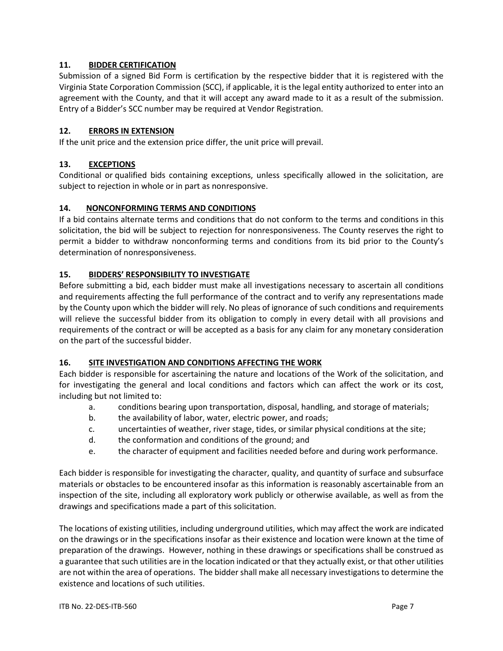## **11. BIDDER CERTIFICATION**

Submission of a signed Bid Form is certification by the respective bidder that it is registered with the Virginia State Corporation Commission (SCC), if applicable, it is the legal entity authorized to enter into an agreement with the County, and that it will accept any award made to it as a result of the submission. Entry of a Bidder's SCC number may be required at Vendor Registration.

## **12. ERRORS IN EXTENSION**

If the unit price and the extension price differ, the unit price will prevail.

## **13. EXCEPTIONS**

Conditional or qualified bids containing exceptions, unless specifically allowed in the solicitation, are subject to rejection in whole or in part as nonresponsive.

## **14. NONCONFORMING TERMS AND CONDITIONS**

If a bid contains alternate terms and conditions that do not conform to the terms and conditions in this solicitation, the bid will be subject to rejection for nonresponsiveness. The County reserves the right to permit a bidder to withdraw nonconforming terms and conditions from its bid prior to the County's determination of nonresponsiveness.

## **15. BIDDERS' RESPONSIBILITY TO INVESTIGATE**

Before submitting a bid, each bidder must make all investigations necessary to ascertain all conditions and requirements affecting the full performance of the contract and to verify any representations made by the County upon which the bidder will rely. No pleas of ignorance of such conditions and requirements will relieve the successful bidder from its obligation to comply in every detail with all provisions and requirements of the contract or will be accepted as a basis for any claim for any monetary consideration on the part of the successful bidder.

## **16. SITE INVESTIGATION AND CONDITIONS AFFECTING THE WORK**

Each bidder is responsible for ascertaining the nature and locations of the Work of the solicitation, and for investigating the general and local conditions and factors which can affect the work or its cost, including but not limited to:

- a. conditions bearing upon transportation, disposal, handling, and storage of materials;
- b. the availability of labor, water, electric power, and roads;
- c. uncertainties of weather, river stage, tides, or similar physical conditions at the site;
- d. the conformation and conditions of the ground; and
- e. the character of equipment and facilities needed before and during work performance.

Each bidder is responsible for investigating the character, quality, and quantity of surface and subsurface materials or obstacles to be encountered insofar as this information is reasonably ascertainable from an inspection of the site, including all exploratory work publicly or otherwise available, as well as from the drawings and specifications made a part of this solicitation.

The locations of existing utilities, including underground utilities, which may affect the work are indicated on the drawings or in the specifications insofar as their existence and location were known at the time of preparation of the drawings. However, nothing in these drawings or specifications shall be construed as a guarantee that such utilities are in the location indicated or that they actually exist, or that other utilities are not within the area of operations. The bidder shall make all necessary investigations to determine the existence and locations of such utilities.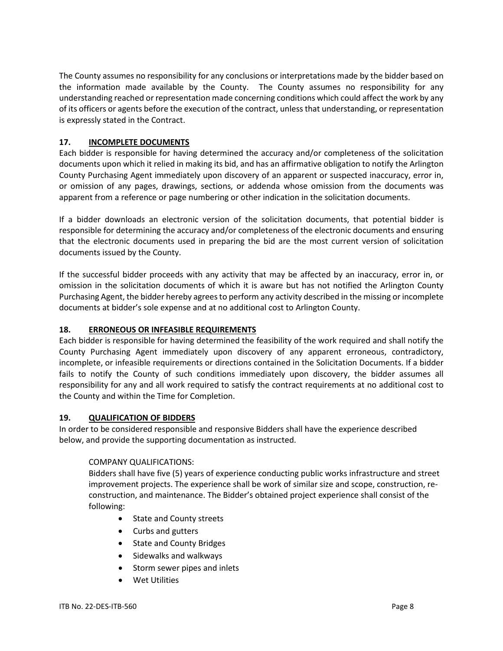The County assumes no responsibility for any conclusions or interpretations made by the bidder based on the information made available by the County. The County assumes no responsibility for any understanding reached or representation made concerning conditions which could affect the work by any of its officers or agents before the execution of the contract, unless that understanding, or representation is expressly stated in the Contract.

## **17. INCOMPLETE DOCUMENTS**

Each bidder is responsible for having determined the accuracy and/or completeness of the solicitation documents upon which it relied in making its bid, and has an affirmative obligation to notify the Arlington County Purchasing Agent immediately upon discovery of an apparent or suspected inaccuracy, error in, or omission of any pages, drawings, sections, or addenda whose omission from the documents was apparent from a reference or page numbering or other indication in the solicitation documents.

If a bidder downloads an electronic version of the solicitation documents, that potential bidder is responsible for determining the accuracy and/or completeness of the electronic documents and ensuring that the electronic documents used in preparing the bid are the most current version of solicitation documents issued by the County.

If the successful bidder proceeds with any activity that may be affected by an inaccuracy, error in, or omission in the solicitation documents of which it is aware but has not notified the Arlington County Purchasing Agent, the bidder hereby agrees to perform any activity described in the missing or incomplete documents at bidder's sole expense and at no additional cost to Arlington County.

## **18. ERRONEOUS OR INFEASIBLE REQUIREMENTS**

Each bidder is responsible for having determined the feasibility of the work required and shall notify the County Purchasing Agent immediately upon discovery of any apparent erroneous, contradictory, incomplete, or infeasible requirements or directions contained in the Solicitation Documents. If a bidder fails to notify the County of such conditions immediately upon discovery, the bidder assumes all responsibility for any and all work required to satisfy the contract requirements at no additional cost to the County and within the Time for Completion.

## **19. QUALIFICATION OF BIDDERS**

In order to be considered responsible and responsive Bidders shall have the experience described below, and provide the supporting documentation as instructed.

## COMPANY QUALIFICATIONS:

Bidders shall have five (5) years of experience conducting public works infrastructure and street improvement projects. The experience shall be work of similar size and scope, construction, reconstruction, and maintenance. The Bidder's obtained project experience shall consist of the following:

- State and County streets
- Curbs and gutters
- State and County Bridges
- Sidewalks and walkways
- Storm sewer pipes and inlets
- Wet Utilities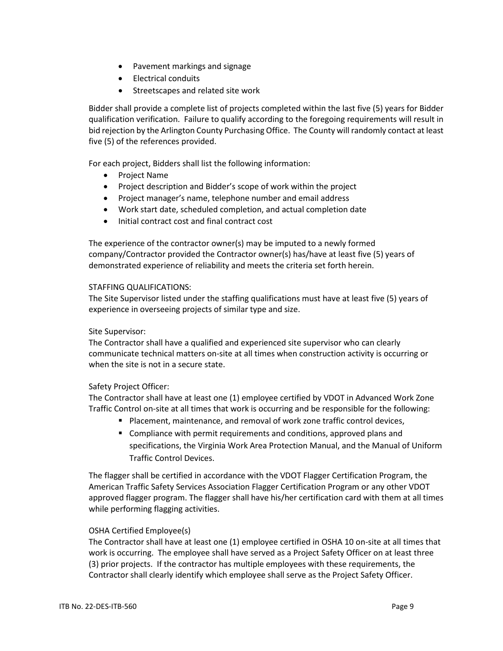- Pavement markings and signage
- Electrical conduits
- Streetscapes and related site work

Bidder shall provide a complete list of projects completed within the last five (5) years for Bidder qualification verification. Failure to qualify according to the foregoing requirements will result in bid rejection by the Arlington County Purchasing Office. The County will randomly contact at least five (5) of the references provided.

For each project, Bidders shall list the following information:

- Project Name
- Project description and Bidder's scope of work within the project
- Project manager's name, telephone number and email address
- Work start date, scheduled completion, and actual completion date
- Initial contract cost and final contract cost

The experience of the contractor owner(s) may be imputed to a newly formed company/Contractor provided the Contractor owner(s) has/have at least five (5) years of demonstrated experience of reliability and meets the criteria set forth herein.

#### STAFFING QUALIFICATIONS:

The Site Supervisor listed under the staffing qualifications must have at least five (5) years of experience in overseeing projects of similar type and size.

## Site Supervisor:

The Contractor shall have a qualified and experienced site supervisor who can clearly communicate technical matters on-site at all times when construction activity is occurring or when the site is not in a secure state.

## Safety Project Officer:

The Contractor shall have at least one (1) employee certified by VDOT in Advanced Work Zone Traffic Control on-site at all times that work is occurring and be responsible for the following:

- Placement, maintenance, and removal of work zone traffic control devices,
- **E** Compliance with permit requirements and conditions, approved plans and specifications, the Virginia Work Area Protection Manual, and the Manual of Uniform Traffic Control Devices.

The flagger shall be certified in accordance with the VDOT Flagger Certification Program, the American Traffic Safety Services Association Flagger Certification Program or any other VDOT approved flagger program. The flagger shall have his/her certification card with them at all times while performing flagging activities.

## OSHA Certified Employee(s)

The Contractor shall have at least one (1) employee certified in OSHA 10 on-site at all times that work is occurring. The employee shall have served as a Project Safety Officer on at least three (3) prior projects. If the contractor has multiple employees with these requirements, the Contractor shall clearly identify which employee shall serve as the Project Safety Officer.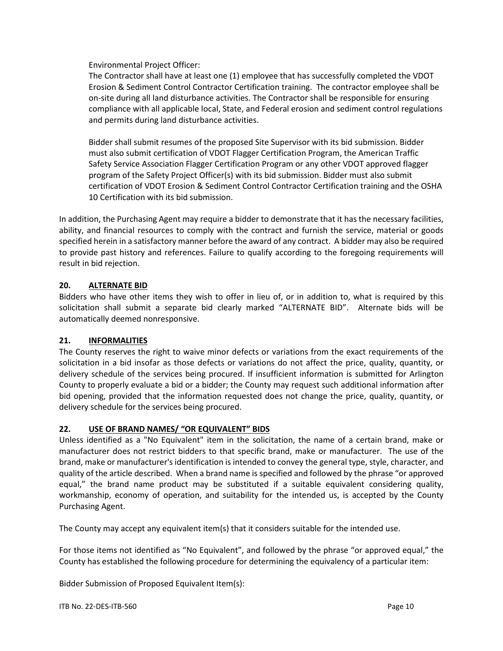Environmental Project Officer:

The Contractor shall have at least one (1) employee that has successfully completed the VDOT Erosion & Sediment Control Contractor Certification training. The contractor employee shall be on-site during all land disturbance activities. The Contractor shall be responsible for ensuring compliance with all applicable local, State, and Federal erosion and sediment control regulations and permits during land disturbance activities.

Bidder shall submit resumes of the proposed Site Supervisor with its bid submission. Bidder must also submit certification of VDOT Flagger Certification Program, the American Traffic Safety Service Association Flagger Certification Program or any other VDOT approved flagger program of the Safety Project Officer(s) with its bid submission. Bidder must also submit certification of VDOT Erosion & Sediment Control Contractor Certification training and the OSHA 10 Certification with its bid submission.

In addition, the Purchasing Agent may require a bidder to demonstrate that it has the necessary facilities, ability, and financial resources to comply with the contract and furnish the service, material or goods specified herein in a satisfactory manner before the award of any contract. A bidder may also be required to provide past history and references. Failure to qualify according to the foregoing requirements will result in bid rejection.

## **20. ALTERNATE BID**

Bidders who have other items they wish to offer in lieu of, or in addition to, what is required by this solicitation shall submit a separate bid clearly marked "ALTERNATE BID". Alternate bids will be automatically deemed nonresponsive.

# **21. INFORMALITIES**

The County reserves the right to waive minor defects or variations from the exact requirements of the solicitation in a bid insofar as those defects or variations do not affect the price, quality, quantity, or delivery schedule of the services being procured. If insufficient information is submitted for Arlington County to properly evaluate a bid or a bidder; the County may request such additional information after bid opening, provided that the information requested does not change the price, quality, quantity, or delivery schedule for the services being procured.

## **22. USE OF BRAND NAMES/ "OR EQUIVALENT" BIDS**

Unless identified as a "No Equivalent" item in the solicitation, the name of a certain brand, make or manufacturer does not restrict bidders to that specific brand, make or manufacturer. The use of the brand, make or manufacturer's identification is intended to convey the general type, style, character, and quality of the article described. When a brand name is specified and followed by the phrase "or approved equal," the brand name product may be substituted if a suitable equivalent considering quality, workmanship, economy of operation, and suitability for the intended us, is accepted by the County Purchasing Agent.

The County may accept any equivalent item(s) that it considers suitable for the intended use.

For those items not identified as "No Equivalent", and followed by the phrase "or approved equal," the County has established the following procedure for determining the equivalency of a particular item:

Bidder Submission of Proposed Equivalent Item(s):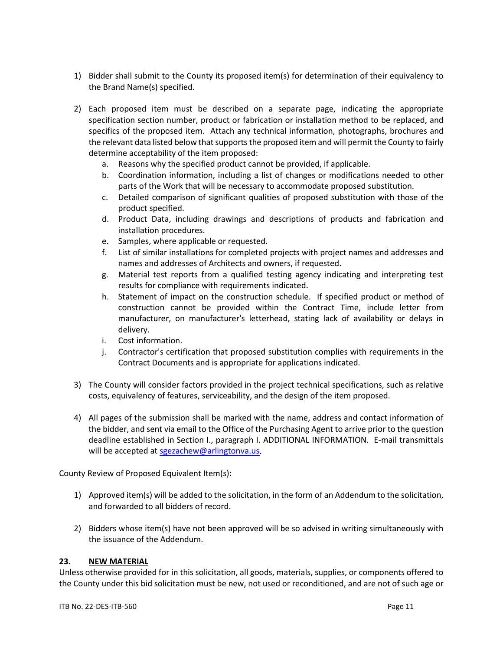- 1) Bidder shall submit to the County its proposed item(s) for determination of their equivalency to the Brand Name(s) specified.
- 2) Each proposed item must be described on a separate page, indicating the appropriate specification section number, product or fabrication or installation method to be replaced, and specifics of the proposed item. Attach any technical information, photographs, brochures and the relevant data listed below that supports the proposed item and will permit the County to fairly determine acceptability of the item proposed:
	- a. Reasons why the specified product cannot be provided, if applicable.
	- b. Coordination information, including a list of changes or modifications needed to other parts of the Work that will be necessary to accommodate proposed substitution.
	- c. Detailed comparison of significant qualities of proposed substitution with those of the product specified.
	- d. Product Data, including drawings and descriptions of products and fabrication and installation procedures.
	- e. Samples, where applicable or requested.
	- f. List of similar installations for completed projects with project names and addresses and names and addresses of Architects and owners, if requested.
	- g. Material test reports from a qualified testing agency indicating and interpreting test results for compliance with requirements indicated.
	- h. Statement of impact on the construction schedule. If specified product or method of construction cannot be provided within the Contract Time, include letter from manufacturer, on manufacturer's letterhead, stating lack of availability or delays in delivery.
	- i. Cost information.
	- j. Contractor's certification that proposed substitution complies with requirements in the Contract Documents and is appropriate for applications indicated.
- 3) The County will consider factors provided in the project technical specifications, such as relative costs, equivalency of features, serviceability, and the design of the item proposed.
- 4) All pages of the submission shall be marked with the name, address and contact information of the bidder, and sent via email to the Office of the Purchasing Agent to arrive prior to the question deadline established in Section I., paragraph I. ADDITIONAL INFORMATION. E-mail transmittals will be accepted at [sgezachew@arlingtonva.us.](mailto:sgezachew@arlingtonva.us)

County Review of Proposed Equivalent Item(s):

- 1) Approved item(s) will be added to the solicitation, in the form of an Addendum to the solicitation, and forwarded to all bidders of record.
- 2) Bidders whose item(s) have not been approved will be so advised in writing simultaneously with the issuance of the Addendum.

## **23. NEW MATERIAL**

Unless otherwise provided for in this solicitation, all goods, materials, supplies, or components offered to the County under this bid solicitation must be new, not used or reconditioned, and are not of such age or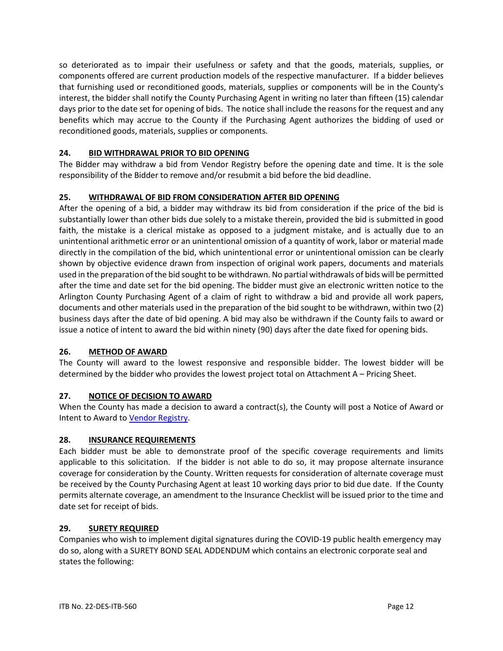so deteriorated as to impair their usefulness or safety and that the goods, materials, supplies, or components offered are current production models of the respective manufacturer. If a bidder believes that furnishing used or reconditioned goods, materials, supplies or components will be in the County's interest, the bidder shall notify the County Purchasing Agent in writing no later than fifteen (15) calendar days prior to the date set for opening of bids. The notice shall include the reasons for the request and any benefits which may accrue to the County if the Purchasing Agent authorizes the bidding of used or reconditioned goods, materials, supplies or components.

## **24. BID WITHDRAWAL PRIOR TO BID OPENING**

The Bidder may withdraw a bid from Vendor Registry before the opening date and time. It is the sole responsibility of the Bidder to remove and/or resubmit a bid before the bid deadline.

## **25. WITHDRAWAL OF BID FROM CONSIDERATION AFTER BID OPENING**

After the opening of a bid, a bidder may withdraw its bid from consideration if the price of the bid is substantially lower than other bids due solely to a mistake therein, provided the bid is submitted in good faith, the mistake is a clerical mistake as opposed to a judgment mistake, and is actually due to an unintentional arithmetic error or an unintentional omission of a quantity of work, labor or material made directly in the compilation of the bid, which unintentional error or unintentional omission can be clearly shown by objective evidence drawn from inspection of original work papers, documents and materials used in the preparation of the bid sought to be withdrawn. No partial withdrawals of bids will be permitted after the time and date set for the bid opening. The bidder must give an electronic written notice to the Arlington County Purchasing Agent of a claim of right to withdraw a bid and provide all work papers, documents and other materials used in the preparation of the bid sought to be withdrawn, within two (2) business days after the date of bid opening. A bid may also be withdrawn if the County fails to award or issue a notice of intent to award the bid within ninety (90) days after the date fixed for opening bids.

## **26. METHOD OF AWARD**

The County will award to the lowest responsive and responsible bidder. The lowest bidder will be determined by the bidder who provides the lowest project total on Attachment A – Pricing Sheet.

# **27. NOTICE OF DECISION TO AWARD**

When the County has made a decision to award a contract(s), the County will post a Notice of Award or Intent to Award to [Vendor Registry.](https://vrapp.vendorregistry.com/Bids/View/BidsList?BuyerId=a596c7c4-0123-4202-bf15-3583300ee088)

## **28. INSURANCE REQUIREMENTS**

Each bidder must be able to demonstrate proof of the specific coverage requirements and limits applicable to this solicitation. If the bidder is not able to do so, it may propose alternate insurance coverage for consideration by the County. Written requests for consideration of alternate coverage must be received by the County Purchasing Agent at least 10 working days prior to bid due date. If the County permits alternate coverage, an amendment to the Insurance Checklist will be issued prior to the time and date set for receipt of bids.

## **29. SURETY REQUIRED**

Companies who wish to implement digital signatures during the COVID-19 public health emergency may do so, along with a SURETY BOND SEAL ADDENDUM which contains an electronic corporate seal and states the following: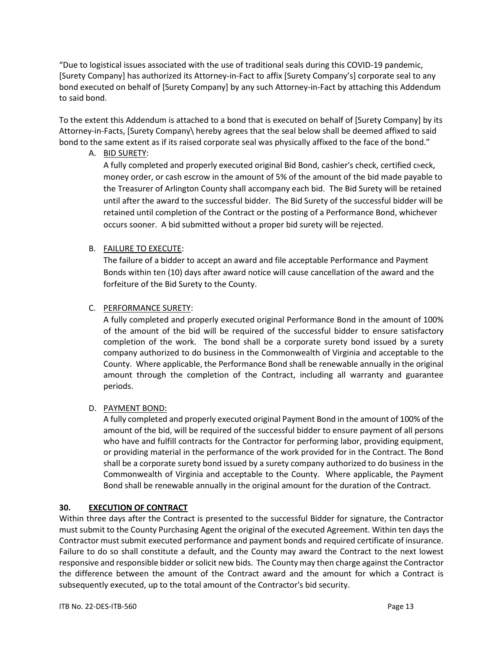"Due to logistical issues associated with the use of traditional seals during this COVID-19 pandemic, [Surety Company] has authorized its Attorney-in-Fact to affix [Surety Company's] corporate seal to any bond executed on behalf of [Surety Company] by any such Attorney-in-Fact by attaching this Addendum to said bond.

To the extent this Addendum is attached to a bond that is executed on behalf of [Surety Company] by its Attorney-in-Facts, [Surety Company\ hereby agrees that the seal below shall be deemed affixed to said bond to the same extent as if its raised corporate seal was physically affixed to the face of the bond."

A. BID SURETY:

A fully completed and properly executed original Bid Bond, cashier's check, certified check, money order, or cash escrow in the amount of 5% of the amount of the bid made payable to the Treasurer of Arlington County shall accompany each bid. The Bid Surety will be retained until after the award to the successful bidder. The Bid Surety of the successful bidder will be retained until completion of the Contract or the posting of a Performance Bond, whichever occurs sooner. A bid submitted without a proper bid surety will be rejected.

# B. FAILURE TO EXECUTE:

The failure of a bidder to accept an award and file acceptable Performance and Payment Bonds within ten (10) days after award notice will cause cancellation of the award and the forfeiture of the Bid Surety to the County.

# C. PERFORMANCE SURETY:

A fully completed and properly executed original Performance Bond in the amount of 100% of the amount of the bid will be required of the successful bidder to ensure satisfactory completion of the work. The bond shall be a corporate surety bond issued by a surety company authorized to do business in the Commonwealth of Virginia and acceptable to the County. Where applicable, the Performance Bond shall be renewable annually in the original amount through the completion of the Contract, including all warranty and guarantee periods.

# D. PAYMENT BOND:

A fully completed and properly executed original Payment Bond in the amount of 100% of the amount of the bid, will be required of the successful bidder to ensure payment of all persons who have and fulfill contracts for the Contractor for performing labor, providing equipment, or providing material in the performance of the work provided for in the Contract. The Bond shall be a corporate surety bond issued by a surety company authorized to do business in the Commonwealth of Virginia and acceptable to the County. Where applicable, the Payment Bond shall be renewable annually in the original amount for the duration of the Contract.

# **30. EXECUTION OF CONTRACT**

Within three days after the Contract is presented to the successful Bidder for signature, the Contractor must submit to the County Purchasing Agent the original of the executed Agreement. Within ten days the Contractor must submit executed performance and payment bonds and required certificate of insurance. Failure to do so shall constitute a default, and the County may award the Contract to the next lowest responsive and responsible bidder or solicit new bids. The County may then charge against the Contractor the difference between the amount of the Contract award and the amount for which a Contract is subsequently executed, up to the total amount of the Contractor's bid security.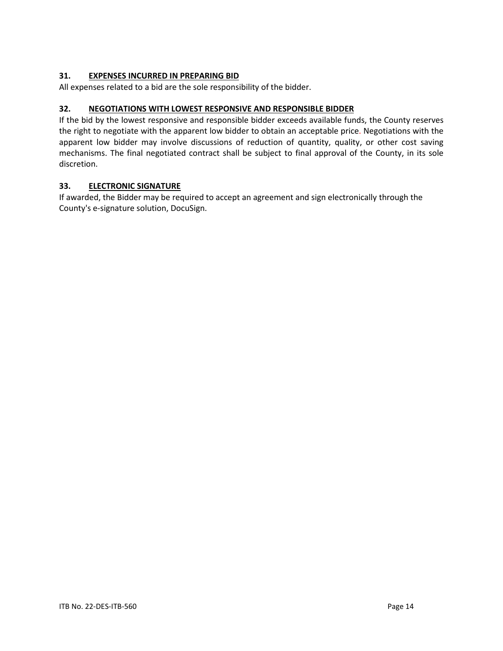## **31. EXPENSES INCURRED IN PREPARING BID**

All expenses related to a bid are the sole responsibility of the bidder.

## **32. NEGOTIATIONS WITH LOWEST RESPONSIVE AND RESPONSIBLE BIDDER**

If the bid by the lowest responsive and responsible bidder exceeds available funds, the County reserves the right to negotiate with the apparent low bidder to obtain an acceptable price. Negotiations with the apparent low bidder may involve discussions of reduction of quantity, quality, or other cost saving mechanisms. The final negotiated contract shall be subject to final approval of the County, in its sole discretion.

## **33. ELECTRONIC SIGNATURE**

If awarded, the Bidder may be required to accept an agreement and sign electronically through the County's e-signature solution, DocuSign.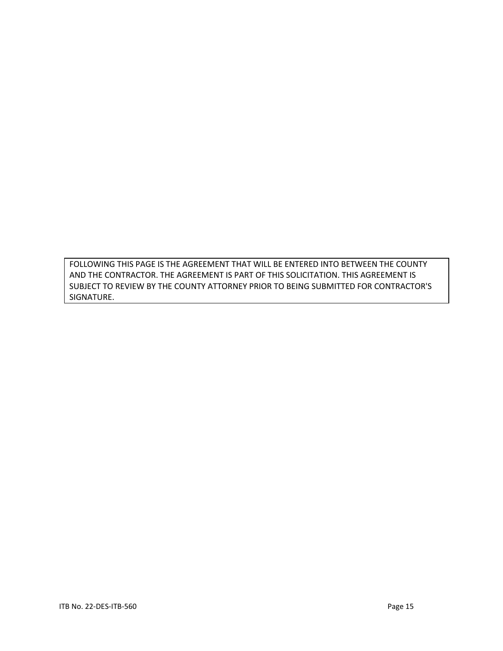FOLLOWING THIS PAGE IS THE AGREEMENT THAT WILL BE ENTERED INTO BETWEEN THE COUNTY AND THE CONTRACTOR. THE AGREEMENT IS PART OF THIS SOLICITATION. THIS AGREEMENT IS SUBJECT TO REVIEW BY THE COUNTY ATTORNEY PRIOR TO BEING SUBMITTED FOR CONTRACTOR'S SIGNATURE.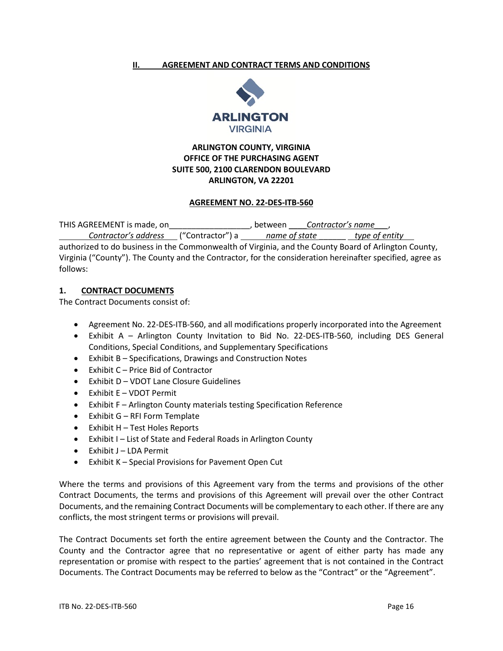#### <span id="page-15-0"></span>**II. AGREEMENT AND CONTRACT TERMS AND CONDITIONS**



# **ARLINGTON COUNTY, VIRGINIA OFFICE OF THE PURCHASING AGENT SUITE 500, 2100 CLARENDON BOULEVARD ARLINGTON, VA 22201**

#### **AGREEMENT NO. 22-DES-ITB-560**

THIS AGREEMENT is made, on\_\_\_\_\_\_\_\_\_\_\_\_\_\_\_\_\_\_, between \_\_\_\_*Contractor's name\_\_\_*,

*Contractor's address* ("Contractor") a *name of state* \_\_\_\_\_\_ *type of entity*  authorized to do business in the Commonwealth of Virginia, and the County Board of Arlington County, Virginia ("County"). The County and the Contractor, for the consideration hereinafter specified, agree as follows:

## **1. CONTRACT DOCUMENTS**

The Contract Documents consist of:

- Agreement No. 22-DES-ITB-560, and all modifications properly incorporated into the Agreement
- Exhibit A Arlington County Invitation to Bid No. 22-DES-ITB-560, including DES General Conditions, Special Conditions, and Supplementary Specifications
- Exhibit B Specifications, Drawings and Construction Notes
- Exhibit C Price Bid of Contractor
- Exhibit D VDOT Lane Closure Guidelines
- Exhibit E VDOT Permit
- Exhibit F Arlington County materials testing Specification Reference
- Exhibit G RFI Form Template
- Exhibit H Test Holes Reports
- Exhibit I List of State and Federal Roads in Arlington County
- Exhibit J LDA Permit
- Exhibit K Special Provisions for Pavement Open Cut

Where the terms and provisions of this Agreement vary from the terms and provisions of the other Contract Documents, the terms and provisions of this Agreement will prevail over the other Contract Documents, and the remaining Contract Documents will be complementary to each other. If there are any conflicts, the most stringent terms or provisions will prevail.

The Contract Documents set forth the entire agreement between the County and the Contractor. The County and the Contractor agree that no representative or agent of either party has made any representation or promise with respect to the parties' agreement that is not contained in the Contract Documents. The Contract Documents may be referred to below as the "Contract" or the "Agreement".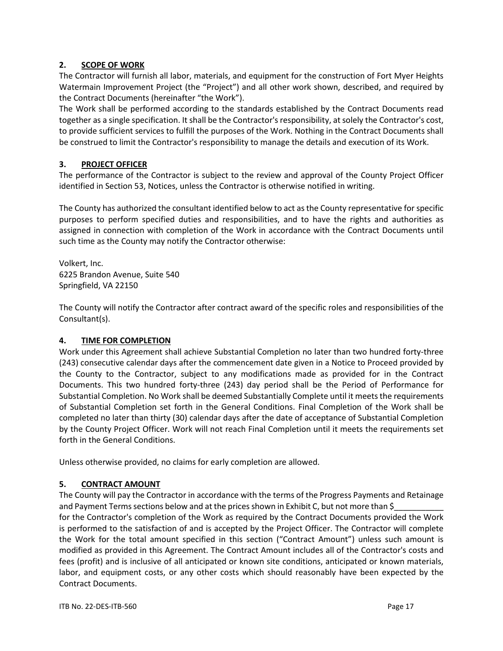## **2. SCOPE OF WORK**

The Contractor will furnish all labor, materials, and equipment for the construction of Fort Myer Heights Watermain Improvement Project (the "Project") and all other work shown, described, and required by the Contract Documents (hereinafter "the Work").

The Work shall be performed according to the standards established by the Contract Documents read together as a single specification. It shall be the Contractor's responsibility, at solely the Contractor's cost, to provide sufficient services to fulfill the purposes of the Work. Nothing in the Contract Documents shall be construed to limit the Contractor's responsibility to manage the details and execution of its Work.

## **3. PROJECT OFFICER**

The performance of the Contractor is subject to the review and approval of the County Project Officer identified in Section 53, Notices, unless the Contractor is otherwise notified in writing.

The County has authorized the consultant identified below to act as the County representative for specific purposes to perform specified duties and responsibilities, and to have the rights and authorities as assigned in connection with completion of the Work in accordance with the Contract Documents until such time as the County may notify the Contractor otherwise:

Volkert, Inc. 6225 Brandon Avenue, Suite 540 Springfield, VA 22150

The County will notify the Contractor after contract award of the specific roles and responsibilities of the Consultant(s).

## **4. TIME FOR COMPLETION**

Work under this Agreement shall achieve Substantial Completion no later than two hundred forty-three (243) consecutive calendar days after the commencement date given in a Notice to Proceed provided by the County to the Contractor, subject to any modifications made as provided for in the Contract Documents. This two hundred forty-three (243) day period shall be the Period of Performance for Substantial Completion. No Work shall be deemed Substantially Complete until it meets the requirements of Substantial Completion set forth in the General Conditions. Final Completion of the Work shall be completed no later than thirty (30) calendar days after the date of acceptance of Substantial Completion by the County Project Officer. Work will not reach Final Completion until it meets the requirements set forth in the General Conditions.

Unless otherwise provided, no claims for early completion are allowed.

## **5. CONTRACT AMOUNT**

The County will pay the Contractor in accordance with the terms of the Progress Payments and Retainage and Payment Terms sections below and at the prices shown in Exhibit C, but not more than \$\_ for the Contractor's completion of the Work as required by the Contract Documents provided the Work is performed to the satisfaction of and is accepted by the Project Officer. The Contractor will complete the Work for the total amount specified in this section ("Contract Amount") unless such amount is modified as provided in this Agreement. The Contract Amount includes all of the Contractor's costs and fees (profit) and is inclusive of all anticipated or known site conditions, anticipated or known materials, labor, and equipment costs, or any other costs which should reasonably have been expected by the Contract Documents.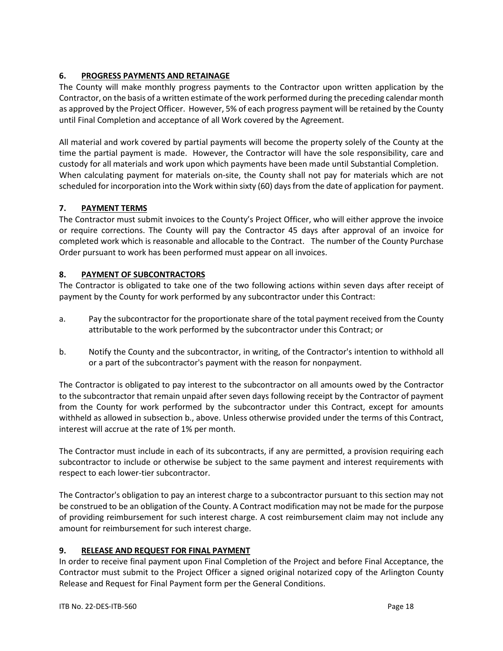# **6. PROGRESS PAYMENTS AND RETAINAGE**

The County will make monthly progress payments to the Contractor upon written application by the Contractor, on the basis of a written estimate of the work performed during the preceding calendar month as approved by the Project Officer. However, 5% of each progress payment will be retained by the County until Final Completion and acceptance of all Work covered by the Agreement.

All material and work covered by partial payments will become the property solely of the County at the time the partial payment is made. However, the Contractor will have the sole responsibility, care and custody for all materials and work upon which payments have been made until Substantial Completion. When calculating payment for materials on-site, the County shall not pay for materials which are not scheduled for incorporation into the Work within sixty (60) days from the date of application for payment.

## **7. PAYMENT TERMS**

The Contractor must submit invoices to the County's Project Officer, who will either approve the invoice or require corrections. The County will pay the Contractor 45 days after approval of an invoice for completed work which is reasonable and allocable to the Contract. The number of the County Purchase Order pursuant to work has been performed must appear on all invoices.

## **8. PAYMENT OF SUBCONTRACTORS**

The Contractor is obligated to take one of the two following actions within seven days after receipt of payment by the County for work performed by any subcontractor under this Contract:

- a. Pay the subcontractor for the proportionate share of the total payment received from the County attributable to the work performed by the subcontractor under this Contract; or
- b. Notify the County and the subcontractor, in writing, of the Contractor's intention to withhold all or a part of the subcontractor's payment with the reason for nonpayment.

The Contractor is obligated to pay interest to the subcontractor on all amounts owed by the Contractor to the subcontractor that remain unpaid after seven days following receipt by the Contractor of payment from the County for work performed by the subcontractor under this Contract, except for amounts withheld as allowed in subsection b., above. Unless otherwise provided under the terms of this Contract, interest will accrue at the rate of 1% per month.

The Contractor must include in each of its subcontracts, if any are permitted, a provision requiring each subcontractor to include or otherwise be subject to the same payment and interest requirements with respect to each lower-tier subcontractor.

The Contractor's obligation to pay an interest charge to a subcontractor pursuant to this section may not be construed to be an obligation of the County. A Contract modification may not be made for the purpose of providing reimbursement for such interest charge. A cost reimbursement claim may not include any amount for reimbursement for such interest charge.

## **9. RELEASE AND REQUEST FOR FINAL PAYMENT**

In order to receive final payment upon Final Completion of the Project and before Final Acceptance, the Contractor must submit to the Project Officer a signed original notarized copy of the Arlington County Release and Request for Final Payment form per the General Conditions.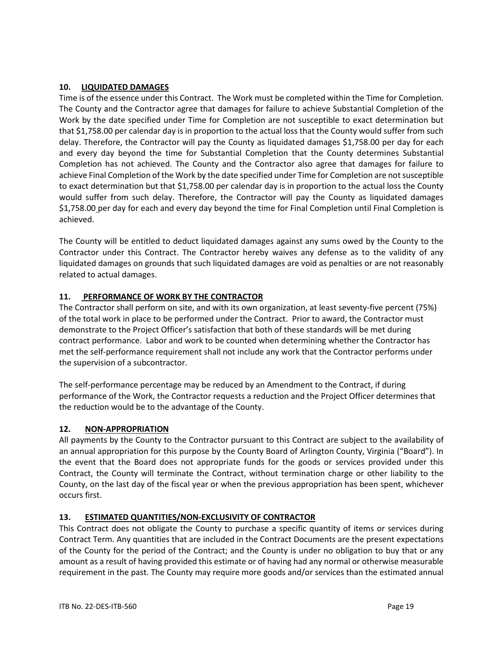## **10. LIQUIDATED DAMAGES**

Time is of the essence under this Contract. The Work must be completed within the Time for Completion. The County and the Contractor agree that damages for failure to achieve Substantial Completion of the Work by the date specified under Time for Completion are not susceptible to exact determination but that \$1,758.00 per calendar day is in proportion to the actual loss that the County would suffer from such delay. Therefore, the Contractor will pay the County as liquidated damages \$1,758.00 per day for each and every day beyond the time for Substantial Completion that the County determines Substantial Completion has not achieved. The County and the Contractor also agree that damages for failure to achieve Final Completion of the Work by the date specified under Time for Completion are not susceptible to exact determination but that \$1,758.00 per calendar day is in proportion to the actual loss the County would suffer from such delay. Therefore, the Contractor will pay the County as liquidated damages \$1,758.00 per day for each and every day beyond the time for Final Completion until Final Completion is achieved.

The County will be entitled to deduct liquidated damages against any sums owed by the County to the Contractor under this Contract. The Contractor hereby waives any defense as to the validity of any liquidated damages on grounds that such liquidated damages are void as penalties or are not reasonably related to actual damages.

## **11. PERFORMANCE OF WORK BY THE CONTRACTOR**

The Contractor shall perform on site, and with its own organization, at least seventy-five percent (75%) of the total work in place to be performed under the Contract. Prior to award, the Contractor must demonstrate to the Project Officer's satisfaction that both of these standards will be met during contract performance. Labor and work to be counted when determining whether the Contractor has met the self-performance requirement shall not include any work that the Contractor performs under the supervision of a subcontractor.

The self-performance percentage may be reduced by an Amendment to the Contract, if during performance of the Work, the Contractor requests a reduction and the Project Officer determines that the reduction would be to the advantage of the County.

## **12. NON-APPROPRIATION**

All payments by the County to the Contractor pursuant to this Contract are subject to the availability of an annual appropriation for this purpose by the County Board of Arlington County, Virginia ("Board"). In the event that the Board does not appropriate funds for the goods or services provided under this Contract, the County will terminate the Contract, without termination charge or other liability to the County, on the last day of the fiscal year or when the previous appropriation has been spent, whichever occurs first.

## **13. ESTIMATED QUANTITIES/NON-EXCLUSIVITY OF CONTRACTOR**

This Contract does not obligate the County to purchase a specific quantity of items or services during Contract Term. Any quantities that are included in the Contract Documents are the present expectations of the County for the period of the Contract; and the County is under no obligation to buy that or any amount as a result of having provided this estimate or of having had any normal or otherwise measurable requirement in the past. The County may require more goods and/or services than the estimated annual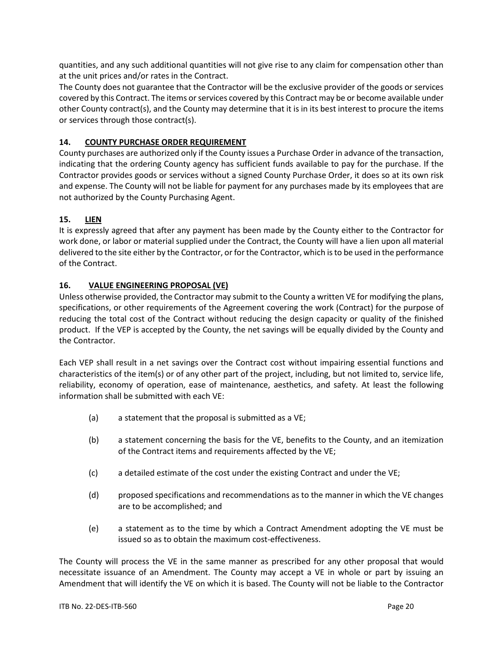quantities, and any such additional quantities will not give rise to any claim for compensation other than at the unit prices and/or rates in the Contract.

The County does not guarantee that the Contractor will be the exclusive provider of the goods or services covered by this Contract. The items or services covered by this Contract may be or become available under other County contract(s), and the County may determine that it is in its best interest to procure the items or services through those contract(s).

## **14. COUNTY PURCHASE ORDER REQUIREMENT**

County purchases are authorized only if the County issues a Purchase Order in advance of the transaction, indicating that the ordering County agency has sufficient funds available to pay for the purchase. If the Contractor provides goods or services without a signed County Purchase Order, it does so at its own risk and expense. The County will not be liable for payment for any purchases made by its employees that are not authorized by the County Purchasing Agent.

## **15. LIEN**

It is expressly agreed that after any payment has been made by the County either to the Contractor for work done, or labor or material supplied under the Contract, the County will have a lien upon all material delivered to the site either by the Contractor, or for the Contractor, which is to be used in the performance of the Contract.

## **16. VALUE ENGINEERING PROPOSAL (VE)**

Unless otherwise provided, the Contractor may submit to the County a written VE for modifying the plans, specifications, or other requirements of the Agreement covering the work (Contract) for the purpose of reducing the total cost of the Contract without reducing the design capacity or quality of the finished product. If the VEP is accepted by the County, the net savings will be equally divided by the County and the Contractor.

Each VEP shall result in a net savings over the Contract cost without impairing essential functions and characteristics of the item(s) or of any other part of the project, including, but not limited to, service life, reliability, economy of operation, ease of maintenance, aesthetics, and safety. At least the following information shall be submitted with each VE:

- (a) a statement that the proposal is submitted as a VE;
- (b) a statement concerning the basis for the VE, benefits to the County, and an itemization of the Contract items and requirements affected by the VE;
- (c) a detailed estimate of the cost under the existing Contract and under the VE;
- (d) proposed specifications and recommendations as to the manner in which the VE changes are to be accomplished; and
- (e) a statement as to the time by which a Contract Amendment adopting the VE must be issued so as to obtain the maximum cost-effectiveness.

The County will process the VE in the same manner as prescribed for any other proposal that would necessitate issuance of an Amendment. The County may accept a VE in whole or part by issuing an Amendment that will identify the VE on which it is based. The County will not be liable to the Contractor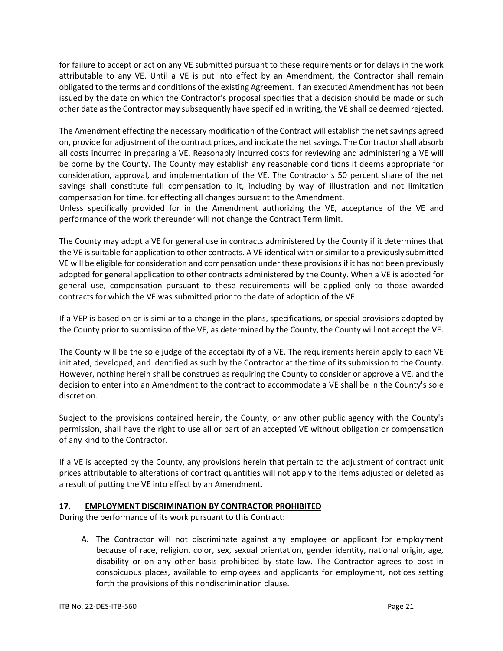for failure to accept or act on any VE submitted pursuant to these requirements or for delays in the work attributable to any VE. Until a VE is put into effect by an Amendment, the Contractor shall remain obligated to the terms and conditions of the existing Agreement. If an executed Amendment has not been issued by the date on which the Contractor's proposal specifies that a decision should be made or such other date as the Contractor may subsequently have specified in writing, the VE shall be deemed rejected.

The Amendment effecting the necessary modification of the Contract will establish the net savings agreed on, provide for adjustment of the contract prices, and indicate the net savings. The Contractor shall absorb all costs incurred in preparing a VE. Reasonably incurred costs for reviewing and administering a VE will be borne by the County. The County may establish any reasonable conditions it deems appropriate for consideration, approval, and implementation of the VE. The Contractor's 50 percent share of the net savings shall constitute full compensation to it, including by way of illustration and not limitation compensation for time, for effecting all changes pursuant to the Amendment.

Unless specifically provided for in the Amendment authorizing the VE, acceptance of the VE and performance of the work thereunder will not change the Contract Term limit.

The County may adopt a VE for general use in contracts administered by the County if it determines that the VE is suitable for application to other contracts. A VE identical with or similar to a previously submitted VE will be eligible for consideration and compensation under these provisions if it has not been previously adopted for general application to other contracts administered by the County. When a VE is adopted for general use, compensation pursuant to these requirements will be applied only to those awarded contracts for which the VE was submitted prior to the date of adoption of the VE.

If a VEP is based on or is similar to a change in the plans, specifications, or special provisions adopted by the County prior to submission of the VE, as determined by the County, the County will not accept the VE.

The County will be the sole judge of the acceptability of a VE. The requirements herein apply to each VE initiated, developed, and identified as such by the Contractor at the time of its submission to the County. However, nothing herein shall be construed as requiring the County to consider or approve a VE, and the decision to enter into an Amendment to the contract to accommodate a VE shall be in the County's sole discretion.

Subject to the provisions contained herein, the County, or any other public agency with the County's permission, shall have the right to use all or part of an accepted VE without obligation or compensation of any kind to the Contractor.

If a VE is accepted by the County, any provisions herein that pertain to the adjustment of contract unit prices attributable to alterations of contract quantities will not apply to the items adjusted or deleted as a result of putting the VE into effect by an Amendment.

# **17. EMPLOYMENT DISCRIMINATION BY CONTRACTOR PROHIBITED**

During the performance of its work pursuant to this Contract:

A. The Contractor will not discriminate against any employee or applicant for employment because of race, religion, color, sex, sexual orientation, gender identity, national origin, age, disability or on any other basis prohibited by state law. The Contractor agrees to post in conspicuous places, available to employees and applicants for employment, notices setting forth the provisions of this nondiscrimination clause.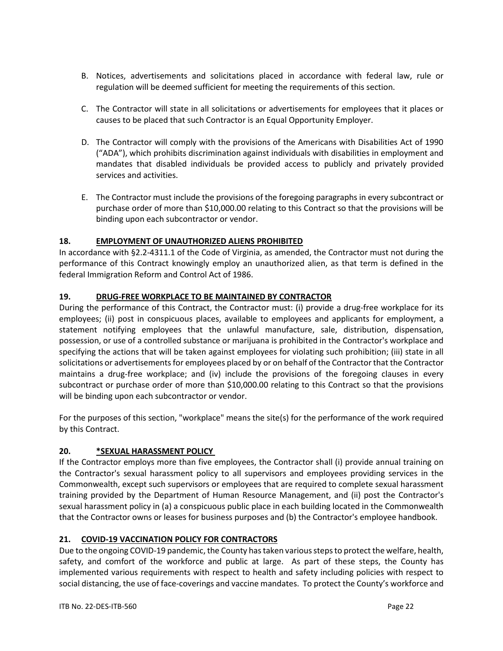- B. Notices, advertisements and solicitations placed in accordance with federal law, rule or regulation will be deemed sufficient for meeting the requirements of this section.
- C. The Contractor will state in all solicitations or advertisements for employees that it places or causes to be placed that such Contractor is an Equal Opportunity Employer.
- D. The Contractor will comply with the provisions of the Americans with Disabilities Act of 1990 ("ADA"), which prohibits discrimination against individuals with disabilities in employment and mandates that disabled individuals be provided access to publicly and privately provided services and activities.
- E. The Contractor must include the provisions of the foregoing paragraphs in every subcontract or purchase order of more than \$10,000.00 relating to this Contract so that the provisions will be binding upon each subcontractor or vendor.

# **18. EMPLOYMENT OF UNAUTHORIZED ALIENS PROHIBITED**

In accordance with §2.2-4311.1 of the Code of Virginia, as amended, the Contractor must not during the performance of this Contract knowingly employ an unauthorized alien, as that term is defined in the federal Immigration Reform and Control Act of 1986.

## **19. DRUG-FREE WORKPLACE TO BE MAINTAINED BY CONTRACTOR**

During the performance of this Contract, the Contractor must: (i) provide a drug-free workplace for its employees; (ii) post in conspicuous places, available to employees and applicants for employment, a statement notifying employees that the unlawful manufacture, sale, distribution, dispensation, possession, or use of a controlled substance or marijuana is prohibited in the Contractor's workplace and specifying the actions that will be taken against employees for violating such prohibition; (iii) state in all solicitations or advertisements for employees placed by or on behalf of the Contractor that the Contractor maintains a drug-free workplace; and (iv) include the provisions of the foregoing clauses in every subcontract or purchase order of more than \$10,000.00 relating to this Contract so that the provisions will be binding upon each subcontractor or vendor.

For the purposes of this section, "workplace" means the site(s) for the performance of the work required by this Contract.

## **20. \*SEXUAL HARASSMENT POLICY**

If the Contractor employs more than five employees, the Contractor shall (i) provide annual training on the Contractor's sexual harassment policy to all supervisors and employees providing services in the Commonwealth, except such supervisors or employees that are required to complete sexual harassment training provided by the Department of Human Resource Management, and (ii) post the Contractor's sexual harassment policy in (a) a conspicuous public place in each building located in the Commonwealth that the Contractor owns or leases for business purposes and (b) the Contractor's employee handbook.

## **21. COVID-19 VACCINATION POLICY FOR CONTRACTORS**

Due to the ongoing COVID-19 pandemic, the County has taken various steps to protect the welfare, health, safety, and comfort of the workforce and public at large. As part of these steps, the County has implemented various requirements with respect to health and safety including policies with respect to social distancing, the use of face-coverings and vaccine mandates. To protect the County's workforce and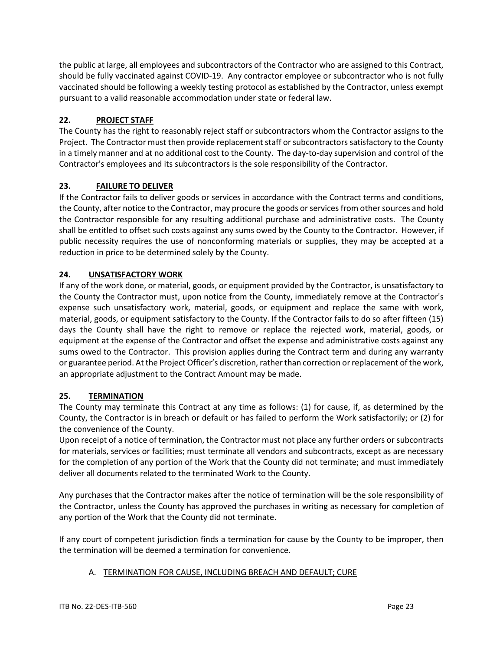the public at large, all employees and subcontractors of the Contractor who are assigned to this Contract, should be fully vaccinated against COVID-19. Any contractor employee or subcontractor who is not fully vaccinated should be following a weekly testing protocol as established by the Contractor, unless exempt pursuant to a valid reasonable accommodation under state or federal law.

# **22. PROJECT STAFF**

The County has the right to reasonably reject staff or subcontractors whom the Contractor assigns to the Project. The Contractor must then provide replacement staff or subcontractors satisfactory to the County in a timely manner and at no additional cost to the County. The day-to-day supervision and control of the Contractor's employees and its subcontractors is the sole responsibility of the Contractor.

# **23. FAILURE TO DELIVER**

If the Contractor fails to deliver goods or services in accordance with the Contract terms and conditions, the County, after notice to the Contractor, may procure the goods or services from other sources and hold the Contractor responsible for any resulting additional purchase and administrative costs. The County shall be entitled to offset such costs against any sums owed by the County to the Contractor. However, if public necessity requires the use of nonconforming materials or supplies, they may be accepted at a reduction in price to be determined solely by the County.

# **24. UNSATISFACTORY WORK**

If any of the work done, or material, goods, or equipment provided by the Contractor, is unsatisfactory to the County the Contractor must, upon notice from the County, immediately remove at the Contractor's expense such unsatisfactory work, material, goods, or equipment and replace the same with work, material, goods, or equipment satisfactory to the County. If the Contractor fails to do so after fifteen (15) days the County shall have the right to remove or replace the rejected work, material, goods, or equipment at the expense of the Contractor and offset the expense and administrative costs against any sums owed to the Contractor. This provision applies during the Contract term and during any warranty or guarantee period. At the Project Officer's discretion, rather than correction or replacement of the work, an appropriate adjustment to the Contract Amount may be made.

# **25. TERMINATION**

The County may terminate this Contract at any time as follows: (1) for cause, if, as determined by the County, the Contractor is in breach or default or has failed to perform the Work satisfactorily; or (2) for the convenience of the County.

Upon receipt of a notice of termination, the Contractor must not place any further orders or subcontracts for materials, services or facilities; must terminate all vendors and subcontracts, except as are necessary for the completion of any portion of the Work that the County did not terminate; and must immediately deliver all documents related to the terminated Work to the County.

Any purchases that the Contractor makes after the notice of termination will be the sole responsibility of the Contractor, unless the County has approved the purchases in writing as necessary for completion of any portion of the Work that the County did not terminate.

If any court of competent jurisdiction finds a termination for cause by the County to be improper, then the termination will be deemed a termination for convenience.

# A. TERMINATION FOR CAUSE, INCLUDING BREACH AND DEFAULT; CURE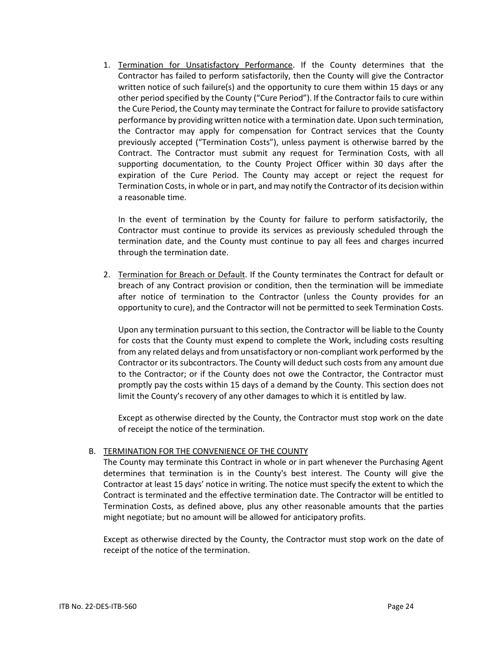1. Termination for Unsatisfactory Performance. If the County determines that the Contractor has failed to perform satisfactorily, then the County will give the Contractor written notice of such failure(s) and the opportunity to cure them within 15 days or any other period specified by the County ("Cure Period"). If the Contractor fails to cure within the Cure Period, the County may terminate the Contract for failure to provide satisfactory performance by providing written notice with a termination date. Upon such termination, the Contractor may apply for compensation for Contract services that the County previously accepted ("Termination Costs"), unless payment is otherwise barred by the Contract. The Contractor must submit any request for Termination Costs, with all supporting documentation, to the County Project Officer within 30 days after the expiration of the Cure Period. The County may accept or reject the request for Termination Costs, in whole or in part, and may notify the Contractor of its decision within a reasonable time.

In the event of termination by the County for failure to perform satisfactorily, the Contractor must continue to provide its services as previously scheduled through the termination date, and the County must continue to pay all fees and charges incurred through the termination date.

2. Termination for Breach or Default. If the County terminates the Contract for default or breach of any Contract provision or condition, then the termination will be immediate after notice of termination to the Contractor (unless the County provides for an opportunity to cure), and the Contractor will not be permitted to seek Termination Costs.

Upon any termination pursuant to this section, the Contractor will be liable to the County for costs that the County must expend to complete the Work, including costs resulting from any related delays and from unsatisfactory or non-compliant work performed by the Contractor or its subcontractors. The County will deduct such costs from any amount due to the Contractor; or if the County does not owe the Contractor, the Contractor must promptly pay the costs within 15 days of a demand by the County. This section does not limit the County's recovery of any other damages to which it is entitled by law.

Except as otherwise directed by the County, the Contractor must stop work on the date of receipt the notice of the termination.

## B. TERMINATION FOR THE CONVENIENCE OF THE COUNTY

The County may terminate this Contract in whole or in part whenever the Purchasing Agent determines that termination is in the County's best interest. The County will give the Contractor at least 15 days' notice in writing. The notice must specify the extent to which the Contract is terminated and the effective termination date. The Contractor will be entitled to Termination Costs, as defined above, plus any other reasonable amounts that the parties might negotiate; but no amount will be allowed for anticipatory profits.

Except as otherwise directed by the County, the Contractor must stop work on the date of receipt of the notice of the termination.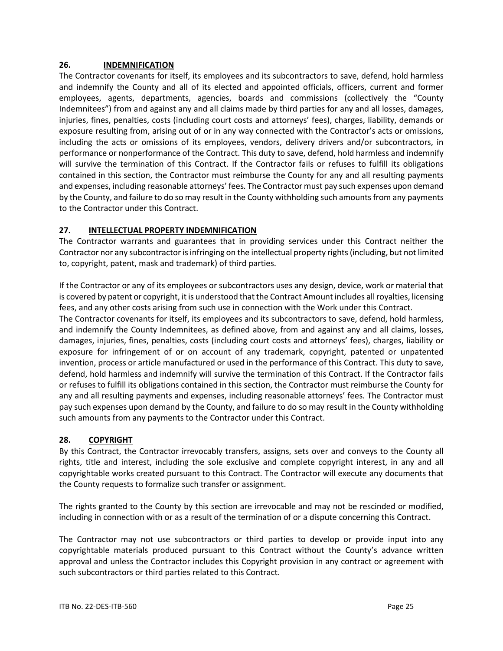## **26. INDEMNIFICATION**

The Contractor covenants for itself, its employees and its subcontractors to save, defend, hold harmless and indemnify the County and all of its elected and appointed officials, officers, current and former employees, agents, departments, agencies, boards and commissions (collectively the "County Indemnitees") from and against any and all claims made by third parties for any and all losses, damages, injuries, fines, penalties, costs (including court costs and attorneys' fees), charges, liability, demands or exposure resulting from, arising out of or in any way connected with the Contractor's acts or omissions, including the acts or omissions of its employees, vendors, delivery drivers and/or subcontractors, in performance or nonperformance of the Contract. This duty to save, defend, hold harmless and indemnify will survive the termination of this Contract. If the Contractor fails or refuses to fulfill its obligations contained in this section, the Contractor must reimburse the County for any and all resulting payments and expenses, including reasonable attorneys' fees*.* The Contractor must pay such expenses upon demand by the County, and failure to do so may result in the County withholding such amounts from any payments to the Contractor under this Contract.

## **27. INTELLECTUAL PROPERTY INDEMNIFICATION**

The Contractor warrants and guarantees that in providing services under this Contract neither the Contractor nor any subcontractor is infringing on the intellectual property rights (including, but not limited to, copyright, patent, mask and trademark) of third parties.

If the Contractor or any of its employees or subcontractors uses any design, device, work or material that is covered by patent or copyright, it is understood that the Contract Amountincludes all royalties, licensing fees, and any other costs arising from such use in connection with the Work under this Contract.

The Contractor covenants for itself, its employees and its subcontractors to save, defend, hold harmless, and indemnify the County Indemnitees, as defined above, from and against any and all claims, losses, damages, injuries, fines, penalties, costs (including court costs and attorneys' fees), charges, liability or exposure for infringement of or on account of any trademark, copyright, patented or unpatented invention, process or article manufactured or used in the performance of this Contract. This duty to save, defend, hold harmless and indemnify will survive the termination of this Contract. If the Contractor fails or refuses to fulfill its obligations contained in this section, the Contractor must reimburse the County for any and all resulting payments and expenses, including reasonable attorneys' fees*.* The Contractor must pay such expenses upon demand by the County, and failure to do so may result in the County withholding such amounts from any payments to the Contractor under this Contract.

## **28. COPYRIGHT**

By this Contract, the Contractor irrevocably transfers, assigns, sets over and conveys to the County all rights, title and interest, including the sole exclusive and complete copyright interest, in any and all copyrightable works created pursuant to this Contract. The Contractor will execute any documents that the County requests to formalize such transfer or assignment.

The rights granted to the County by this section are irrevocable and may not be rescinded or modified, including in connection with or as a result of the termination of or a dispute concerning this Contract.

The Contractor may not use subcontractors or third parties to develop or provide input into any copyrightable materials produced pursuant to this Contract without the County's advance written approval and unless the Contractor includes this Copyright provision in any contract or agreement with such subcontractors or third parties related to this Contract.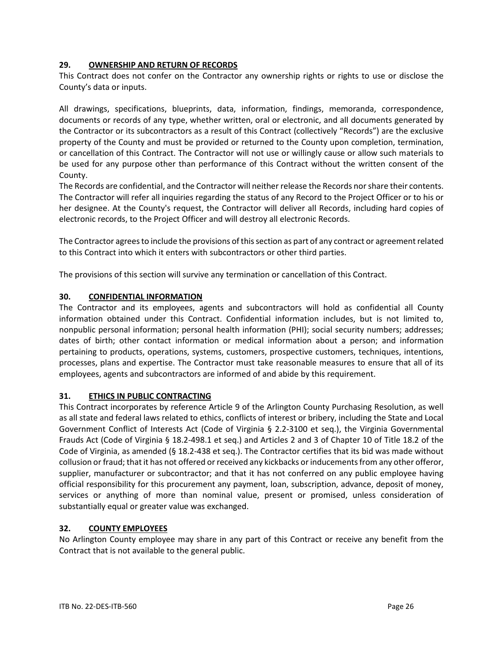## **29. OWNERSHIP AND RETURN OF RECORDS**

This Contract does not confer on the Contractor any ownership rights or rights to use or disclose the County's data or inputs.

All drawings, specifications, blueprints, data, information, findings, memoranda, correspondence, documents or records of any type, whether written, oral or electronic, and all documents generated by the Contractor or its subcontractors as a result of this Contract (collectively "Records") are the exclusive property of the County and must be provided or returned to the County upon completion, termination, or cancellation of this Contract. The Contractor will not use or willingly cause or allow such materials to be used for any purpose other than performance of this Contract without the written consent of the County.

The Records are confidential, and the Contractor will neither release the Records nor share their contents. The Contractor will refer all inquiries regarding the status of any Record to the Project Officer or to his or her designee. At the County's request, the Contractor will deliver all Records, including hard copies of electronic records, to the Project Officer and will destroy all electronic Records.

The Contractor agrees to include the provisions of this section as part of any contract or agreement related to this Contract into which it enters with subcontractors or other third parties.

The provisions of this section will survive any termination or cancellation of this Contract.

## **30. CONFIDENTIAL INFORMATION**

The Contractor and its employees, agents and subcontractors will hold as confidential all County information obtained under this Contract. Confidential information includes, but is not limited to, nonpublic personal information; personal health information (PHI); social security numbers; addresses; dates of birth; other contact information or medical information about a person; and information pertaining to products, operations, systems, customers, prospective customers, techniques, intentions, processes, plans and expertise. The Contractor must take reasonable measures to ensure that all of its employees, agents and subcontractors are informed of and abide by this requirement.

## **31. ETHICS IN PUBLIC CONTRACTING**

This Contract incorporates by reference Article 9 of the Arlington County Purchasing Resolution, as well as all state and federal laws related to ethics, conflicts of interest or bribery, including the State and Local Government Conflict of Interests Act (Code of Virginia § 2.2-3100 et seq.), the Virginia Governmental Frauds Act (Code of Virginia § 18.2-498.1 et seq.) and Articles 2 and 3 of Chapter 10 of Title 18.2 of the Code of Virginia, as amended (§ 18.2-438 et seq.). The Contractor certifies that its bid was made without collusion or fraud; that it has not offered or received any kickbacks or inducements from any other offeror, supplier, manufacturer or subcontractor; and that it has not conferred on any public employee having official responsibility for this procurement any payment, loan, subscription, advance, deposit of money, services or anything of more than nominal value, present or promised, unless consideration of substantially equal or greater value was exchanged.

# **32. COUNTY EMPLOYEES**

No Arlington County employee may share in any part of this Contract or receive any benefit from the Contract that is not available to the general public.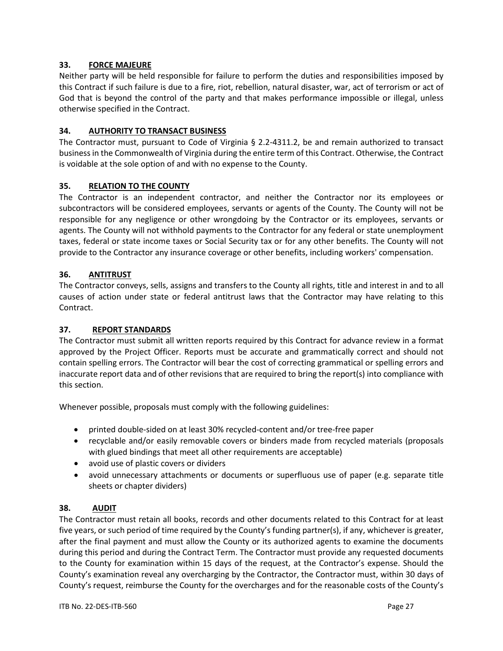## **33. FORCE MAJEURE**

Neither party will be held responsible for failure to perform the duties and responsibilities imposed by this Contract if such failure is due to a fire, riot, rebellion, natural disaster, war, act of terrorism or act of God that is beyond the control of the party and that makes performance impossible or illegal, unless otherwise specified in the Contract.

## **34. AUTHORITY TO TRANSACT BUSINESS**

The Contractor must, pursuant to Code of Virginia § 2.2-4311.2, be and remain authorized to transact business in the Commonwealth of Virginia during the entire term of this Contract. Otherwise, the Contract is voidable at the sole option of and with no expense to the County.

## **35. RELATION TO THE COUNTY**

The Contractor is an independent contractor, and neither the Contractor nor its employees or subcontractors will be considered employees, servants or agents of the County. The County will not be responsible for any negligence or other wrongdoing by the Contractor or its employees, servants or agents. The County will not withhold payments to the Contractor for any federal or state unemployment taxes, federal or state income taxes or Social Security tax or for any other benefits. The County will not provide to the Contractor any insurance coverage or other benefits, including workers' compensation.

## **36. ANTITRUST**

The Contractor conveys, sells, assigns and transfers to the County all rights, title and interest in and to all causes of action under state or federal antitrust laws that the Contractor may have relating to this Contract.

## **37. REPORT STANDARDS**

The Contractor must submit all written reports required by this Contract for advance review in a format approved by the Project Officer. Reports must be accurate and grammatically correct and should not contain spelling errors. The Contractor will bear the cost of correcting grammatical or spelling errors and inaccurate report data and of other revisions that are required to bring the report(s) into compliance with this section.

Whenever possible, proposals must comply with the following guidelines:

- printed double-sided on at least 30% recycled-content and/or tree-free paper
- recyclable and/or easily removable covers or binders made from recycled materials (proposals with glued bindings that meet all other requirements are acceptable)
- avoid use of plastic covers or dividers
- avoid unnecessary attachments or documents or superfluous use of paper (e.g. separate title sheets or chapter dividers)

## **38. AUDIT**

The Contractor must retain all books, records and other documents related to this Contract for at least five years, or such period of time required by the County's funding partner(s), if any, whichever is greater, after the final payment and must allow the County or its authorized agents to examine the documents during this period and during the Contract Term. The Contractor must provide any requested documents to the County for examination within 15 days of the request, at the Contractor's expense. Should the County's examination reveal any overcharging by the Contractor, the Contractor must, within 30 days of County's request, reimburse the County for the overcharges and for the reasonable costs of the County's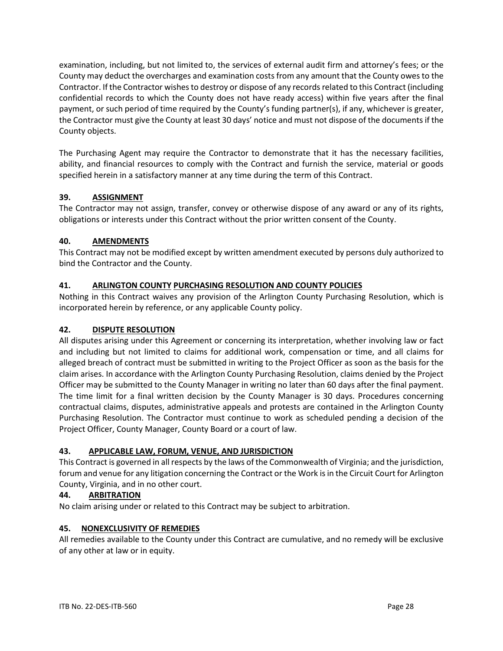examination, including, but not limited to, the services of external audit firm and attorney's fees; or the County may deduct the overcharges and examination costs from any amount that the County owes to the Contractor. If the Contractor wishes to destroy or dispose of any records related to this Contract (including confidential records to which the County does not have ready access) within five years after the final payment, or such period of time required by the County's funding partner(s), if any, whichever is greater, the Contractor must give the County at least 30 days' notice and must not dispose of the documents if the County objects.

The Purchasing Agent may require the Contractor to demonstrate that it has the necessary facilities, ability, and financial resources to comply with the Contract and furnish the service, material or goods specified herein in a satisfactory manner at any time during the term of this Contract.

# **39. ASSIGNMENT**

The Contractor may not assign, transfer, convey or otherwise dispose of any award or any of its rights, obligations or interests under this Contract without the prior written consent of the County.

# **40. AMENDMENTS**

This Contract may not be modified except by written amendment executed by persons duly authorized to bind the Contractor and the County.

# **41. ARLINGTON COUNTY PURCHASING RESOLUTION AND COUNTY POLICIES**

Nothing in this Contract waives any provision of the Arlington County Purchasing Resolution, which is incorporated herein by reference, or any applicable County policy.

# **42. DISPUTE RESOLUTION**

All disputes arising under this Agreement or concerning its interpretation, whether involving law or fact and including but not limited to claims for additional work, compensation or time, and all claims for alleged breach of contract must be submitted in writing to the Project Officer as soon as the basis for the claim arises. In accordance with the Arlington County Purchasing Resolution, claims denied by the Project Officer may be submitted to the County Manager in writing no later than 60 days after the final payment. The time limit for a final written decision by the County Manager is 30 days. Procedures concerning contractual claims, disputes, administrative appeals and protests are contained in the Arlington County Purchasing Resolution. The Contractor must continue to work as scheduled pending a decision of the Project Officer, County Manager, County Board or a court of law.

# **43. APPLICABLE LAW, FORUM, VENUE, AND JURISDICTION**

This Contract is governed in all respects by the laws of the Commonwealth of Virginia; and the jurisdiction, forum and venue for any litigation concerning the Contract or the Work is in the Circuit Court for Arlington County, Virginia, and in no other court.

# **44. ARBITRATION**

No claim arising under or related to this Contract may be subject to arbitration.

# **45. NONEXCLUSIVITY OF REMEDIES**

All remedies available to the County under this Contract are cumulative, and no remedy will be exclusive of any other at law or in equity.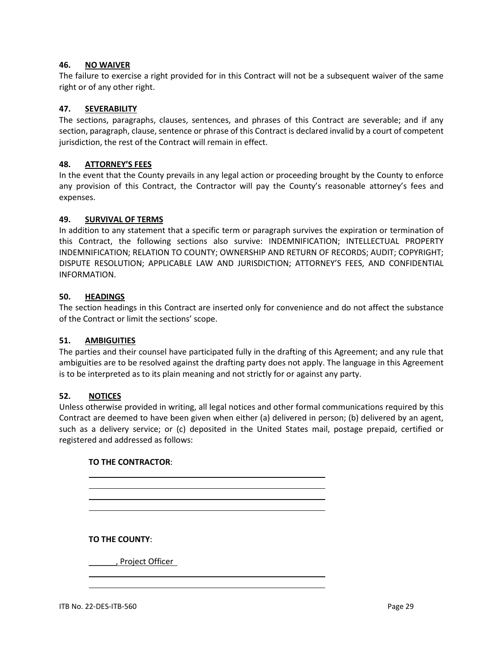#### **46. NO WAIVER**

The failure to exercise a right provided for in this Contract will not be a subsequent waiver of the same right or of any other right.

## **47. SEVERABILITY**

The sections, paragraphs, clauses, sentences, and phrases of this Contract are severable; and if any section, paragraph, clause, sentence or phrase of this Contract is declared invalid by a court of competent jurisdiction, the rest of the Contract will remain in effect.

#### **48. ATTORNEY'S FEES**

In the event that the County prevails in any legal action or proceeding brought by the County to enforce any provision of this Contract, the Contractor will pay the County's reasonable attorney's fees and expenses.

#### **49. SURVIVAL OF TERMS**

In addition to any statement that a specific term or paragraph survives the expiration or termination of this Contract, the following sections also survive: INDEMNIFICATION; INTELLECTUAL PROPERTY INDEMNIFICATION; RELATION TO COUNTY; OWNERSHIP AND RETURN OF RECORDS; AUDIT; COPYRIGHT; DISPUTE RESOLUTION; APPLICABLE LAW AND JURISDICTION; ATTORNEY'S FEES, AND CONFIDENTIAL INFORMATION.

#### **50. HEADINGS**

The section headings in this Contract are inserted only for convenience and do not affect the substance of the Contract or limit the sections' scope.

## **51. AMBIGUITIES**

The parties and their counsel have participated fully in the drafting of this Agreement; and any rule that ambiguities are to be resolved against the drafting party does not apply. The language in this Agreement is to be interpreted as to its plain meaning and not strictly for or against any party.

#### **52. NOTICES**

Unless otherwise provided in writing, all legal notices and other formal communications required by this Contract are deemed to have been given when either (a) delivered in person; (b) delivered by an agent, such as a delivery service; or (c) deposited in the United States mail, postage prepaid, certified or registered and addressed as follows:

## **TO THE CONTRACTOR**:

**TO THE COUNTY**:

\_\_\_\_\_\_, Project Officer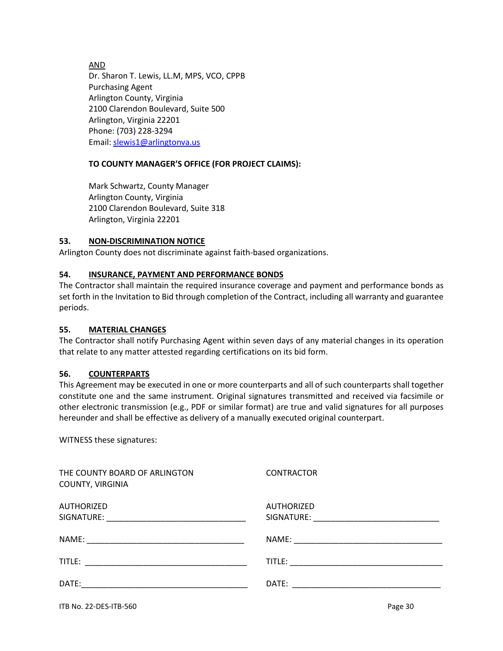AND

Dr. Sharon T. Lewis, LL.M, MPS, VCO, CPPB Purchasing Agent Arlington County, Virginia 2100 Clarendon Boulevard, Suite 500 Arlington, Virginia 22201 Phone: (703) 228-3294 Email: [slewis1@arlingtonva.us](mailto:slewis1@arlingtonva.us)

# **TO COUNTY MANAGER'S OFFICE (FOR PROJECT CLAIMS):**

Mark Schwartz, County Manager Arlington County, Virginia 2100 Clarendon Boulevard, Suite 318 Arlington, Virginia 22201

## **53. NON-DISCRIMINATION NOTICE**

Arlington County does not discriminate against faith-based organizations.

## **54. INSURANCE, PAYMENT AND PERFORMANCE BONDS**

The Contractor shall maintain the required insurance coverage and payment and performance bonds as set forth in the Invitation to Bid through completion of the Contract, including all warranty and guarantee periods.

## **55. MATERIAL CHANGES**

The Contractor shall notify Purchasing Agent within seven days of any material changes in its operation that relate to any matter attested regarding certifications on its bid form.

## **56. COUNTERPARTS**

This Agreement may be executed in one or more counterparts and all of such counterparts shall together constitute one and the same instrument. Original signatures transmitted and received via facsimile or other electronic transmission (e.g., PDF or similar format) are true and valid signatures for all purposes hereunder and shall be effective as delivery of a manually executed original counterpart.

WITNESS these signatures:

| THE COUNTY BOARD OF ARLINGTON<br>COUNTY, VIRGINIA | <b>CONTRACTOR</b>                                                                                                                                 |
|---------------------------------------------------|---------------------------------------------------------------------------------------------------------------------------------------------------|
| AUTHORIZED                                        | AUTHORIZED<br>SIGNATURE:<br><u> 1980 - Jan James, margaret amerikan bizi da bizi da bizi da bizi da bizi da bizi da bizi da bizi da bizi da b</u> |
|                                                   |                                                                                                                                                   |
| title:                                            |                                                                                                                                                   |
| DATE:                                             |                                                                                                                                                   |
|                                                   |                                                                                                                                                   |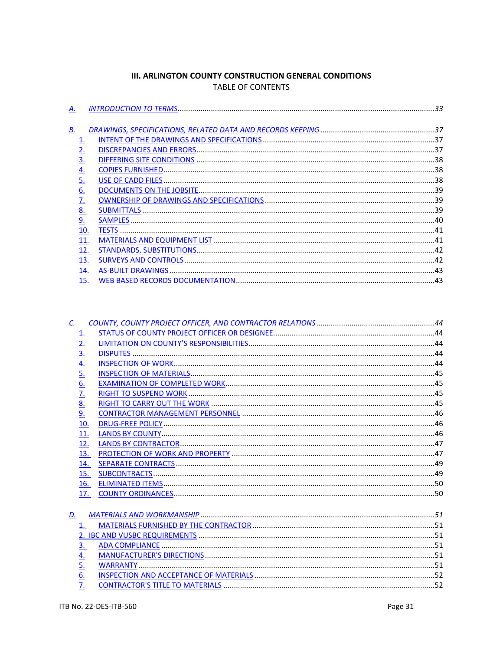# **III. ARLINGTON COUNTY CONSTRUCTION GENERAL CONDITIONS** TABLE OF CONTENTS

<span id="page-30-0"></span>

| А.        |  |
|-----------|--|
|           |  |
| <u>B.</u> |  |
|           |  |
|           |  |
| <u>3.</u> |  |
| <u>4.</u> |  |
| <u>5.</u> |  |
| <u>6.</u> |  |
|           |  |
| 8.        |  |
| <u>و</u>  |  |
| 10.       |  |
| 11.       |  |
| 12.       |  |
| 13.       |  |
| 14.       |  |
| 15.       |  |

| $\mathcal{C}$ .   |     |  |
|-------------------|-----|--|
| 1.                |     |  |
| 2.                |     |  |
|                   |     |  |
| $\frac{3}{4}$     |     |  |
| $\overline{5}$ .  |     |  |
| $\underline{6}$ . |     |  |
| $\overline{Z}$    |     |  |
| 8.                |     |  |
| 9.                |     |  |
|                   | 10. |  |
|                   | 11. |  |
|                   | 12. |  |
|                   | 13. |  |
|                   | 14. |  |
|                   | 15. |  |
|                   | 16. |  |
|                   | 17. |  |
|                   |     |  |
| D.                |     |  |
| 1.                |     |  |
|                   |     |  |
| 3.                |     |  |
| $\underline{4}$ . |     |  |
| 5.                |     |  |
| 6.                |     |  |
| 7.                |     |  |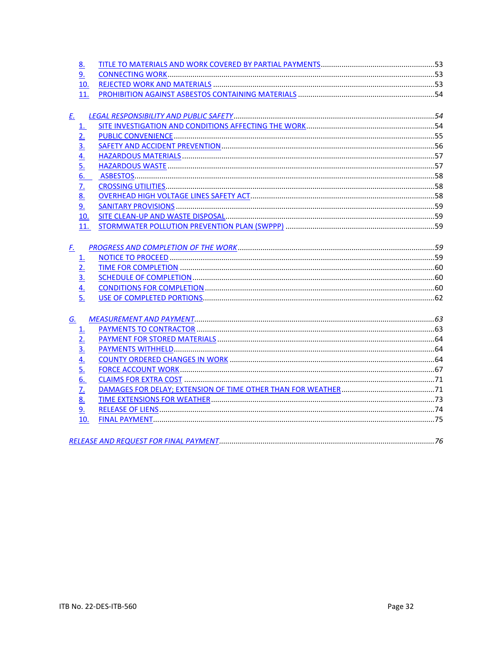| 8.                |  |
|-------------------|--|
| <u>و</u>          |  |
| 10.               |  |
| 11.               |  |
| <u>E.</u>         |  |
| <u>1.</u>         |  |
| 2.                |  |
| $\overline{3}$ .  |  |
|                   |  |
| $\frac{4}{5}$     |  |
| 6.                |  |
| $\overline{Z}$    |  |
| 8.                |  |
| <u>9.</u>         |  |
| <u>10.</u>        |  |
| 11.               |  |
|                   |  |
| <u>F.</u>         |  |
| <u>1.</u>         |  |
| 2.                |  |
| <u>3.</u>         |  |
| $\frac{4}{5}$     |  |
|                   |  |
|                   |  |
| G.                |  |
| 1.                |  |
| 2.                |  |
| $\underline{3}$ . |  |
| <u>4.</u>         |  |
| 5.                |  |
| 6.                |  |
| $\overline{Z}$    |  |
| <u>8.</u>         |  |
| 9.                |  |
| 10.               |  |
|                   |  |
|                   |  |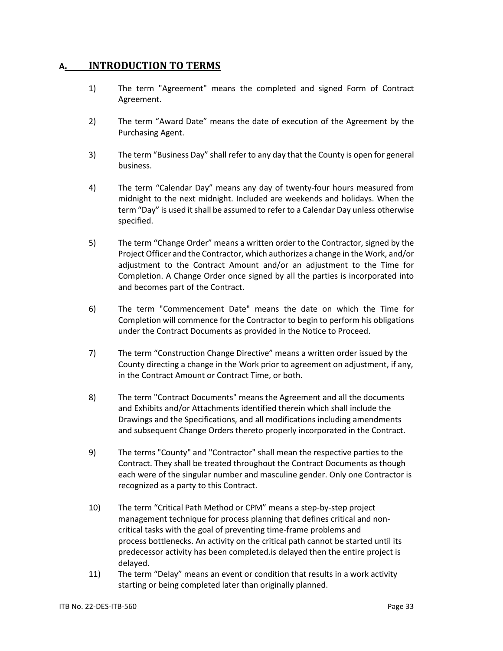# <span id="page-32-0"></span>**A. INTRODUCTION TO TERMS**

- 1) The term "Agreement" means the completed and signed Form of Contract Agreement.
- 2) The term "Award Date" means the date of execution of the Agreement by the Purchasing Agent.
- 3) The term "Business Day" shall refer to any day that the County is open for general business.
- 4) The term "Calendar Day" means any day of twenty-four hours measured from midnight to the next midnight. Included are weekends and holidays. When the term "Day" is used it shall be assumed to refer to a Calendar Day unless otherwise specified.
- 5) The term "Change Order" means a written order to the Contractor, signed by the Project Officer and the Contractor, which authorizes a change in the Work, and/or adjustment to the Contract Amount and/or an adjustment to the Time for Completion. A Change Order once signed by all the parties is incorporated into and becomes part of the Contract.
- 6) The term "Commencement Date" means the date on which the Time for Completion will commence for the Contractor to begin to perform his obligations under the Contract Documents as provided in the Notice to Proceed.
- 7) The term "Construction Change Directive" means a written order issued by the County directing a change in the Work prior to agreement on adjustment, if any, in the Contract Amount or Contract Time, or both.
- 8) The term "Contract Documents" means the Agreement and all the documents and Exhibits and/or Attachments identified therein which shall include the Drawings and the Specifications, and all modifications including amendments and subsequent Change Orders thereto properly incorporated in the Contract.
- 9) The terms "County" and "Contractor" shall mean the respective parties to the Contract. They shall be treated throughout the Contract Documents as though each were of the singular number and masculine gender. Only one Contractor is recognized as a party to this Contract.
- 10) The term "Critical Path Method or CPM" means a step-by-step [project](http://searchcio.techtarget.com/definition/project-management)  [management](http://searchcio.techtarget.com/definition/project-management) technique for process planning that defines critical and noncritical tasks with the goal of preventing time-frame problems and process [bottlenecks.](http://searchenterprisewan.techtarget.com/definition/bottleneck) An activity on the critical path cannot be started until its predecessor activity has been completed.is delayed then the entire project is delayed.
- 11) The term "Delay" means an event or condition that results in a work activity starting or being completed later than originally planned.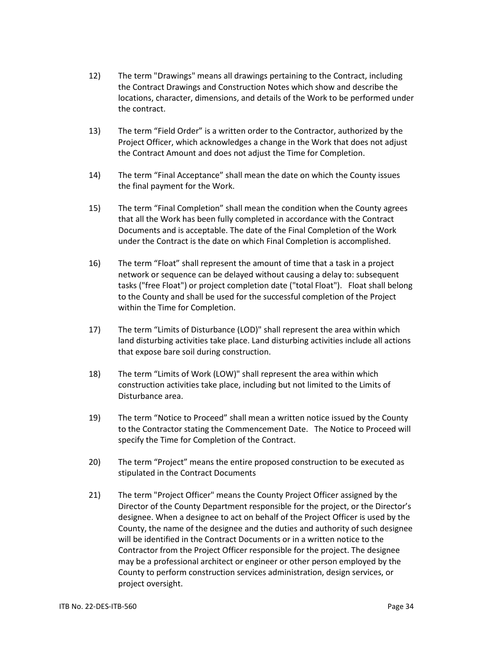- 12) The term "Drawings" means all drawings pertaining to the Contract, including the Contract Drawings and Construction Notes which show and describe the locations, character, dimensions, and details of the Work to be performed under the contract.
- 13) The term "Field Order" is a written order to the Contractor, authorized by the Project Officer, which acknowledges a change in the Work that does not adjust the Contract Amount and does not adjust the Time for Completion.
- 14) The term "Final Acceptance" shall mean the date on which the County issues the final payment for the Work.
- 15) The term "Final Completion" shall mean the condition when the County agrees that all the Work has been fully completed in accordance with the Contract Documents and is acceptable. The date of the Final Completion of the Work under the Contract is the date on which Final Completion is accomplished.
- 16) The term "Float" shall represent the amount of time that a task in a project network or sequence can be delayed without causing a delay to: subsequent tasks ("free Float") or project completion date ("total Float"). Float shall belong to the County and shall be used for the successful completion of the Project within the Time for Completion.
- 17) The term "Limits of Disturbance (LOD)" shall represent the area within which land disturbing activities take place. Land disturbing activities include all actions that expose bare soil during construction.
- 18) The term "Limits of Work (LOW)" shall represent the area within which construction activities take place, including but not limited to the Limits of Disturbance area.
- 19) The term "Notice to Proceed" shall mean a written notice issued by the County to the Contractor stating the Commencement Date. The Notice to Proceed will specify the Time for Completion of the Contract.
- 20) The term "Project" means the entire proposed construction to be executed as stipulated in the Contract Documents
- 21) The term "Project Officer" means the County Project Officer assigned by the Director of the County Department responsible for the project, or the Director's designee. When a designee to act on behalf of the Project Officer is used by the County, the name of the designee and the duties and authority of such designee will be identified in the Contract Documents or in a written notice to the Contractor from the Project Officer responsible for the project. The designee may be a professional architect or engineer or other person employed by the County to perform construction services administration, design services, or project oversight.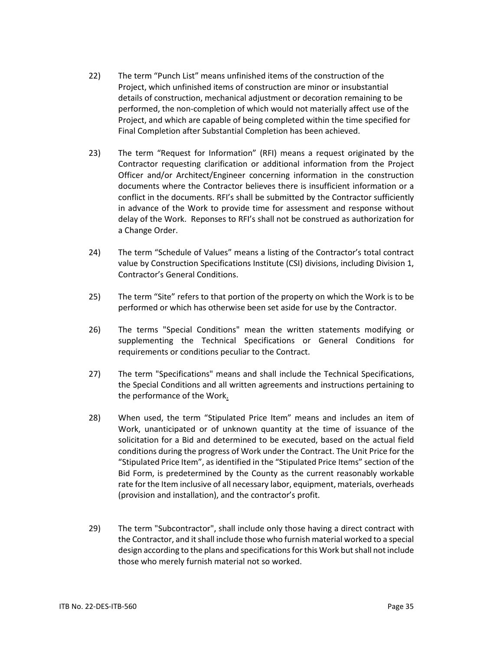- 22) The term "Punch List" means unfinished items of the construction of the Project, which unfinished items of construction are minor or insubstantial details of construction, mechanical adjustment or decoration remaining to be performed, the non-completion of which would not materially affect use of the Project, and which are capable of being completed within the time specified for Final Completion after Substantial Completion has been achieved.
- 23) The term "Request for Information" (RFI) means a request originated by the Contractor requesting clarification or additional information from the Project Officer and/or Architect/Engineer concerning information in the construction documents where the Contractor believes there is insufficient information or a conflict in the documents. RFI's shall be submitted by the Contractor sufficiently in advance of the Work to provide time for assessment and response without delay of the Work. Reponses to RFI's shall not be construed as authorization for a Change Order.
- 24) The term "Schedule of Values" means a listing of the Contractor's total contract value by Construction Specifications Institute (CSI) divisions, including Division 1, Contractor's General Conditions.
- 25) The term "Site" refers to that portion of the property on which the Work is to be performed or which has otherwise been set aside for use by the Contractor.
- 26) The terms "Special Conditions" mean the written statements modifying or supplementing the Technical Specifications or General Conditions for requirements or conditions peculiar to the Contract.
- 27) The term "Specifications" means and shall include the Technical Specifications, the Special Conditions and all written agreements and instructions pertaining to the performance of the Work.
- 28) When used, the term "Stipulated Price Item" means and includes an item of Work, unanticipated or of unknown quantity at the time of issuance of the solicitation for a Bid and determined to be executed, based on the actual field conditions during the progress of Work under the Contract. The Unit Price for the "Stipulated Price Item", as identified in the "Stipulated Price Items" section of the Bid Form, is predetermined by the County as the current reasonably workable rate for the Item inclusive of all necessary labor, equipment, materials, overheads (provision and installation), and the contractor's profit.
- 29) The term "Subcontractor", shall include only those having a direct contract with the Contractor, and it shall include those who furnish material worked to a special design according to the plans and specifications for this Work but shall not include those who merely furnish material not so worked.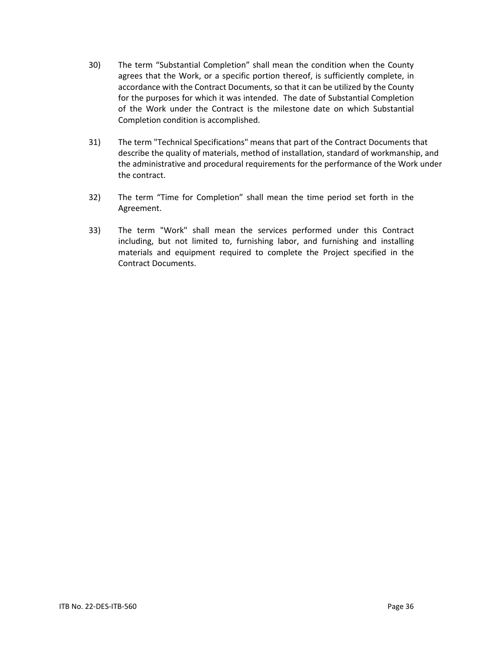- 30) The term "Substantial Completion" shall mean the condition when the County agrees that the Work, or a specific portion thereof, is sufficiently complete, in accordance with the Contract Documents, so that it can be utilized by the County for the purposes for which it was intended. The date of Substantial Completion of the Work under the Contract is the milestone date on which Substantial Completion condition is accomplished.
- 31) The term "Technical Specifications" means that part of the Contract Documents that describe the quality of materials, method of installation, standard of workmanship, and the administrative and procedural requirements for the performance of the Work under the contract.
- 32) The term "Time for Completion" shall mean the time period set forth in the Agreement.
- 33) The term "Work" shall mean the services performed under this Contract including, but not limited to, furnishing labor, and furnishing and installing materials and equipment required to complete the Project specified in the Contract Documents.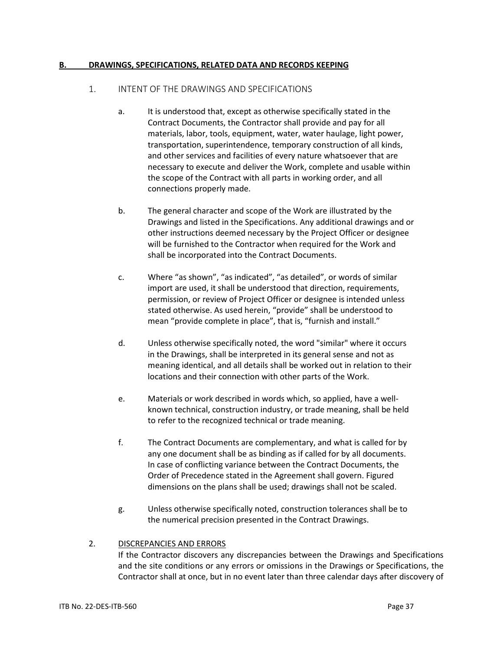#### **B. DRAWINGS, SPECIFICATIONS, RELATED DATA AND RECORDS KEEPING**

#### 1. INTENT OF THE DRAWINGS AND SPECIFICATIONS

- a. It is understood that, except as otherwise specifically stated in the Contract Documents, the Contractor shall provide and pay for all materials, labor, tools, equipment, water, water haulage, light power, transportation, superintendence, temporary construction of all kinds, and other services and facilities of every nature whatsoever that are necessary to execute and deliver the Work, complete and usable within the scope of the Contract with all parts in working order, and all connections properly made.
- b. The general character and scope of the Work are illustrated by the Drawings and listed in the Specifications. Any additional drawings and or other instructions deemed necessary by the Project Officer or designee will be furnished to the Contractor when required for the Work and shall be incorporated into the Contract Documents.
- c. Where "as shown", "as indicated", "as detailed", or words of similar import are used, it shall be understood that direction, requirements, permission, or review of Project Officer or designee is intended unless stated otherwise. As used herein, "provide" shall be understood to mean "provide complete in place", that is, "furnish and install."
- d. Unless otherwise specifically noted, the word "similar" where it occurs in the Drawings, shall be interpreted in its general sense and not as meaning identical, and all details shall be worked out in relation to their locations and their connection with other parts of the Work.
- e. Materials or work described in words which, so applied, have a wellknown technical, construction industry, or trade meaning, shall be held to refer to the recognized technical or trade meaning.
- f. The Contract Documents are complementary, and what is called for by any one document shall be as binding as if called for by all documents. In case of conflicting variance between the Contract Documents, the Order of Precedence stated in the Agreement shall govern. Figured dimensions on the plans shall be used; drawings shall not be scaled.
- g. Unless otherwise specifically noted, construction tolerances shall be to the numerical precision presented in the Contract Drawings.

## 2. DISCREPANCIES AND ERRORS

If the Contractor discovers any discrepancies between the Drawings and Specifications and the site conditions or any errors or omissions in the Drawings or Specifications, the Contractor shall at once, but in no event later than three calendar days after discovery of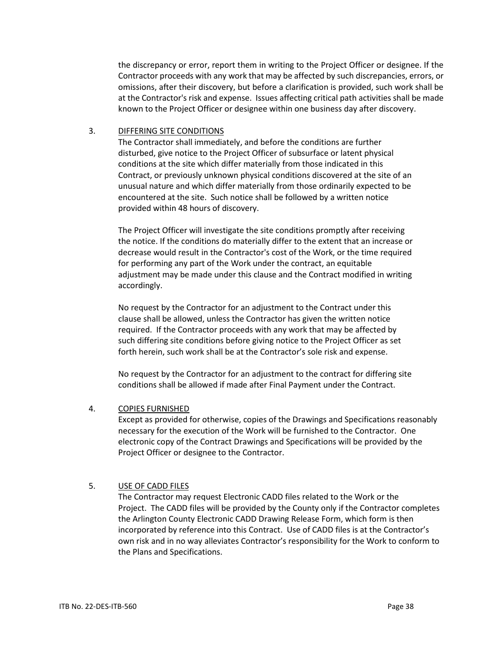the discrepancy or error, report them in writing to the Project Officer or designee. If the Contractor proceeds with any work that may be affected by such discrepancies, errors, or omissions, after their discovery, but before a clarification is provided, such work shall be at the Contractor's risk and expense. Issues affecting critical path activities shall be made known to the Project Officer or designee within one business day after discovery.

## 3. DIFFERING SITE CONDITIONS

The Contractor shall immediately, and before the conditions are further disturbed, give notice to the Project Officer of subsurface or latent physical conditions at the site which differ materially from those indicated in this Contract, or previously unknown physical conditions discovered at the site of an unusual nature and which differ materially from those ordinarily expected to be encountered at the site. Such notice shall be followed by a written notice provided within 48 hours of discovery.

The Project Officer will investigate the site conditions promptly after receiving the notice. If the conditions do materially differ to the extent that an increase or decrease would result in the Contractor's cost of the Work, or the time required for performing any part of the Work under the contract, an equitable adjustment may be made under this clause and the Contract modified in writing accordingly.

No request by the Contractor for an adjustment to the Contract under this clause shall be allowed, unless the Contractor has given the written notice required. If the Contractor proceeds with any work that may be affected by such differing site conditions before giving notice to the Project Officer as set forth herein, such work shall be at the Contractor's sole risk and expense.

No request by the Contractor for an adjustment to the contract for differing site conditions shall be allowed if made after Final Payment under the Contract.

## 4. COPIES FURNISHED

Except as provided for otherwise, copies of the Drawings and Specifications reasonably necessary for the execution of the Work will be furnished to the Contractor. One electronic copy of the Contract Drawings and Specifications will be provided by the Project Officer or designee to the Contractor.

## 5. USE OF CADD FILES

The Contractor may request Electronic CADD files related to the Work or the Project. The CADD files will be provided by the County only if the Contractor completes the Arlington County Electronic CADD Drawing Release Form, which form is then incorporated by reference into this Contract. Use of CADD files is at the Contractor's own risk and in no way alleviates Contractor's responsibility for the Work to conform to the Plans and Specifications.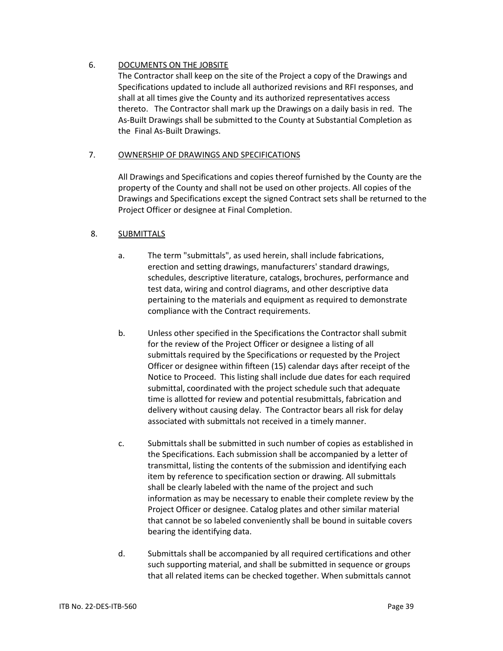# 6. DOCUMENTS ON THE JOBSITE

The Contractor shall keep on the site of the Project a copy of the Drawings and Specifications updated to include all authorized revisions and RFI responses, and shall at all times give the County and its authorized representatives access thereto. The Contractor shall mark up the Drawings on a daily basis in red. The As-Built Drawings shall be submitted to the County at Substantial Completion as the Final As-Built Drawings.

# 7. OWNERSHIP OF DRAWINGS AND SPECIFICATIONS

All Drawings and Specifications and copies thereof furnished by the County are the property of the County and shall not be used on other projects. All copies of the Drawings and Specifications except the signed Contract sets shall be returned to the Project Officer or designee at Final Completion.

# 8. SUBMITTALS

- a. The term "submittals", as used herein, shall include fabrications, erection and setting drawings, manufacturers' standard drawings, schedules, descriptive literature, catalogs, brochures, performance and test data, wiring and control diagrams, and other descriptive data pertaining to the materials and equipment as required to demonstrate compliance with the Contract requirements.
- b. Unless other specified in the Specifications the Contractor shall submit for the review of the Project Officer or designee a listing of all submittals required by the Specifications or requested by the Project Officer or designee within fifteen (15) calendar days after receipt of the Notice to Proceed. This listing shall include due dates for each required submittal, coordinated with the project schedule such that adequate time is allotted for review and potential resubmittals, fabrication and delivery without causing delay. The Contractor bears all risk for delay associated with submittals not received in a timely manner.
- c. Submittals shall be submitted in such number of copies as established in the Specifications. Each submission shall be accompanied by a letter of transmittal, listing the contents of the submission and identifying each item by reference to specification section or drawing. All submittals shall be clearly labeled with the name of the project and such information as may be necessary to enable their complete review by the Project Officer or designee. Catalog plates and other similar material that cannot be so labeled conveniently shall be bound in suitable covers bearing the identifying data.
- d. Submittals shall be accompanied by all required certifications and other such supporting material, and shall be submitted in sequence or groups that all related items can be checked together. When submittals cannot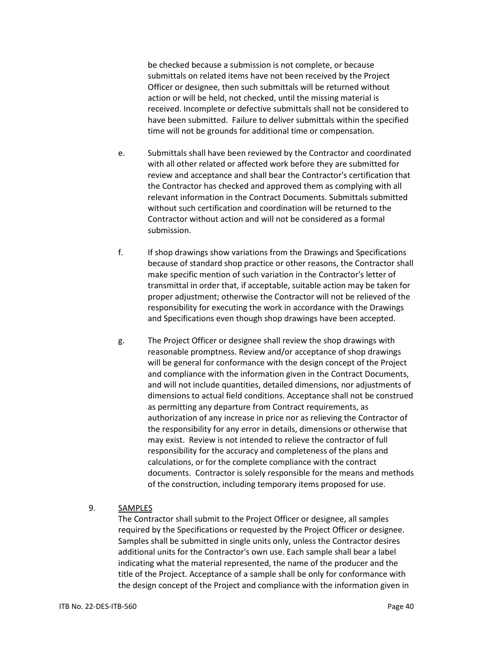be checked because a submission is not complete, or because submittals on related items have not been received by the Project Officer or designee, then such submittals will be returned without action or will be held, not checked, until the missing material is received. Incomplete or defective submittals shall not be considered to have been submitted. Failure to deliver submittals within the specified time will not be grounds for additional time or compensation.

- e. Submittals shall have been reviewed by the Contractor and coordinated with all other related or affected work before they are submitted for review and acceptance and shall bear the Contractor's certification that the Contractor has checked and approved them as complying with all relevant information in the Contract Documents. Submittals submitted without such certification and coordination will be returned to the Contractor without action and will not be considered as a formal submission.
- f. If shop drawings show variations from the Drawings and Specifications because of standard shop practice or other reasons, the Contractor shall make specific mention of such variation in the Contractor's letter of transmittal in order that, if acceptable, suitable action may be taken for proper adjustment; otherwise the Contractor will not be relieved of the responsibility for executing the work in accordance with the Drawings and Specifications even though shop drawings have been accepted.
- g. The Project Officer or designee shall review the shop drawings with reasonable promptness. Review and/or acceptance of shop drawings will be general for conformance with the design concept of the Project and compliance with the information given in the Contract Documents, and will not include quantities, detailed dimensions, nor adjustments of dimensions to actual field conditions. Acceptance shall not be construed as permitting any departure from Contract requirements, as authorization of any increase in price nor as relieving the Contractor of the responsibility for any error in details, dimensions or otherwise that may exist. Review is not intended to relieve the contractor of full responsibility for the accuracy and completeness of the plans and calculations, or for the complete compliance with the contract documents. Contractor is solely responsible for the means and methods of the construction, including temporary items proposed for use.

#### 9. SAMPLES

The Contractor shall submit to the Project Officer or designee, all samples required by the Specifications or requested by the Project Officer or designee. Samples shall be submitted in single units only, unless the Contractor desires additional units for the Contractor's own use. Each sample shall bear a label indicating what the material represented, the name of the producer and the title of the Project. Acceptance of a sample shall be only for conformance with the design concept of the Project and compliance with the information given in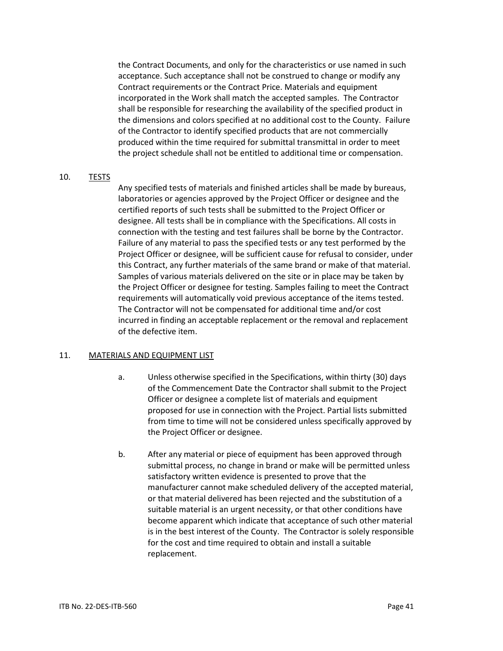the Contract Documents, and only for the characteristics or use named in such acceptance. Such acceptance shall not be construed to change or modify any Contract requirements or the Contract Price. Materials and equipment incorporated in the Work shall match the accepted samples. The Contractor shall be responsible for researching the availability of the specified product in the dimensions and colors specified at no additional cost to the County. Failure of the Contractor to identify specified products that are not commercially produced within the time required for submittal transmittal in order to meet the project schedule shall not be entitled to additional time or compensation.

#### 10. TESTS

Any specified tests of materials and finished articles shall be made by bureaus, laboratories or agencies approved by the Project Officer or designee and the certified reports of such tests shall be submitted to the Project Officer or designee. All tests shall be in compliance with the Specifications. All costs in connection with the testing and test failures shall be borne by the Contractor. Failure of any material to pass the specified tests or any test performed by the Project Officer or designee, will be sufficient cause for refusal to consider, under this Contract, any further materials of the same brand or make of that material. Samples of various materials delivered on the site or in place may be taken by the Project Officer or designee for testing. Samples failing to meet the Contract requirements will automatically void previous acceptance of the items tested. The Contractor will not be compensated for additional time and/or cost incurred in finding an acceptable replacement or the removal and replacement of the defective item.

#### 11. MATERIALS AND EQUIPMENT LIST

- a. Unless otherwise specified in the Specifications, within thirty (30) days of the Commencement Date the Contractor shall submit to the Project Officer or designee a complete list of materials and equipment proposed for use in connection with the Project. Partial lists submitted from time to time will not be considered unless specifically approved by the Project Officer or designee.
- b. After any material or piece of equipment has been approved through submittal process, no change in brand or make will be permitted unless satisfactory written evidence is presented to prove that the manufacturer cannot make scheduled delivery of the accepted material, or that material delivered has been rejected and the substitution of a suitable material is an urgent necessity, or that other conditions have become apparent which indicate that acceptance of such other material is in the best interest of the County. The Contractor is solely responsible for the cost and time required to obtain and install a suitable replacement.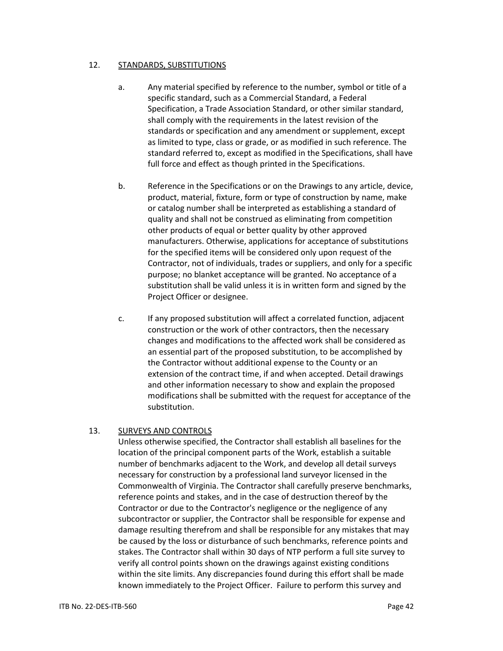#### 12. STANDARDS, SUBSTITUTIONS

- a. Any material specified by reference to the number, symbol or title of a specific standard, such as a Commercial Standard, a Federal Specification, a Trade Association Standard, or other similar standard, shall comply with the requirements in the latest revision of the standards or specification and any amendment or supplement, except as limited to type, class or grade, or as modified in such reference. The standard referred to, except as modified in the Specifications, shall have full force and effect as though printed in the Specifications.
- b. Reference in the Specifications or on the Drawings to any article, device, product, material, fixture, form or type of construction by name, make or catalog number shall be interpreted as establishing a standard of quality and shall not be construed as eliminating from competition other products of equal or better quality by other approved manufacturers. Otherwise, applications for acceptance of substitutions for the specified items will be considered only upon request of the Contractor, not of individuals, trades or suppliers, and only for a specific purpose; no blanket acceptance will be granted. No acceptance of a substitution shall be valid unless it is in written form and signed by the Project Officer or designee.
- c. If any proposed substitution will affect a correlated function, adjacent construction or the work of other contractors, then the necessary changes and modifications to the affected work shall be considered as an essential part of the proposed substitution, to be accomplished by the Contractor without additional expense to the County or an extension of the contract time, if and when accepted. Detail drawings and other information necessary to show and explain the proposed modifications shall be submitted with the request for acceptance of the substitution.

#### 13. SURVEYS AND CONTROLS

Unless otherwise specified, the Contractor shall establish all baselines for the location of the principal component parts of the Work, establish a suitable number of benchmarks adjacent to the Work, and develop all detail surveys necessary for construction by a professional land surveyor licensed in the Commonwealth of Virginia. The Contractor shall carefully preserve benchmarks, reference points and stakes, and in the case of destruction thereof by the Contractor or due to the Contractor's negligence or the negligence of any subcontractor or supplier, the Contractor shall be responsible for expense and damage resulting therefrom and shall be responsible for any mistakes that may be caused by the loss or disturbance of such benchmarks, reference points and stakes. The Contractor shall within 30 days of NTP perform a full site survey to verify all control points shown on the drawings against existing conditions within the site limits. Any discrepancies found during this effort shall be made known immediately to the Project Officer. Failure to perform this survey and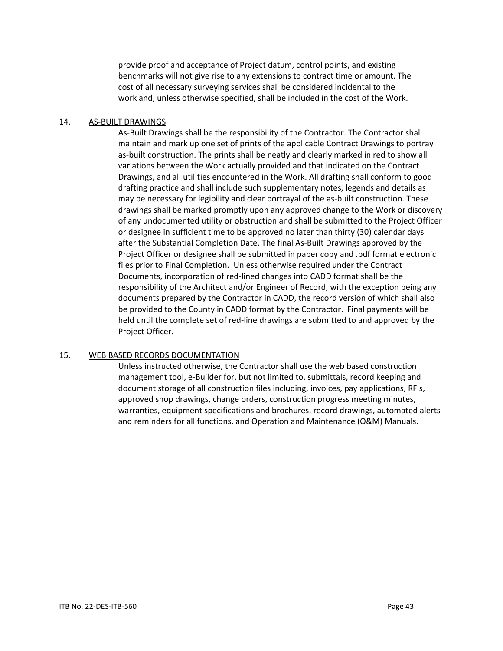provide proof and acceptance of Project datum, control points, and existing benchmarks will not give rise to any extensions to contract time or amount. The cost of all necessary surveying services shall be considered incidental to the work and, unless otherwise specified, shall be included in the cost of the Work.

#### 14. AS-BUILT DRAWINGS

As-Built Drawings shall be the responsibility of the Contractor. The Contractor shall maintain and mark up one set of prints of the applicable Contract Drawings to portray as-built construction. The prints shall be neatly and clearly marked in red to show all variations between the Work actually provided and that indicated on the Contract Drawings, and all utilities encountered in the Work. All drafting shall conform to good drafting practice and shall include such supplementary notes, legends and details as may be necessary for legibility and clear portrayal of the as-built construction. These drawings shall be marked promptly upon any approved change to the Work or discovery of any undocumented utility or obstruction and shall be submitted to the Project Officer or designee in sufficient time to be approved no later than thirty (30) calendar days after the Substantial Completion Date. The final As-Built Drawings approved by the Project Officer or designee shall be submitted in paper copy and .pdf format electronic files prior to Final Completion. Unless otherwise required under the Contract Documents, incorporation of red-lined changes into CADD format shall be the responsibility of the Architect and/or Engineer of Record, with the exception being any documents prepared by the Contractor in CADD, the record version of which shall also be provided to the County in CADD format by the Contractor. Final payments will be held until the complete set of red-line drawings are submitted to and approved by the Project Officer.

#### 15. WEB BASED RECORDS DOCUMENTATION

Unless instructed otherwise, the Contractor shall use the web based construction management tool, e-Builder for, but not limited to, submittals, record keeping and document storage of all construction files including, invoices, pay applications, RFIs, approved shop drawings, change orders, construction progress meeting minutes, warranties, equipment specifications and brochures, record drawings, automated alerts and reminders for all functions, and Operation and Maintenance (O&M) Manuals.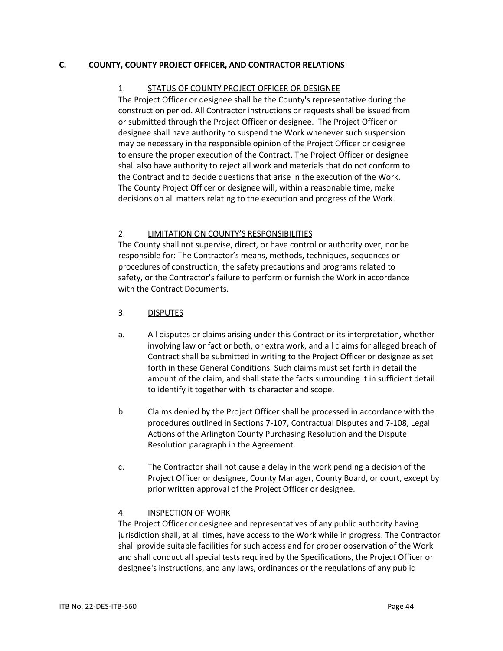## **C. COUNTY, COUNTY PROJECT OFFICER, AND CONTRACTOR RELATIONS**

## 1. STATUS OF COUNTY PROJECT OFFICER OR DESIGNEE

The Project Officer or designee shall be the County's representative during the construction period. All Contractor instructions or requests shall be issued from or submitted through the Project Officer or designee. The Project Officer or designee shall have authority to suspend the Work whenever such suspension may be necessary in the responsible opinion of the Project Officer or designee to ensure the proper execution of the Contract. The Project Officer or designee shall also have authority to reject all work and materials that do not conform to the Contract and to decide questions that arise in the execution of the Work. The County Project Officer or designee will, within a reasonable time, make decisions on all matters relating to the execution and progress of the Work.

# 2. LIMITATION ON COUNTY'S RESPONSIBILITIES

The County shall not supervise, direct, or have control or authority over, nor be responsible for: The Contractor's means, methods, techniques, sequences or procedures of construction; the safety precautions and programs related to safety, or the Contractor's failure to perform or furnish the Work in accordance with the Contract Documents.

- 3. DISPUTES
- a. All disputes or claims arising under this Contract or its interpretation, whether involving law or fact or both, or extra work, and all claims for alleged breach of Contract shall be submitted in writing to the Project Officer or designee as set forth in these General Conditions. Such claims must set forth in detail the amount of the claim, and shall state the facts surrounding it in sufficient detail to identify it together with its character and scope.
- b. Claims denied by the Project Officer shall be processed in accordance with the procedures outlined in Sections 7-107, Contractual Disputes and 7-108, Legal Actions of the Arlington County Purchasing Resolution and the Dispute Resolution paragraph in the Agreement.
- c. The Contractor shall not cause a delay in the work pending a decision of the Project Officer or designee, County Manager, County Board, or court, except by prior written approval of the Project Officer or designee.

# 4. INSPECTION OF WORK

The Project Officer or designee and representatives of any public authority having jurisdiction shall, at all times, have access to the Work while in progress. The Contractor shall provide suitable facilities for such access and for proper observation of the Work and shall conduct all special tests required by the Specifications, the Project Officer or designee's instructions, and any laws, ordinances or the regulations of any public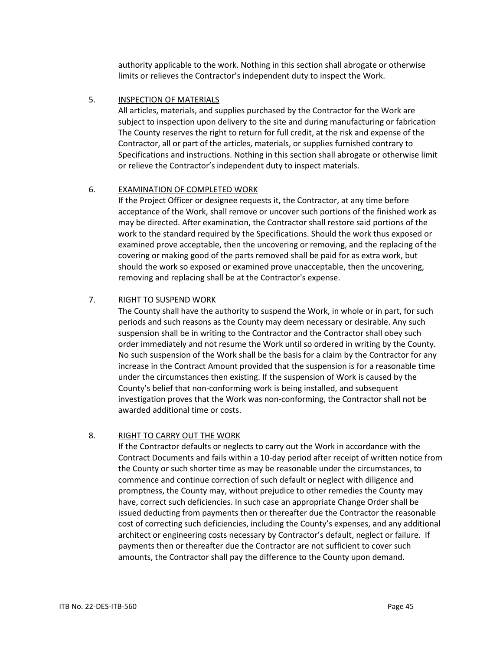authority applicable to the work. Nothing in this section shall abrogate or otherwise limits or relieves the Contractor's independent duty to inspect the Work.

## 5. INSPECTION OF MATERIALS

All articles, materials, and supplies purchased by the Contractor for the Work are subject to inspection upon delivery to the site and during manufacturing or fabrication The County reserves the right to return for full credit, at the risk and expense of the Contractor, all or part of the articles, materials, or supplies furnished contrary to Specifications and instructions. Nothing in this section shall abrogate or otherwise limit or relieve the Contractor's independent duty to inspect materials.

## 6. EXAMINATION OF COMPLETED WORK

If the Project Officer or designee requests it, the Contractor, at any time before acceptance of the Work, shall remove or uncover such portions of the finished work as may be directed. After examination, the Contractor shall restore said portions of the work to the standard required by the Specifications. Should the work thus exposed or examined prove acceptable, then the uncovering or removing, and the replacing of the covering or making good of the parts removed shall be paid for as extra work, but should the work so exposed or examined prove unacceptable, then the uncovering, removing and replacing shall be at the Contractor's expense.

#### 7. RIGHT TO SUSPEND WORK

The County shall have the authority to suspend the Work, in whole or in part, for such periods and such reasons as the County may deem necessary or desirable. Any such suspension shall be in writing to the Contractor and the Contractor shall obey such order immediately and not resume the Work until so ordered in writing by the County. No such suspension of the Work shall be the basis for a claim by the Contractor for any increase in the Contract Amount provided that the suspension is for a reasonable time under the circumstances then existing. If the suspension of Work is caused by the County's belief that non-conforming work is being installed, and subsequent investigation proves that the Work was non-conforming, the Contractor shall not be awarded additional time or costs.

## 8. RIGHT TO CARRY OUT THE WORK

If the Contractor defaults or neglects to carry out the Work in accordance with the Contract Documents and fails within a 10-day period after receipt of written notice from the County or such shorter time as may be reasonable under the circumstances, to commence and continue correction of such default or neglect with diligence and promptness, the County may, without prejudice to other remedies the County may have, correct such deficiencies. In such case an appropriate Change Order shall be issued deducting from payments then or thereafter due the Contractor the reasonable cost of correcting such deficiencies, including the County's expenses, and any additional architect or engineering costs necessary by Contractor's default, neglect or failure. If payments then or thereafter due the Contractor are not sufficient to cover such amounts, the Contractor shall pay the difference to the County upon demand.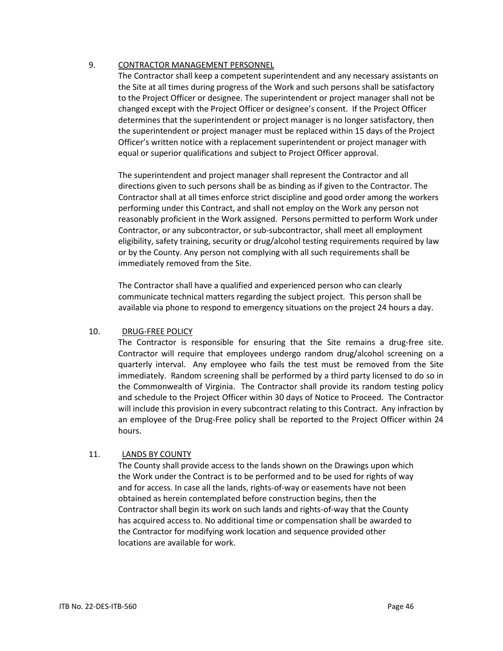## 9. CONTRACTOR MANAGEMENT PERSONNEL

The Contractor shall keep a competent superintendent and any necessary assistants on the Site at all times during progress of the Work and such persons shall be satisfactory to the Project Officer or designee. The superintendent or project manager shall not be changed except with the Project Officer or designee's consent. If the Project Officer determines that the superintendent or project manager is no longer satisfactory, then the superintendent or project manager must be replaced within 15 days of the Project Officer's written notice with a replacement superintendent or project manager with equal or superior qualifications and subject to Project Officer approval.

The superintendent and project manager shall represent the Contractor and all directions given to such persons shall be as binding as if given to the Contractor. The Contractor shall at all times enforce strict discipline and good order among the workers performing under this Contract, and shall not employ on the Work any person not reasonably proficient in the Work assigned. Persons permitted to perform Work under Contractor, or any subcontractor, or sub-subcontractor, shall meet all employment eligibility, safety training, security or drug/alcohol testing requirements required by law or by the County. Any person not complying with all such requirements shall be immediately removed from the Site.

The Contractor shall have a qualified and experienced person who can clearly communicate technical matters regarding the subject project. This person shall be available via phone to respond to emergency situations on the project 24 hours a day.

## 10. DRUG-FREE POLICY

The Contractor is responsible for ensuring that the Site remains a drug-free site. Contractor will require that employees undergo random drug/alcohol screening on a quarterly interval. Any employee who fails the test must be removed from the Site immediately. Random screening shall be performed by a third party licensed to do so in the Commonwealth of Virginia. The Contractor shall provide its random testing policy and schedule to the Project Officer within 30 days of Notice to Proceed. The Contractor will include this provision in every subcontract relating to this Contract. Any infraction by an employee of the Drug-Free policy shall be reported to the Project Officer within 24 hours.

# 11. LANDS BY COUNTY

The County shall provide access to the lands shown on the Drawings upon which the Work under the Contract is to be performed and to be used for rights of way and for access. In case all the lands, rights-of-way or easements have not been obtained as herein contemplated before construction begins, then the Contractor shall begin its work on such lands and rights-of-way that the County has acquired access to. No additional time or compensation shall be awarded to the Contractor for modifying work location and sequence provided other locations are available for work.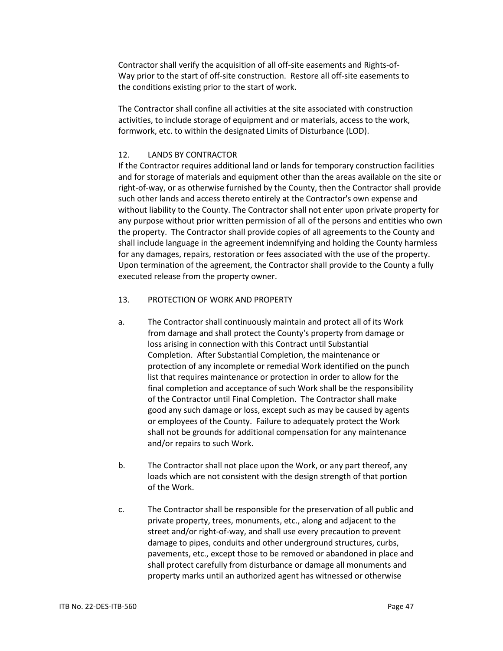Contractor shall verify the acquisition of all off-site easements and Rights-of-Way prior to the start of off-site construction. Restore all off-site easements to the conditions existing prior to the start of work.

The Contractor shall confine all activities at the site associated with construction activities, to include storage of equipment and or materials, access to the work, formwork, etc. to within the designated Limits of Disturbance (LOD).

#### 12. LANDS BY CONTRACTOR

If the Contractor requires additional land or lands for temporary construction facilities and for storage of materials and equipment other than the areas available on the site or right-of-way, or as otherwise furnished by the County, then the Contractor shall provide such other lands and access thereto entirely at the Contractor's own expense and without liability to the County. The Contractor shall not enter upon private property for any purpose without prior written permission of all of the persons and entities who own the property. The Contractor shall provide copies of all agreements to the County and shall include language in the agreement indemnifying and holding the County harmless for any damages, repairs, restoration or fees associated with the use of the property. Upon termination of the agreement, the Contractor shall provide to the County a fully executed release from the property owner.

#### 13. PROTECTION OF WORK AND PROPERTY

- a. The Contractor shall continuously maintain and protect all of its Work from damage and shall protect the County's property from damage or loss arising in connection with this Contract until Substantial Completion. After Substantial Completion, the maintenance or protection of any incomplete or remedial Work identified on the punch list that requires maintenance or protection in order to allow for the final completion and acceptance of such Work shall be the responsibility of the Contractor until Final Completion. The Contractor shall make good any such damage or loss, except such as may be caused by agents or employees of the County. Failure to adequately protect the Work shall not be grounds for additional compensation for any maintenance and/or repairs to such Work.
- b. The Contractor shall not place upon the Work, or any part thereof, any loads which are not consistent with the design strength of that portion of the Work.
- c. The Contractor shall be responsible for the preservation of all public and private property, trees, monuments, etc., along and adjacent to the street and/or right-of-way, and shall use every precaution to prevent damage to pipes, conduits and other underground structures, curbs, pavements, etc., except those to be removed or abandoned in place and shall protect carefully from disturbance or damage all monuments and property marks until an authorized agent has witnessed or otherwise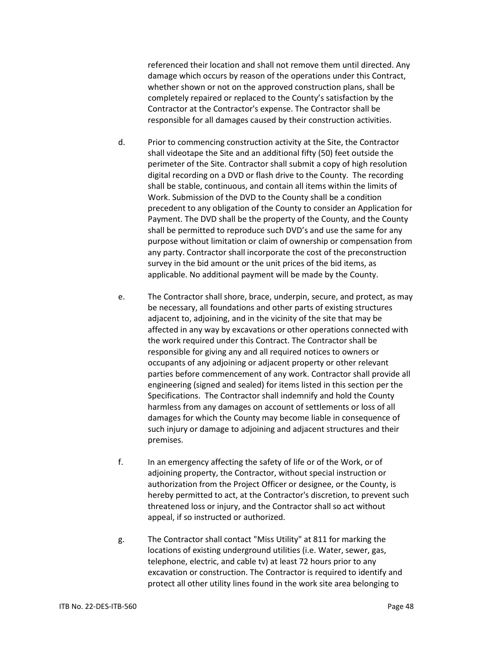referenced their location and shall not remove them until directed. Any damage which occurs by reason of the operations under this Contract, whether shown or not on the approved construction plans, shall be completely repaired or replaced to the County's satisfaction by the Contractor at the Contractor's expense. The Contractor shall be responsible for all damages caused by their construction activities.

- d. Prior to commencing construction activity at the Site, the Contractor shall videotape the Site and an additional fifty (50) feet outside the perimeter of the Site. Contractor shall submit a copy of high resolution digital recording on a DVD or flash drive to the County. The recording shall be stable, continuous, and contain all items within the limits of Work. Submission of the DVD to the County shall be a condition precedent to any obligation of the County to consider an Application for Payment. The DVD shall be the property of the County, and the County shall be permitted to reproduce such DVD's and use the same for any purpose without limitation or claim of ownership or compensation from any party. Contractor shall incorporate the cost of the preconstruction survey in the bid amount or the unit prices of the bid items, as applicable. No additional payment will be made by the County.
- e. The Contractor shall shore, brace, underpin, secure, and protect, as may be necessary, all foundations and other parts of existing structures adjacent to, adjoining, and in the vicinity of the site that may be affected in any way by excavations or other operations connected with the work required under this Contract. The Contractor shall be responsible for giving any and all required notices to owners or occupants of any adjoining or adjacent property or other relevant parties before commencement of any work. Contractor shall provide all engineering (signed and sealed) for items listed in this section per the Specifications. The Contractor shall indemnify and hold the County harmless from any damages on account of settlements or loss of all damages for which the County may become liable in consequence of such injury or damage to adjoining and adjacent structures and their premises.
- f. In an emergency affecting the safety of life or of the Work, or of adjoining property, the Contractor, without special instruction or authorization from the Project Officer or designee, or the County, is hereby permitted to act, at the Contractor's discretion, to prevent such threatened loss or injury, and the Contractor shall so act without appeal, if so instructed or authorized.
- g. The Contractor shall contact "Miss Utility" at 811 for marking the locations of existing underground utilities (i.e. Water, sewer, gas, telephone, electric, and cable tv) at least 72 hours prior to any excavation or construction. The Contractor is required to identify and protect all other utility lines found in the work site area belonging to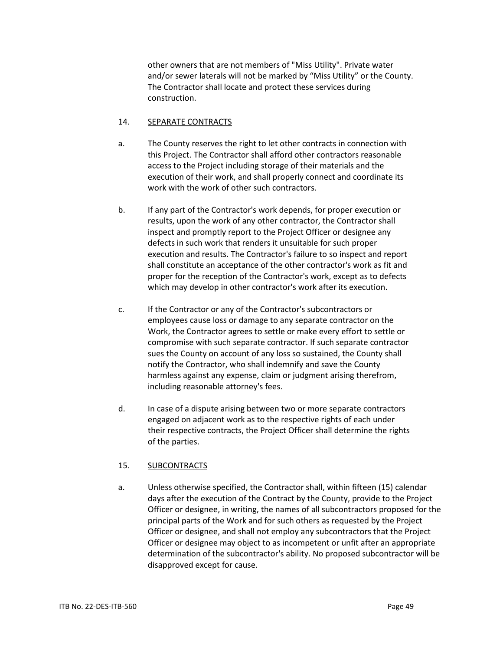other owners that are not members of "Miss Utility". Private water and/or sewer laterals will not be marked by "Miss Utility" or the County. The Contractor shall locate and protect these services during construction.

#### 14. SEPARATE CONTRACTS

- a. The County reserves the right to let other contracts in connection with this Project. The Contractor shall afford other contractors reasonable access to the Project including storage of their materials and the execution of their work, and shall properly connect and coordinate its work with the work of other such contractors.
- b. If any part of the Contractor's work depends, for proper execution or results, upon the work of any other contractor, the Contractor shall inspect and promptly report to the Project Officer or designee any defects in such work that renders it unsuitable for such proper execution and results. The Contractor's failure to so inspect and report shall constitute an acceptance of the other contractor's work as fit and proper for the reception of the Contractor's work, except as to defects which may develop in other contractor's work after its execution.
- c. If the Contractor or any of the Contractor's subcontractors or employees cause loss or damage to any separate contractor on the Work, the Contractor agrees to settle or make every effort to settle or compromise with such separate contractor. If such separate contractor sues the County on account of any loss so sustained, the County shall notify the Contractor, who shall indemnify and save the County harmless against any expense, claim or judgment arising therefrom, including reasonable attorney's fees.
- d. In case of a dispute arising between two or more separate contractors engaged on adjacent work as to the respective rights of each under their respective contracts, the Project Officer shall determine the rights of the parties.

## 15. SUBCONTRACTS

a. Unless otherwise specified, the Contractor shall, within fifteen (15) calendar days after the execution of the Contract by the County, provide to the Project Officer or designee, in writing, the names of all subcontractors proposed for the principal parts of the Work and for such others as requested by the Project Officer or designee, and shall not employ any subcontractors that the Project Officer or designee may object to as incompetent or unfit after an appropriate determination of the subcontractor's ability. No proposed subcontractor will be disapproved except for cause.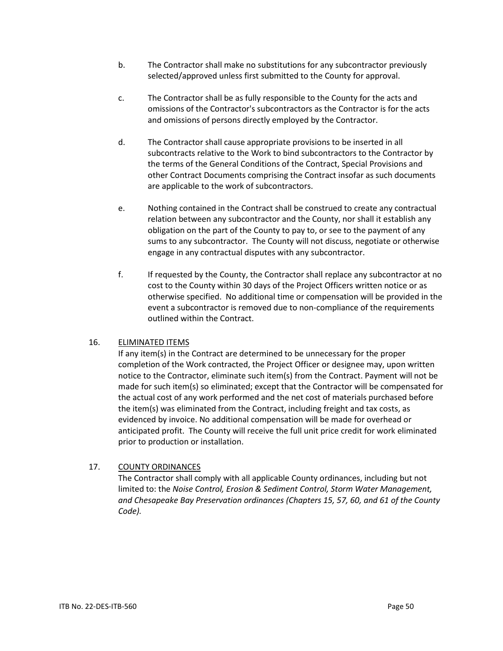- b. The Contractor shall make no substitutions for any subcontractor previously selected/approved unless first submitted to the County for approval.
- c. The Contractor shall be as fully responsible to the County for the acts and omissions of the Contractor's subcontractors as the Contractor is for the acts and omissions of persons directly employed by the Contractor.
- d. The Contractor shall cause appropriate provisions to be inserted in all subcontracts relative to the Work to bind subcontractors to the Contractor by the terms of the General Conditions of the Contract, Special Provisions and other Contract Documents comprising the Contract insofar as such documents are applicable to the work of subcontractors.
- e. Nothing contained in the Contract shall be construed to create any contractual relation between any subcontractor and the County, nor shall it establish any obligation on the part of the County to pay to, or see to the payment of any sums to any subcontractor. The County will not discuss, negotiate or otherwise engage in any contractual disputes with any subcontractor.
- f. If requested by the County, the Contractor shall replace any subcontractor at no cost to the County within 30 days of the Project Officers written notice or as otherwise specified. No additional time or compensation will be provided in the event a subcontractor is removed due to non-compliance of the requirements outlined within the Contract.

## 16. ELIMINATED ITEMS

If any item(s) in the Contract are determined to be unnecessary for the proper completion of the Work contracted, the Project Officer or designee may, upon written notice to the Contractor, eliminate such item(s) from the Contract. Payment will not be made for such item(s) so eliminated; except that the Contractor will be compensated for the actual cost of any work performed and the net cost of materials purchased before the item(s) was eliminated from the Contract, including freight and tax costs, as evidenced by invoice. No additional compensation will be made for overhead or anticipated profit. The County will receive the full unit price credit for work eliminated prior to production or installation.

# 17. COUNTY ORDINANCES

The Contractor shall comply with all applicable County ordinances, including but not limited to: the *Noise Control, Erosion & Sediment Control, Storm Water Management, and Chesapeake Bay Preservation ordinances (Chapters 15, 57, 60, and 61 of the County Code).*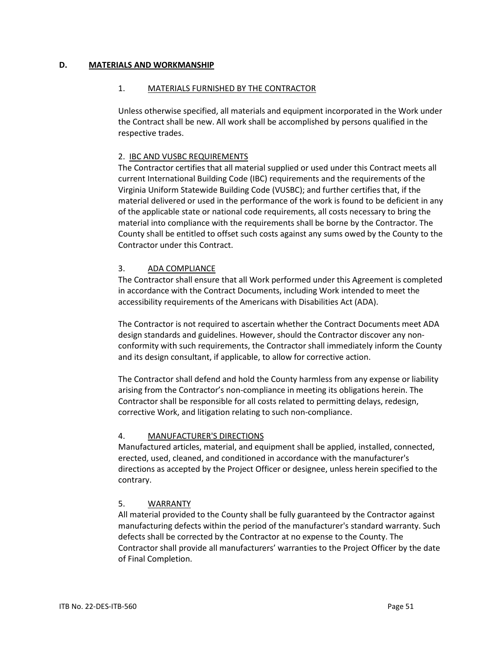#### **D. MATERIALS AND WORKMANSHIP**

#### 1. MATERIALS FURNISHED BY THE CONTRACTOR

Unless otherwise specified, all materials and equipment incorporated in the Work under the Contract shall be new. All work shall be accomplished by persons qualified in the respective trades.

#### 2. IBC AND VUSBC REQUIREMENTS

The Contractor certifies that all material supplied or used under this Contract meets all current International Building Code (IBC) requirements and the requirements of the Virginia Uniform Statewide Building Code (VUSBC); and further certifies that, if the material delivered or used in the performance of the work is found to be deficient in any of the applicable state or national code requirements, all costs necessary to bring the material into compliance with the requirements shall be borne by the Contractor. The County shall be entitled to offset such costs against any sums owed by the County to the Contractor under this Contract.

## 3. ADA COMPLIANCE

The Contractor shall ensure that all Work performed under this Agreement is completed in accordance with the Contract Documents, including Work intended to meet the accessibility requirements of the Americans with Disabilities Act (ADA).

The Contractor is not required to ascertain whether the Contract Documents meet ADA design standards and guidelines. However, should the Contractor discover any nonconformity with such requirements, the Contractor shall immediately inform the County and its design consultant, if applicable, to allow for corrective action.

The Contractor shall defend and hold the County harmless from any expense or liability arising from the Contractor's non-compliance in meeting its obligations herein. The Contractor shall be responsible for all costs related to permitting delays, redesign, corrective Work, and litigation relating to such non-compliance.

## 4. MANUFACTURER'S DIRECTIONS

Manufactured articles, material, and equipment shall be applied, installed, connected, erected, used, cleaned, and conditioned in accordance with the manufacturer's directions as accepted by the Project Officer or designee, unless herein specified to the contrary.

## 5. WARRANTY

All material provided to the County shall be fully guaranteed by the Contractor against manufacturing defects within the period of the manufacturer's standard warranty. Such defects shall be corrected by the Contractor at no expense to the County. The Contractor shall provide all manufacturers' warranties to the Project Officer by the date of Final Completion.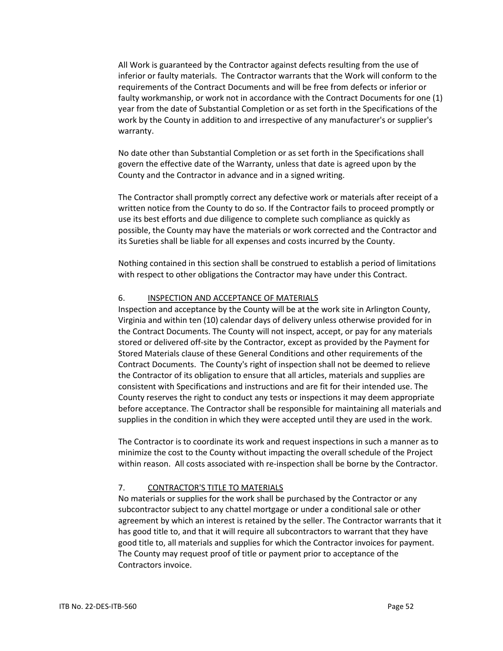All Work is guaranteed by the Contractor against defects resulting from the use of inferior or faulty materials. The Contractor warrants that the Work will conform to the requirements of the Contract Documents and will be free from defects or inferior or faulty workmanship, or work not in accordance with the Contract Documents for one (1) year from the date of Substantial Completion or as set forth in the Specifications of the work by the County in addition to and irrespective of any manufacturer's or supplier's warranty.

No date other than Substantial Completion or as set forth in the Specifications shall govern the effective date of the Warranty, unless that date is agreed upon by the County and the Contractor in advance and in a signed writing.

The Contractor shall promptly correct any defective work or materials after receipt of a written notice from the County to do so. If the Contractor fails to proceed promptly or use its best efforts and due diligence to complete such compliance as quickly as possible, the County may have the materials or work corrected and the Contractor and its Sureties shall be liable for all expenses and costs incurred by the County.

Nothing contained in this section shall be construed to establish a period of limitations with respect to other obligations the Contractor may have under this Contract.

## 6. INSPECTION AND ACCEPTANCE OF MATERIALS

Inspection and acceptance by the County will be at the work site in Arlington County, Virginia and within ten (10) calendar days of delivery unless otherwise provided for in the Contract Documents. The County will not inspect, accept, or pay for any materials stored or delivered off-site by the Contractor, except as provided by the Payment for Stored Materials clause of these General Conditions and other requirements of the Contract Documents. The County's right of inspection shall not be deemed to relieve the Contractor of its obligation to ensure that all articles, materials and supplies are consistent with Specifications and instructions and are fit for their intended use. The County reserves the right to conduct any tests or inspections it may deem appropriate before acceptance. The Contractor shall be responsible for maintaining all materials and supplies in the condition in which they were accepted until they are used in the work.

The Contractor is to coordinate its work and request inspections in such a manner as to minimize the cost to the County without impacting the overall schedule of the Project within reason. All costs associated with re-inspection shall be borne by the Contractor.

#### 7. CONTRACTOR'S TITLE TO MATERIALS

No materials or supplies for the work shall be purchased by the Contractor or any subcontractor subject to any chattel mortgage or under a conditional sale or other agreement by which an interest is retained by the seller. The Contractor warrants that it has good title to, and that it will require all subcontractors to warrant that they have good title to, all materials and supplies for which the Contractor invoices for payment. The County may request proof of title or payment prior to acceptance of the Contractors invoice.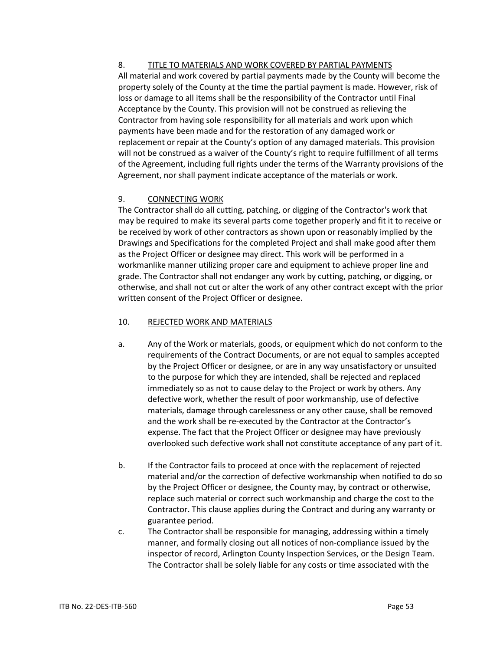# 8. TITLE TO MATERIALS AND WORK COVERED BY PARTIAL PAYMENTS

All material and work covered by partial payments made by the County will become the property solely of the County at the time the partial payment is made. However, risk of loss or damage to all items shall be the responsibility of the Contractor until Final Acceptance by the County. This provision will not be construed as relieving the Contractor from having sole responsibility for all materials and work upon which payments have been made and for the restoration of any damaged work or replacement or repair at the County's option of any damaged materials. This provision will not be construed as a waiver of the County's right to require fulfillment of all terms of the Agreement, including full rights under the terms of the Warranty provisions of the Agreement, nor shall payment indicate acceptance of the materials or work.

# 9. CONNECTING WORK

The Contractor shall do all cutting, patching, or digging of the Contractor's work that may be required to make its several parts come together properly and fit it to receive or be received by work of other contractors as shown upon or reasonably implied by the Drawings and Specifications for the completed Project and shall make good after them as the Project Officer or designee may direct. This work will be performed in a workmanlike manner utilizing proper care and equipment to achieve proper line and grade. The Contractor shall not endanger any work by cutting, patching, or digging, or otherwise, and shall not cut or alter the work of any other contract except with the prior written consent of the Project Officer or designee.

# 10. REJECTED WORK AND MATERIALS

- a. Any of the Work or materials, goods, or equipment which do not conform to the requirements of the Contract Documents, or are not equal to samples accepted by the Project Officer or designee, or are in any way unsatisfactory or unsuited to the purpose for which they are intended, shall be rejected and replaced immediately so as not to cause delay to the Project or work by others. Any defective work, whether the result of poor workmanship, use of defective materials, damage through carelessness or any other cause, shall be removed and the work shall be re-executed by the Contractor at the Contractor's expense. The fact that the Project Officer or designee may have previously overlooked such defective work shall not constitute acceptance of any part of it.
- b. If the Contractor fails to proceed at once with the replacement of rejected material and/or the correction of defective workmanship when notified to do so by the Project Officer or designee, the County may, by contract or otherwise, replace such material or correct such workmanship and charge the cost to the Contractor. This clause applies during the Contract and during any warranty or guarantee period.
- c. The Contractor shall be responsible for managing, addressing within a timely manner, and formally closing out all notices of non-compliance issued by the inspector of record, Arlington County Inspection Services, or the Design Team. The Contractor shall be solely liable for any costs or time associated with the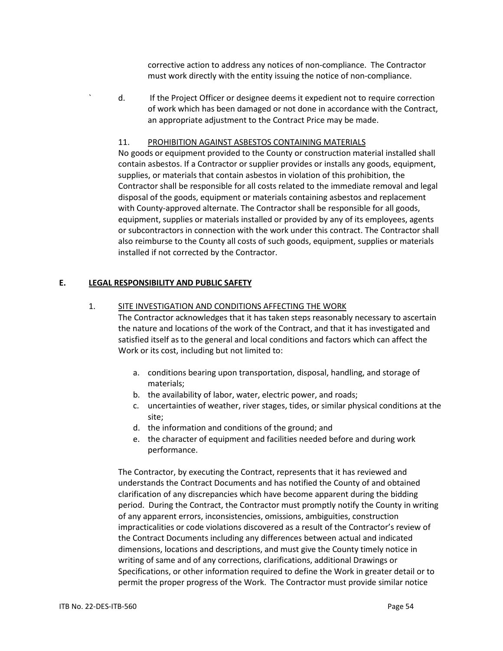corrective action to address any notices of non-compliance. The Contractor must work directly with the entity issuing the notice of non-compliance.

` d. If the Project Officer or designee deems it expedient not to require correction of work which has been damaged or not done in accordance with the Contract, an appropriate adjustment to the Contract Price may be made.

#### 11. PROHIBITION AGAINST ASBESTOS CONTAINING MATERIALS

No goods or equipment provided to the County or construction material installed shall contain asbestos. If a Contractor or supplier provides or installs any goods, equipment, supplies, or materials that contain asbestos in violation of this prohibition, the Contractor shall be responsible for all costs related to the immediate removal and legal disposal of the goods, equipment or materials containing asbestos and replacement with County-approved alternate. The Contractor shall be responsible for all goods, equipment, supplies or materials installed or provided by any of its employees, agents or subcontractors in connection with the work under this contract. The Contractor shall also reimburse to the County all costs of such goods, equipment, supplies or materials installed if not corrected by the Contractor.

## **E. LEGAL RESPONSIBILITY AND PUBLIC SAFETY**

#### 1. SITE INVESTIGATION AND CONDITIONS AFFECTING THE WORK

The Contractor acknowledges that it has taken steps reasonably necessary to ascertain the nature and locations of the work of the Contract, and that it has investigated and satisfied itself as to the general and local conditions and factors which can affect the Work or its cost, including but not limited to:

- a. conditions bearing upon transportation, disposal, handling, and storage of materials;
- b. the availability of labor, water, electric power, and roads;
- c. uncertainties of weather, river stages, tides, or similar physical conditions at the site;
- d. the information and conditions of the ground; and
- e. the character of equipment and facilities needed before and during work performance.

The Contractor, by executing the Contract, represents that it has reviewed and understands the Contract Documents and has notified the County of and obtained clarification of any discrepancies which have become apparent during the bidding period. During the Contract, the Contractor must promptly notify the County in writing of any apparent errors, inconsistencies, omissions, ambiguities, construction impracticalities or code violations discovered as a result of the Contractor's review of the Contract Documents including any differences between actual and indicated dimensions, locations and descriptions, and must give the County timely notice in writing of same and of any corrections, clarifications, additional Drawings or Specifications, or other information required to define the Work in greater detail or to permit the proper progress of the Work. The Contractor must provide similar notice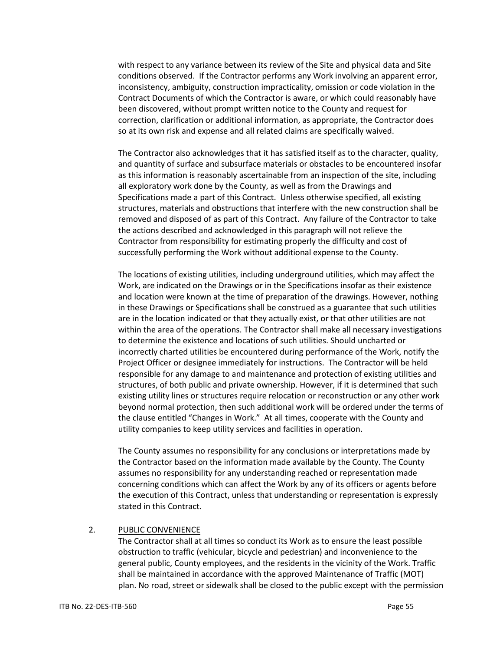with respect to any variance between its review of the Site and physical data and Site conditions observed. If the Contractor performs any Work involving an apparent error, inconsistency, ambiguity, construction impracticality, omission or code violation in the Contract Documents of which the Contractor is aware, or which could reasonably have been discovered, without prompt written notice to the County and request for correction, clarification or additional information, as appropriate, the Contractor does so at its own risk and expense and all related claims are specifically waived.

The Contractor also acknowledges that it has satisfied itself as to the character, quality, and quantity of surface and subsurface materials or obstacles to be encountered insofar as this information is reasonably ascertainable from an inspection of the site, including all exploratory work done by the County, as well as from the Drawings and Specifications made a part of this Contract. Unless otherwise specified, all existing structures, materials and obstructions that interfere with the new construction shall be removed and disposed of as part of this Contract. Any failure of the Contractor to take the actions described and acknowledged in this paragraph will not relieve the Contractor from responsibility for estimating properly the difficulty and cost of successfully performing the Work without additional expense to the County.

The locations of existing utilities, including underground utilities, which may affect the Work, are indicated on the Drawings or in the Specifications insofar as their existence and location were known at the time of preparation of the drawings. However, nothing in these Drawings or Specifications shall be construed as a guarantee that such utilities are in the location indicated or that they actually exist, or that other utilities are not within the area of the operations. The Contractor shall make all necessary investigations to determine the existence and locations of such utilities. Should uncharted or incorrectly charted utilities be encountered during performance of the Work, notify the Project Officer or designee immediately for instructions. The Contractor will be held responsible for any damage to and maintenance and protection of existing utilities and structures, of both public and private ownership. However, if it is determined that such existing utility lines or structures require relocation or reconstruction or any other work beyond normal protection, then such additional work will be ordered under the terms of the clause entitled "Changes in Work." At all times, cooperate with the County and utility companies to keep utility services and facilities in operation.

The County assumes no responsibility for any conclusions or interpretations made by the Contractor based on the information made available by the County. The County assumes no responsibility for any understanding reached or representation made concerning conditions which can affect the Work by any of its officers or agents before the execution of this Contract, unless that understanding or representation is expressly stated in this Contract.

#### 2. PUBLIC CONVENIENCE

The Contractor shall at all times so conduct its Work as to ensure the least possible obstruction to traffic (vehicular, bicycle and pedestrian) and inconvenience to the general public, County employees, and the residents in the vicinity of the Work. Traffic shall be maintained in accordance with the approved Maintenance of Traffic (MOT) plan. No road, street or sidewalk shall be closed to the public except with the permission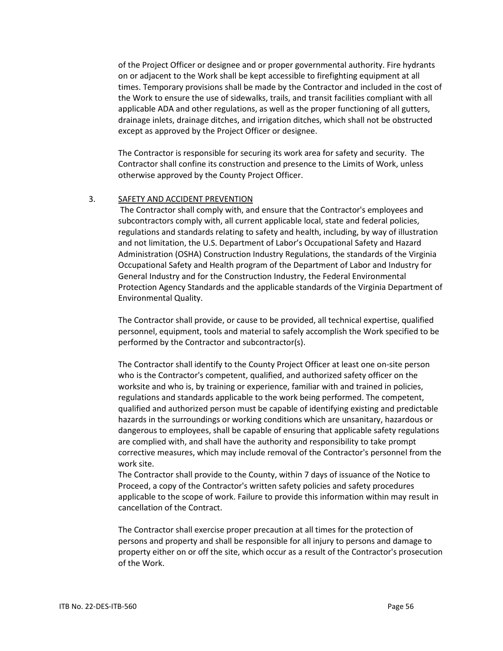of the Project Officer or designee and or proper governmental authority. Fire hydrants on or adjacent to the Work shall be kept accessible to firefighting equipment at all times. Temporary provisions shall be made by the Contractor and included in the cost of the Work to ensure the use of sidewalks, trails, and transit facilities compliant with all applicable ADA and other regulations, as well as the proper functioning of all gutters, drainage inlets, drainage ditches, and irrigation ditches, which shall not be obstructed except as approved by the Project Officer or designee.

The Contractor is responsible for securing its work area for safety and security. The Contractor shall confine its construction and presence to the Limits of Work, unless otherwise approved by the County Project Officer.

#### 3. SAFETY AND ACCIDENT PREVENTION

The Contractor shall comply with, and ensure that the Contractor's employees and subcontractors comply with, all current applicable local, state and federal policies, regulations and standards relating to safety and health, including, by way of illustration and not limitation, the U.S. Department of Labor's Occupational Safety and Hazard Administration (OSHA) Construction Industry Regulations, the standards of the Virginia Occupational Safety and Health program of the Department of Labor and Industry for General Industry and for the Construction Industry, the Federal Environmental Protection Agency Standards and the applicable standards of the Virginia Department of Environmental Quality.

The Contractor shall provide, or cause to be provided, all technical expertise, qualified personnel, equipment, tools and material to safely accomplish the Work specified to be performed by the Contractor and subcontractor(s).

The Contractor shall identify to the County Project Officer at least one on-site person who is the Contractor's competent, qualified, and authorized safety officer on the worksite and who is, by training or experience, familiar with and trained in policies, regulations and standards applicable to the work being performed. The competent, qualified and authorized person must be capable of identifying existing and predictable hazards in the surroundings or working conditions which are unsanitary, hazardous or dangerous to employees, shall be capable of ensuring that applicable safety regulations are complied with, and shall have the authority and responsibility to take prompt corrective measures, which may include removal of the Contractor's personnel from the work site.

The Contractor shall provide to the County, within 7 days of issuance of the Notice to Proceed, a copy of the Contractor's written safety policies and safety procedures applicable to the scope of work. Failure to provide this information within may result in cancellation of the Contract.

The Contractor shall exercise proper precaution at all times for the protection of persons and property and shall be responsible for all injury to persons and damage to property either on or off the site, which occur as a result of the Contractor's prosecution of the Work.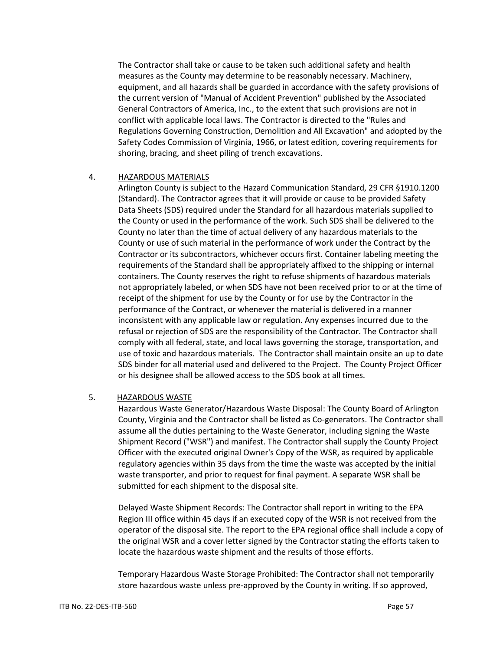The Contractor shall take or cause to be taken such additional safety and health measures as the County may determine to be reasonably necessary. Machinery, equipment, and all hazards shall be guarded in accordance with the safety provisions of the current version of "Manual of Accident Prevention" published by the Associated General Contractors of America, Inc., to the extent that such provisions are not in conflict with applicable local laws. The Contractor is directed to the "Rules and Regulations Governing Construction, Demolition and All Excavation" and adopted by the Safety Codes Commission of Virginia, 1966, or latest edition, covering requirements for shoring, bracing, and sheet piling of trench excavations.

#### 4. HAZARDOUS MATERIALS

Arlington County is subject to the Hazard Communication Standard, 29 CFR §1910.1200 (Standard). The Contractor agrees that it will provide or cause to be provided Safety Data Sheets (SDS) required under the Standard for all hazardous materials supplied to the County or used in the performance of the work. Such SDS shall be delivered to the County no later than the time of actual delivery of any hazardous materials to the County or use of such material in the performance of work under the Contract by the Contractor or its subcontractors, whichever occurs first. Container labeling meeting the requirements of the Standard shall be appropriately affixed to the shipping or internal containers. The County reserves the right to refuse shipments of hazardous materials not appropriately labeled, or when SDS have not been received prior to or at the time of receipt of the shipment for use by the County or for use by the Contractor in the performance of the Contract, or whenever the material is delivered in a manner inconsistent with any applicable law or regulation. Any expenses incurred due to the refusal or rejection of SDS are the responsibility of the Contractor. The Contractor shall comply with all federal, state, and local laws governing the storage, transportation, and use of toxic and hazardous materials. The Contractor shall maintain onsite an up to date SDS binder for all material used and delivered to the Project. The County Project Officer or his designee shall be allowed access to the SDS book at all times.

## 5. HAZARDOUS WASTE

Hazardous Waste Generator/Hazardous Waste Disposal: The County Board of Arlington County, Virginia and the Contractor shall be listed as Co-generators. The Contractor shall assume all the duties pertaining to the Waste Generator, including signing the Waste Shipment Record ("WSR") and manifest. The Contractor shall supply the County Project Officer with the executed original Owner's Copy of the WSR, as required by applicable regulatory agencies within 35 days from the time the waste was accepted by the initial waste transporter, and prior to request for final payment. A separate WSR shall be submitted for each shipment to the disposal site.

Delayed Waste Shipment Records: The Contractor shall report in writing to the EPA Region III office within 45 days if an executed copy of the WSR is not received from the operator of the disposal site. The report to the EPA regional office shall include a copy of the original WSR and a cover letter signed by the Contractor stating the efforts taken to locate the hazardous waste shipment and the results of those efforts.

Temporary Hazardous Waste Storage Prohibited: The Contractor shall not temporarily store hazardous waste unless pre-approved by the County in writing. If so approved,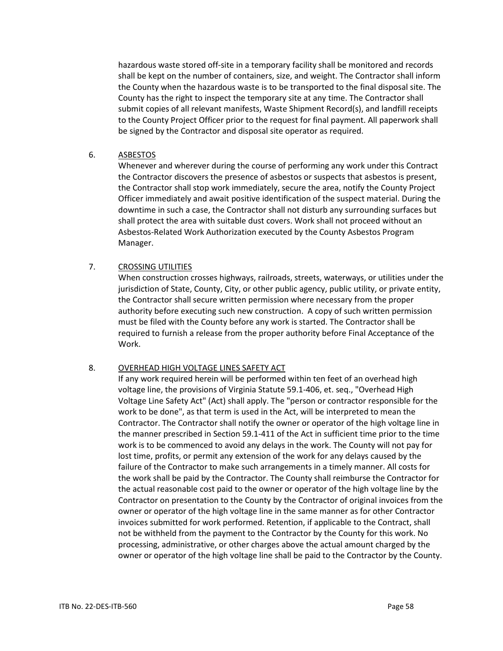hazardous waste stored off-site in a temporary facility shall be monitored and records shall be kept on the number of containers, size, and weight. The Contractor shall inform the County when the hazardous waste is to be transported to the final disposal site. The County has the right to inspect the temporary site at any time. The Contractor shall submit copies of all relevant manifests, Waste Shipment Record(s), and landfill receipts to the County Project Officer prior to the request for final payment. All paperwork shall be signed by the Contractor and disposal site operator as required.

6. ASBESTOS

Whenever and wherever during the course of performing any work under this Contract the Contractor discovers the presence of asbestos or suspects that asbestos is present, the Contractor shall stop work immediately, secure the area, notify the County Project Officer immediately and await positive identification of the suspect material. During the downtime in such a case, the Contractor shall not disturb any surrounding surfaces but shall protect the area with suitable dust covers. Work shall not proceed without an Asbestos-Related Work Authorization executed by the County Asbestos Program Manager.

# 7. CROSSING UTILITIES

When construction crosses highways, railroads, streets, waterways, or utilities under the jurisdiction of State, County, City, or other public agency, public utility, or private entity, the Contractor shall secure written permission where necessary from the proper authority before executing such new construction. A copy of such written permission must be filed with the County before any work is started. The Contractor shall be required to furnish a release from the proper authority before Final Acceptance of the Work.

## 8. OVERHEAD HIGH VOLTAGE LINES SAFETY ACT

If any work required herein will be performed within ten feet of an overhead high voltage line, the provisions of Virginia Statute 59.1-406, et. seq., "Overhead High Voltage Line Safety Act" (Act) shall apply. The "person or contractor responsible for the work to be done", as that term is used in the Act, will be interpreted to mean the Contractor. The Contractor shall notify the owner or operator of the high voltage line in the manner prescribed in Section 59.1-411 of the Act in sufficient time prior to the time work is to be commenced to avoid any delays in the work. The County will not pay for lost time, profits, or permit any extension of the work for any delays caused by the failure of the Contractor to make such arrangements in a timely manner. All costs for the work shall be paid by the Contractor. The County shall reimburse the Contractor for the actual reasonable cost paid to the owner or operator of the high voltage line by the Contractor on presentation to the County by the Contractor of original invoices from the owner or operator of the high voltage line in the same manner as for other Contractor invoices submitted for work performed. Retention, if applicable to the Contract, shall not be withheld from the payment to the Contractor by the County for this work. No processing, administrative, or other charges above the actual amount charged by the owner or operator of the high voltage line shall be paid to the Contractor by the County.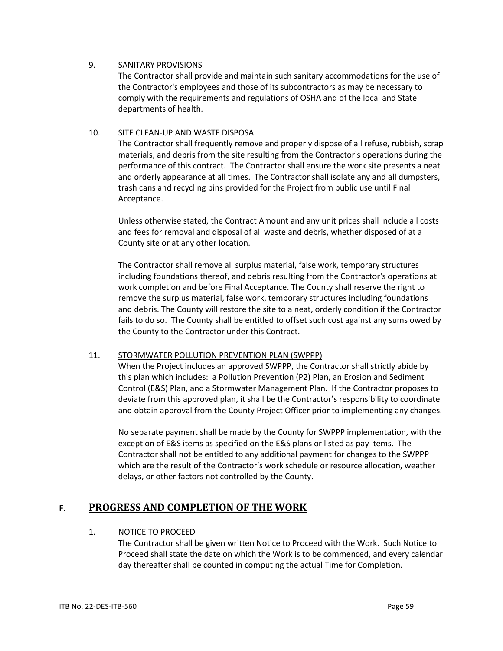## 9. SANITARY PROVISIONS

The Contractor shall provide and maintain such sanitary accommodations for the use of the Contractor's employees and those of its subcontractors as may be necessary to comply with the requirements and regulations of OSHA and of the local and State departments of health.

# 10. SITE CLEAN-UP AND WASTE DISPOSAL

The Contractor shall frequently remove and properly dispose of all refuse, rubbish, scrap materials, and debris from the site resulting from the Contractor's operations during the performance of this contract. The Contractor shall ensure the work site presents a neat and orderly appearance at all times. The Contractor shall isolate any and all dumpsters, trash cans and recycling bins provided for the Project from public use until Final Acceptance.

Unless otherwise stated, the Contract Amount and any unit prices shall include all costs and fees for removal and disposal of all waste and debris, whether disposed of at a County site or at any other location.

The Contractor shall remove all surplus material, false work, temporary structures including foundations thereof, and debris resulting from the Contractor's operations at work completion and before Final Acceptance. The County shall reserve the right to remove the surplus material, false work, temporary structures including foundations and debris. The County will restore the site to a neat, orderly condition if the Contractor fails to do so. The County shall be entitled to offset such cost against any sums owed by the County to the Contractor under this Contract.

## 11. STORMWATER POLLUTION PREVENTION PLAN (SWPPP)

When the Project includes an approved SWPPP, the Contractor shall strictly abide by this plan which includes: a Pollution Prevention (P2) Plan, an Erosion and Sediment Control (E&S) Plan, and a Stormwater Management Plan. If the Contractor proposes to deviate from this approved plan, it shall be the Contractor's responsibility to coordinate and obtain approval from the County Project Officer prior to implementing any changes.

No separate payment shall be made by the County for SWPPP implementation, with the exception of E&S items as specified on the E&S plans or listed as pay items. The Contractor shall not be entitled to any additional payment for changes to the SWPPP which are the result of the Contractor's work schedule or resource allocation, weather delays, or other factors not controlled by the County.

# **F. PROGRESS AND COMPLETION OF THE WORK**

## 1. NOTICE TO PROCEED

The Contractor shall be given written Notice to Proceed with the Work. Such Notice to Proceed shall state the date on which the Work is to be commenced, and every calendar day thereafter shall be counted in computing the actual Time for Completion.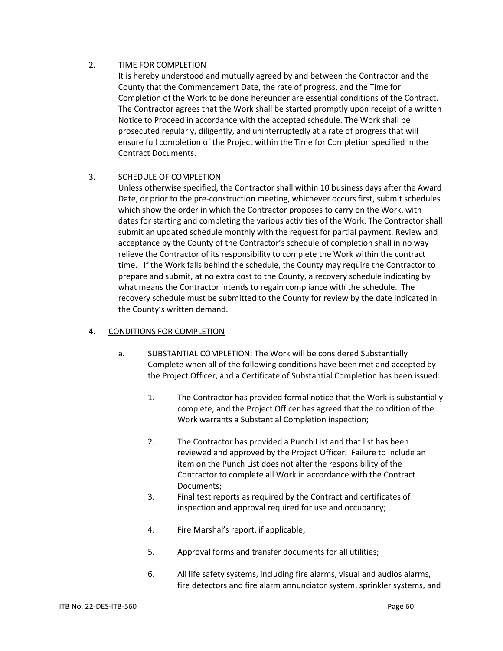# 2. TIME FOR COMPLETION

It is hereby understood and mutually agreed by and between the Contractor and the County that the Commencement Date, the rate of progress, and the Time for Completion of the Work to be done hereunder are essential conditions of the Contract. The Contractor agrees that the Work shall be started promptly upon receipt of a written Notice to Proceed in accordance with the accepted schedule. The Work shall be prosecuted regularly, diligently, and uninterruptedly at a rate of progress that will ensure full completion of the Project within the Time for Completion specified in the Contract Documents.

## 3. SCHEDULE OF COMPLETION

Unless otherwise specified, the Contractor shall within 10 business days after the Award Date, or prior to the pre-construction meeting, whichever occurs first, submit schedules which show the order in which the Contractor proposes to carry on the Work, with dates for starting and completing the various activities of the Work. The Contractor shall submit an updated schedule monthly with the request for partial payment. Review and acceptance by the County of the Contractor's schedule of completion shall in no way relieve the Contractor of its responsibility to complete the Work within the contract time. If the Work falls behind the schedule, the County may require the Contractor to prepare and submit, at no extra cost to the County, a recovery schedule indicating by what means the Contractor intends to regain compliance with the schedule. The recovery schedule must be submitted to the County for review by the date indicated in the County's written demand.

## 4. CONDITIONS FOR COMPLETION

- a. SUBSTANTIAL COMPLETION: The Work will be considered Substantially Complete when all of the following conditions have been met and accepted by the Project Officer, and a Certificate of Substantial Completion has been issued:
	- 1. The Contractor has provided formal notice that the Work is substantially complete, and the Project Officer has agreed that the condition of the Work warrants a Substantial Completion inspection;
	- 2. The Contractor has provided a Punch List and that list has been reviewed and approved by the Project Officer. Failure to include an item on the Punch List does not alter the responsibility of the Contractor to complete all Work in accordance with the Contract Documents;
	- 3. Final test reports as required by the Contract and certificates of inspection and approval required for use and occupancy;
	- 4. Fire Marshal's report, if applicable;
	- 5. Approval forms and transfer documents for all utilities;
	- 6. All life safety systems, including fire alarms, visual and audios alarms, fire detectors and fire alarm annunciator system, sprinkler systems, and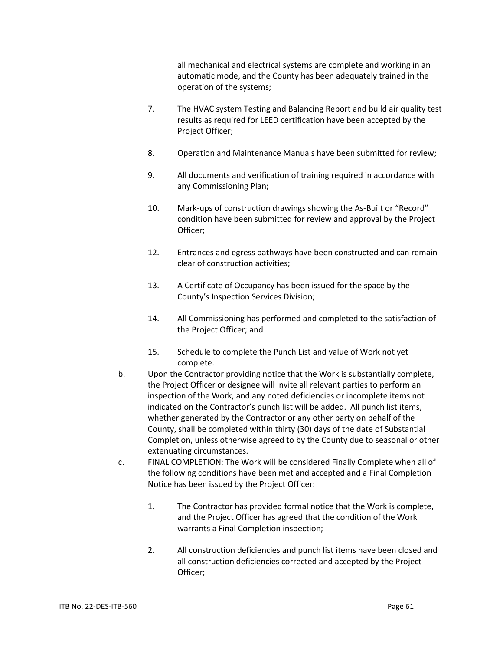all mechanical and electrical systems are complete and working in an automatic mode, and the County has been adequately trained in the operation of the systems;

- 7. The HVAC system Testing and Balancing Report and build air quality test results as required for LEED certification have been accepted by the Project Officer;
- 8. Operation and Maintenance Manuals have been submitted for review;
- 9. All documents and verification of training required in accordance with any Commissioning Plan;
- 10. Mark-ups of construction drawings showing the As-Built or "Record" condition have been submitted for review and approval by the Project Officer;
- 12. Entrances and egress pathways have been constructed and can remain clear of construction activities;
- 13. A Certificate of Occupancy has been issued for the space by the County's Inspection Services Division;
- 14. All Commissioning has performed and completed to the satisfaction of the Project Officer; and
- 15. Schedule to complete the Punch List and value of Work not yet complete.
- b. Upon the Contractor providing notice that the Work is substantially complete, the Project Officer or designee will invite all relevant parties to perform an inspection of the Work, and any noted deficiencies or incomplete items not indicated on the Contractor's punch list will be added. All punch list items, whether generated by the Contractor or any other party on behalf of the County, shall be completed within thirty (30) days of the date of Substantial Completion, unless otherwise agreed to by the County due to seasonal or other extenuating circumstances.
- c. FINAL COMPLETION: The Work will be considered Finally Complete when all of the following conditions have been met and accepted and a Final Completion Notice has been issued by the Project Officer:
	- 1. The Contractor has provided formal notice that the Work is complete, and the Project Officer has agreed that the condition of the Work warrants a Final Completion inspection;
	- 2. All construction deficiencies and punch list items have been closed and all construction deficiencies corrected and accepted by the Project Officer;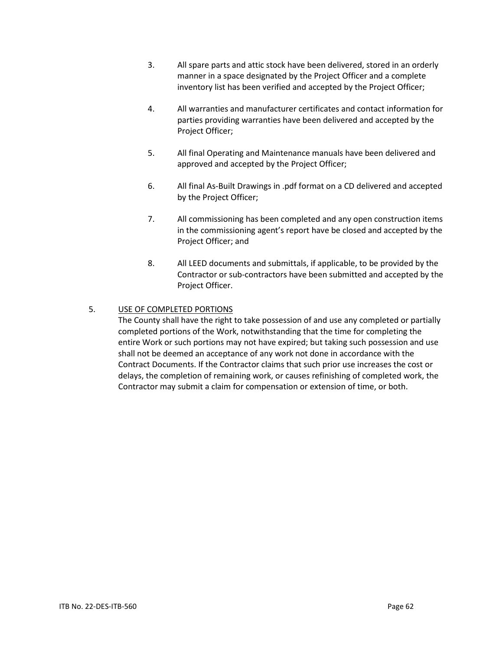- 3. All spare parts and attic stock have been delivered, stored in an orderly manner in a space designated by the Project Officer and a complete inventory list has been verified and accepted by the Project Officer;
- 4. All warranties and manufacturer certificates and contact information for parties providing warranties have been delivered and accepted by the Project Officer;
- 5. All final Operating and Maintenance manuals have been delivered and approved and accepted by the Project Officer;
- 6. All final As-Built Drawings in .pdf format on a CD delivered and accepted by the Project Officer;
- 7. All commissioning has been completed and any open construction items in the commissioning agent's report have be closed and accepted by the Project Officer; and
- 8. All LEED documents and submittals, if applicable, to be provided by the Contractor or sub-contractors have been submitted and accepted by the Project Officer.

# 5. USE OF COMPLETED PORTIONS

The County shall have the right to take possession of and use any completed or partially completed portions of the Work, notwithstanding that the time for completing the entire Work or such portions may not have expired; but taking such possession and use shall not be deemed an acceptance of any work not done in accordance with the Contract Documents. If the Contractor claims that such prior use increases the cost or delays, the completion of remaining work, or causes refinishing of completed work, the Contractor may submit a claim for compensation or extension of time, or both.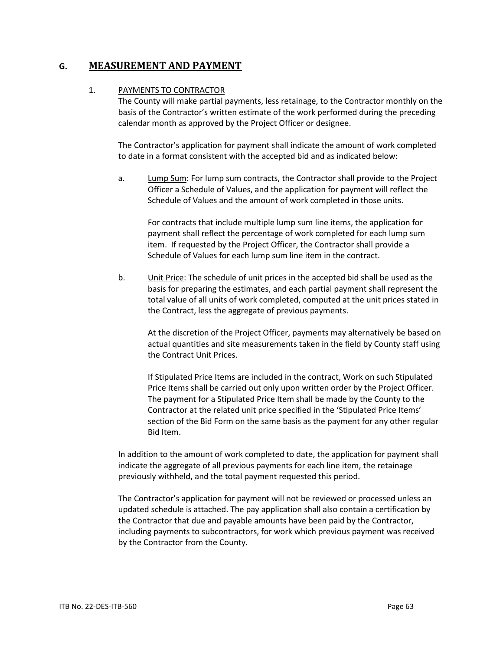# **G. MEASUREMENT AND PAYMENT**

## 1. PAYMENTS TO CONTRACTOR

The County will make partial payments, less retainage, to the Contractor monthly on the basis of the Contractor's written estimate of the work performed during the preceding calendar month as approved by the Project Officer or designee.

The Contractor's application for payment shall indicate the amount of work completed to date in a format consistent with the accepted bid and as indicated below:

a. Lump Sum: For lump sum contracts, the Contractor shall provide to the Project Officer a Schedule of Values, and the application for payment will reflect the Schedule of Values and the amount of work completed in those units.

For contracts that include multiple lump sum line items, the application for payment shall reflect the percentage of work completed for each lump sum item. If requested by the Project Officer, the Contractor shall provide a Schedule of Values for each lump sum line item in the contract.

b. Unit Price: The schedule of unit prices in the accepted bid shall be used as the basis for preparing the estimates, and each partial payment shall represent the total value of all units of work completed, computed at the unit prices stated in the Contract, less the aggregate of previous payments.

At the discretion of the Project Officer, payments may alternatively be based on actual quantities and site measurements taken in the field by County staff using the Contract Unit Prices.

If Stipulated Price Items are included in the contract, Work on such Stipulated Price Items shall be carried out only upon written order by the Project Officer. The payment for a Stipulated Price Item shall be made by the County to the Contractor at the related unit price specified in the 'Stipulated Price Items' section of the Bid Form on the same basis as the payment for any other regular Bid Item.

In addition to the amount of work completed to date, the application for payment shall indicate the aggregate of all previous payments for each line item, the retainage previously withheld, and the total payment requested this period.

The Contractor's application for payment will not be reviewed or processed unless an updated schedule is attached. The pay application shall also contain a certification by the Contractor that due and payable amounts have been paid by the Contractor, including payments to subcontractors, for work which previous payment was received by the Contractor from the County.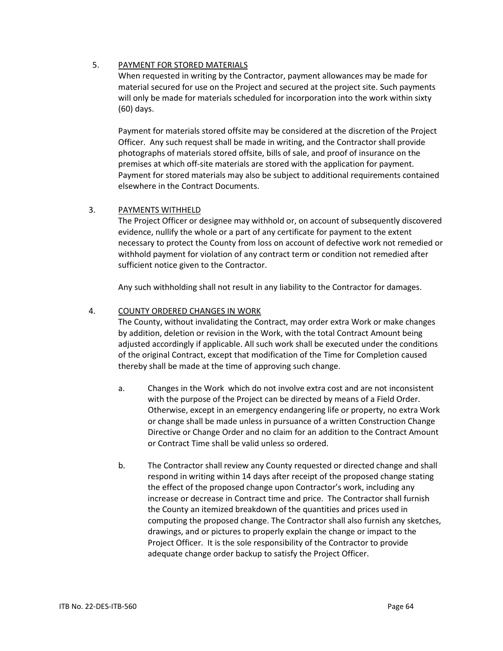## 5. PAYMENT FOR STORED MATERIALS

When requested in writing by the Contractor, payment allowances may be made for material secured for use on the Project and secured at the project site. Such payments will only be made for materials scheduled for incorporation into the work within sixty (60) days.

Payment for materials stored offsite may be considered at the discretion of the Project Officer. Any such request shall be made in writing, and the Contractor shall provide photographs of materials stored offsite, bills of sale, and proof of insurance on the premises at which off-site materials are stored with the application for payment. Payment for stored materials may also be subject to additional requirements contained elsewhere in the Contract Documents.

# 3. PAYMENTS WITHHELD

The Project Officer or designee may withhold or, on account of subsequently discovered evidence, nullify the whole or a part of any certificate for payment to the extent necessary to protect the County from loss on account of defective work not remedied or withhold payment for violation of any contract term or condition not remedied after sufficient notice given to the Contractor.

Any such withholding shall not result in any liability to the Contractor for damages.

## 4. COUNTY ORDERED CHANGES IN WORK

The County, without invalidating the Contract, may order extra Work or make changes by addition, deletion or revision in the Work, with the total Contract Amount being adjusted accordingly if applicable. All such work shall be executed under the conditions of the original Contract, except that modification of the Time for Completion caused thereby shall be made at the time of approving such change.

- a. Changes in the Work which do not involve extra cost and are not inconsistent with the purpose of the Project can be directed by means of a Field Order. Otherwise, except in an emergency endangering life or property, no extra Work or change shall be made unless in pursuance of a written Construction Change Directive or Change Order and no claim for an addition to the Contract Amount or Contract Time shall be valid unless so ordered.
- b. The Contractor shall review any County requested or directed change and shall respond in writing within 14 days after receipt of the proposed change stating the effect of the proposed change upon Contractor's work, including any increase or decrease in Contract time and price. The Contractor shall furnish the County an itemized breakdown of the quantities and prices used in computing the proposed change. The Contractor shall also furnish any sketches, drawings, and or pictures to properly explain the change or impact to the Project Officer. It is the sole responsibility of the Contractor to provide adequate change order backup to satisfy the Project Officer.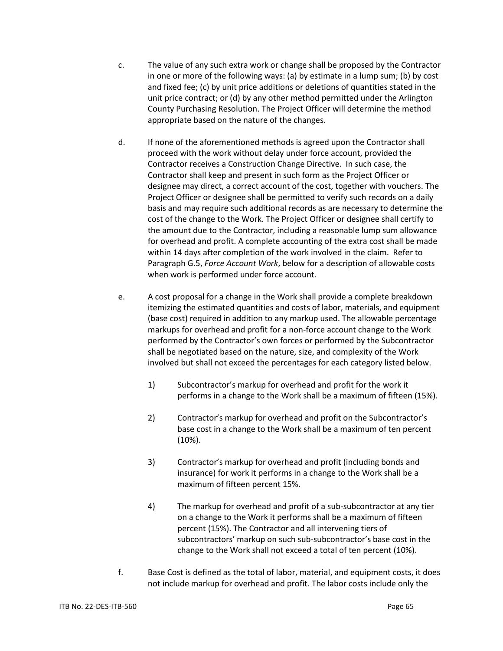- c. The value of any such extra work or change shall be proposed by the Contractor in one or more of the following ways: (a) by estimate in a lump sum; (b) by cost and fixed fee; (c) by unit price additions or deletions of quantities stated in the unit price contract; or (d) by any other method permitted under the Arlington County Purchasing Resolution. The Project Officer will determine the method appropriate based on the nature of the changes.
- d. If none of the aforementioned methods is agreed upon the Contractor shall proceed with the work without delay under force account, provided the Contractor receives a Construction Change Directive. In such case, the Contractor shall keep and present in such form as the Project Officer or designee may direct, a correct account of the cost, together with vouchers. The Project Officer or designee shall be permitted to verify such records on a daily basis and may require such additional records as are necessary to determine the cost of the change to the Work. The Project Officer or designee shall certify to the amount due to the Contractor, including a reasonable lump sum allowance for overhead and profit. A complete accounting of the extra cost shall be made within 14 days after completion of the work involved in the claim. Refer to Paragraph G.5, *Force Account Work*, below for a description of allowable costs when work is performed under force account.
- e. A cost proposal for a change in the Work shall provide a complete breakdown itemizing the estimated quantities and costs of labor, materials, and equipment (base cost) required in addition to any markup used. The allowable percentage markups for overhead and profit for a non-force account change to the Work performed by the Contractor's own forces or performed by the Subcontractor shall be negotiated based on the nature, size, and complexity of the Work involved but shall not exceed the percentages for each category listed below.
	- 1) Subcontractor's markup for overhead and profit for the work it performs in a change to the Work shall be a maximum of fifteen (15%).
	- 2) Contractor's markup for overhead and profit on the Subcontractor's base cost in a change to the Work shall be a maximum of ten percent (10%).
	- 3) Contractor's markup for overhead and profit (including bonds and insurance) for work it performs in a change to the Work shall be a maximum of fifteen percent 15%.
	- 4) The markup for overhead and profit of a sub-subcontractor at any tier on a change to the Work it performs shall be a maximum of fifteen percent (15%). The Contractor and all intervening tiers of subcontractors' markup on such sub-subcontractor's base cost in the change to the Work shall not exceed a total of ten percent (10%).
- f. Base Cost is defined as the total of labor, material, and equipment costs, it does not include markup for overhead and profit. The labor costs include only the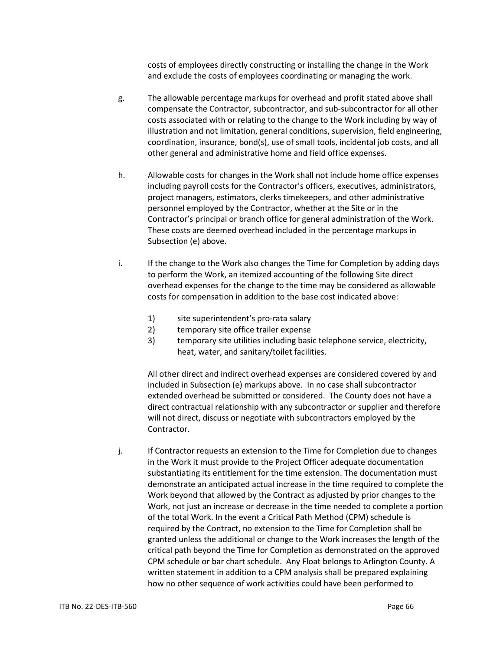costs of employees directly constructing or installing the change in the Work and exclude the costs of employees coordinating or managing the work.

- g. The allowable percentage markups for overhead and profit stated above shall compensate the Contractor, subcontractor, and sub-subcontractor for all other costs associated with or relating to the change to the Work including by way of illustration and not limitation, general conditions, supervision, field engineering, coordination, insurance, bond(s), use of small tools, incidental job costs, and all other general and administrative home and field office expenses.
- h. Allowable costs for changes in the Work shall not include home office expenses including payroll costs for the Contractor's officers, executives, administrators, project managers, estimators, clerks timekeepers, and other administrative personnel employed by the Contractor, whether at the Site or in the Contractor's principal or branch office for general administration of the Work. These costs are deemed overhead included in the percentage markups in Subsection (e) above.
- i. If the change to the Work also changes the Time for Completion by adding days to perform the Work, an itemized accounting of the following Site direct overhead expenses for the change to the time may be considered as allowable costs for compensation in addition to the base cost indicated above:
	- 1) site superintendent's pro-rata salary
	- 2) temporary site office trailer expense
	- 3) temporary site utilities including basic telephone service, electricity, heat, water, and sanitary/toilet facilities.

All other direct and indirect overhead expenses are considered covered by and included in Subsection (e) markups above. In no case shall subcontractor extended overhead be submitted or considered. The County does not have a direct contractual relationship with any subcontractor or supplier and therefore will not direct, discuss or negotiate with subcontractors employed by the Contractor.

j. If Contractor requests an extension to the Time for Completion due to changes in the Work it must provide to the Project Officer adequate documentation substantiating its entitlement for the time extension. The documentation must demonstrate an anticipated actual increase in the time required to complete the Work beyond that allowed by the Contract as adjusted by prior changes to the Work, not just an increase or decrease in the time needed to complete a portion of the total Work. In the event a Critical Path Method (CPM) schedule is required by the Contract, no extension to the Time for Completion shall be granted unless the additional or change to the Work increases the length of the critical path beyond the Time for Completion as demonstrated on the approved CPM schedule or bar chart schedule. Any Float belongs to Arlington County. A written statement in addition to a CPM analysis shall be prepared explaining how no other sequence of work activities could have been performed to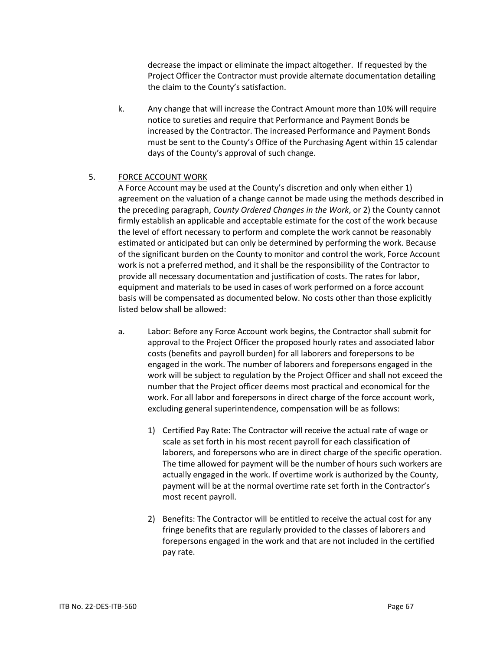decrease the impact or eliminate the impact altogether. If requested by the Project Officer the Contractor must provide alternate documentation detailing the claim to the County's satisfaction.

k. Any change that will increase the Contract Amount more than 10% will require notice to sureties and require that Performance and Payment Bonds be increased by the Contractor. The increased Performance and Payment Bonds must be sent to the County's Office of the Purchasing Agent within 15 calendar days of the County's approval of such change.

## 5. FORCE ACCOUNT WORK

A Force Account may be used at the County's discretion and only when either 1) agreement on the valuation of a change cannot be made using the methods described in the preceding paragraph, *County Ordered Changes in the Work*, or 2) the County cannot firmly establish an applicable and acceptable estimate for the cost of the work because the level of effort necessary to perform and complete the work cannot be reasonably estimated or anticipated but can only be determined by performing the work. Because of the significant burden on the County to monitor and control the work, Force Account work is not a preferred method, and it shall be the responsibility of the Contractor to provide all necessary documentation and justification of costs. The rates for labor, equipment and materials to be used in cases of work performed on a force account basis will be compensated as documented below. No costs other than those explicitly listed below shall be allowed:

- a. Labor: Before any Force Account work begins, the Contractor shall submit for approval to the Project Officer the proposed hourly rates and associated labor costs (benefits and payroll burden) for all laborers and forepersons to be engaged in the work. The number of laborers and forepersons engaged in the work will be subject to regulation by the Project Officer and shall not exceed the number that the Project officer deems most practical and economical for the work. For all labor and forepersons in direct charge of the force account work, excluding general superintendence, compensation will be as follows:
	- 1) Certified Pay Rate: The Contractor will receive the actual rate of wage or scale as set forth in his most recent payroll for each classification of laborers, and forepersons who are in direct charge of the specific operation. The time allowed for payment will be the number of hours such workers are actually engaged in the work. If overtime work is authorized by the County, payment will be at the normal overtime rate set forth in the Contractor's most recent payroll.
	- 2) Benefits: The Contractor will be entitled to receive the actual cost for any fringe benefits that are regularly provided to the classes of laborers and forepersons engaged in the work and that are not included in the certified pay rate.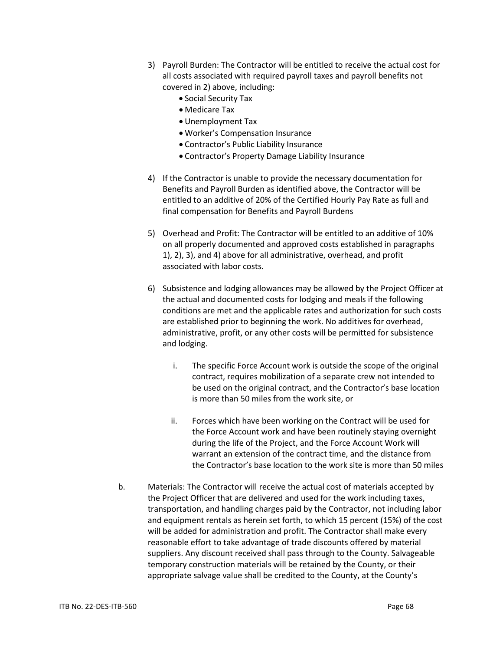- 3) Payroll Burden: The Contractor will be entitled to receive the actual cost for all costs associated with required payroll taxes and payroll benefits not covered in 2) above, including:
	- Social Security Tax
	- Medicare Tax
	- Unemployment Tax
	- Worker's Compensation Insurance
	- Contractor's Public Liability Insurance
	- Contractor's Property Damage Liability Insurance
- 4) If the Contractor is unable to provide the necessary documentation for Benefits and Payroll Burden as identified above, the Contractor will be entitled to an additive of 20% of the Certified Hourly Pay Rate as full and final compensation for Benefits and Payroll Burdens
- 5) Overhead and Profit: The Contractor will be entitled to an additive of 10% on all properly documented and approved costs established in paragraphs 1), 2), 3), and 4) above for all administrative, overhead, and profit associated with labor costs.
- 6) Subsistence and lodging allowances may be allowed by the Project Officer at the actual and documented costs for lodging and meals if the following conditions are met and the applicable rates and authorization for such costs are established prior to beginning the work. No additives for overhead, administrative, profit, or any other costs will be permitted for subsistence and lodging.
	- i. The specific Force Account work is outside the scope of the original contract, requires mobilization of a separate crew not intended to be used on the original contract, and the Contractor's base location is more than 50 miles from the work site, or
	- ii. Forces which have been working on the Contract will be used for the Force Account work and have been routinely staying overnight during the life of the Project, and the Force Account Work will warrant an extension of the contract time, and the distance from the Contractor's base location to the work site is more than 50 miles
- b. Materials: The Contractor will receive the actual cost of materials accepted by the Project Officer that are delivered and used for the work including taxes, transportation, and handling charges paid by the Contractor, not including labor and equipment rentals as herein set forth, to which 15 percent (15%) of the cost will be added for administration and profit. The Contractor shall make every reasonable effort to take advantage of trade discounts offered by material suppliers. Any discount received shall pass through to the County. Salvageable temporary construction materials will be retained by the County, or their appropriate salvage value shall be credited to the County, at the County's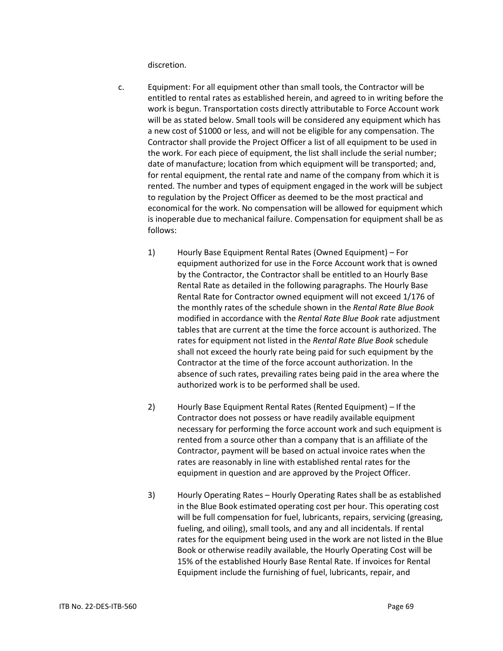discretion.

- c. Equipment: For all equipment other than small tools, the Contractor will be entitled to rental rates as established herein, and agreed to in writing before the work is begun. Transportation costs directly attributable to Force Account work will be as stated below. Small tools will be considered any equipment which has a new cost of \$1000 or less, and will not be eligible for any compensation. The Contractor shall provide the Project Officer a list of all equipment to be used in the work. For each piece of equipment, the list shall include the serial number; date of manufacture; location from which equipment will be transported; and, for rental equipment, the rental rate and name of the company from which it is rented. The number and types of equipment engaged in the work will be subject to regulation by the Project Officer as deemed to be the most practical and economical for the work. No compensation will be allowed for equipment which is inoperable due to mechanical failure. Compensation for equipment shall be as follows:
	- 1) Hourly Base Equipment Rental Rates (Owned Equipment) For equipment authorized for use in the Force Account work that is owned by the Contractor, the Contractor shall be entitled to an Hourly Base Rental Rate as detailed in the following paragraphs. The Hourly Base Rental Rate for Contractor owned equipment will not exceed 1/176 of the monthly rates of the schedule shown in the *Rental Rate Blue Book*  modified in accordance with the *Rental Rate Blue Book* rate adjustment tables that are current at the time the force account is authorized. The rates for equipment not listed in the *Rental Rate Blue Book* schedule shall not exceed the hourly rate being paid for such equipment by the Contractor at the time of the force account authorization. In the absence of such rates, prevailing rates being paid in the area where the authorized work is to be performed shall be used.
	- 2) Hourly Base Equipment Rental Rates (Rented Equipment) If the Contractor does not possess or have readily available equipment necessary for performing the force account work and such equipment is rented from a source other than a company that is an affiliate of the Contractor, payment will be based on actual invoice rates when the rates are reasonably in line with established rental rates for the equipment in question and are approved by the Project Officer.
	- 3) Hourly Operating Rates Hourly Operating Rates shall be as established in the Blue Book estimated operating cost per hour. This operating cost will be full compensation for fuel, lubricants, repairs, servicing (greasing, fueling, and oiling), small tools, and any and all incidentals. If rental rates for the equipment being used in the work are not listed in the Blue Book or otherwise readily available, the Hourly Operating Cost will be 15% of the established Hourly Base Rental Rate. If invoices for Rental Equipment include the furnishing of fuel, lubricants, repair, and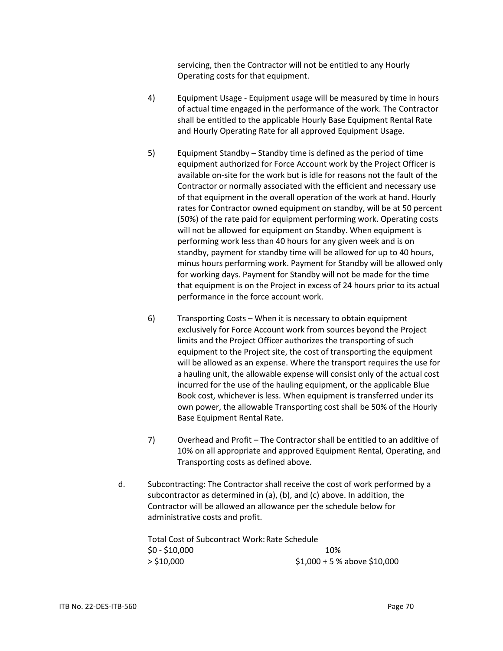servicing, then the Contractor will not be entitled to any Hourly Operating costs for that equipment.

- 4) Equipment Usage Equipment usage will be measured by time in hours of actual time engaged in the performance of the work. The Contractor shall be entitled to the applicable Hourly Base Equipment Rental Rate and Hourly Operating Rate for all approved Equipment Usage.
- 5) Equipment Standby Standby time is defined as the period of time equipment authorized for Force Account work by the Project Officer is available on-site for the work but is idle for reasons not the fault of the Contractor or normally associated with the efficient and necessary use of that equipment in the overall operation of the work at hand. Hourly rates for Contractor owned equipment on standby, will be at 50 percent (50%) of the rate paid for equipment performing work. Operating costs will not be allowed for equipment on Standby. When equipment is performing work less than 40 hours for any given week and is on standby, payment for standby time will be allowed for up to 40 hours, minus hours performing work. Payment for Standby will be allowed only for working days. Payment for Standby will not be made for the time that equipment is on the Project in excess of 24 hours prior to its actual performance in the force account work.
- 6) Transporting Costs When it is necessary to obtain equipment exclusively for Force Account work from sources beyond the Project limits and the Project Officer authorizes the transporting of such equipment to the Project site, the cost of transporting the equipment will be allowed as an expense. Where the transport requires the use for a hauling unit, the allowable expense will consist only of the actual cost incurred for the use of the hauling equipment, or the applicable Blue Book cost, whichever is less. When equipment is transferred under its own power, the allowable Transporting cost shall be 50% of the Hourly Base Equipment Rental Rate.
- 7) Overhead and Profit The Contractor shall be entitled to an additive of 10% on all appropriate and approved Equipment Rental, Operating, and Transporting costs as defined above.
- d. Subcontracting: The Contractor shall receive the cost of work performed by a subcontractor as determined in (a), (b), and (c) above. In addition, the Contractor will be allowed an allowance per the schedule below for administrative costs and profit.

Total Cost of Subcontract Work: Rate Schedule \$0 - \$10,000 10% > \$10,000 \$1,000 + 5 % above \$10,000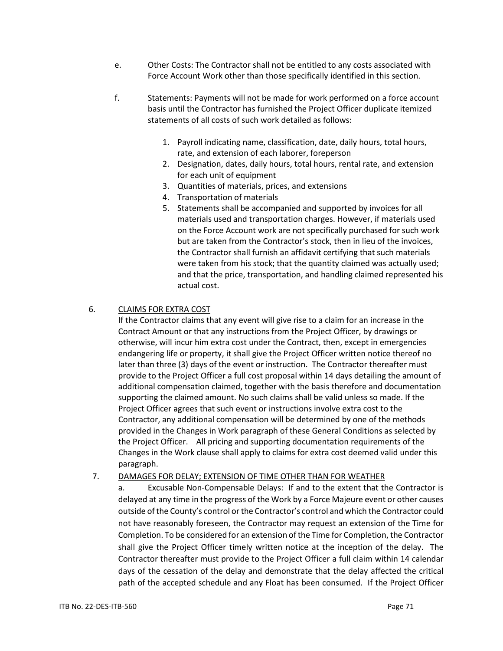- e. Other Costs: The Contractor shall not be entitled to any costs associated with Force Account Work other than those specifically identified in this section.
- f. Statements: Payments will not be made for work performed on a force account basis until the Contractor has furnished the Project Officer duplicate itemized statements of all costs of such work detailed as follows:
	- 1. Payroll indicating name, classification, date, daily hours, total hours, rate, and extension of each laborer, foreperson
	- 2. Designation, dates, daily hours, total hours, rental rate, and extension for each unit of equipment
	- 3. Quantities of materials, prices, and extensions
	- 4. Transportation of materials
	- 5. Statements shall be accompanied and supported by invoices for all materials used and transportation charges. However, if materials used on the Force Account work are not specifically purchased for such work but are taken from the Contractor's stock, then in lieu of the invoices, the Contractor shall furnish an affidavit certifying that such materials were taken from his stock; that the quantity claimed was actually used; and that the price, transportation, and handling claimed represented his actual cost.

# 6. CLAIMS FOR EXTRA COST

If the Contractor claims that any event will give rise to a claim for an increase in the Contract Amount or that any instructions from the Project Officer, by drawings or otherwise, will incur him extra cost under the Contract, then, except in emergencies endangering life or property, it shall give the Project Officer written notice thereof no later than three (3) days of the event or instruction. The Contractor thereafter must provide to the Project Officer a full cost proposal within 14 days detailing the amount of additional compensation claimed, together with the basis therefore and documentation supporting the claimed amount. No such claims shall be valid unless so made. If the Project Officer agrees that such event or instructions involve extra cost to the Contractor, any additional compensation will be determined by one of the methods provided in the Changes in Work paragraph of these General Conditions as selected by the Project Officer. All pricing and supporting documentation requirements of the Changes in the Work clause shall apply to claims for extra cost deemed valid under this paragraph.

# 7. DAMAGES FOR DELAY; EXTENSION OF TIME OTHER THAN FOR WEATHER

a. Excusable Non-Compensable Delays: If and to the extent that the Contractor is delayed at any time in the progress of the Work by a Force Majeure event or other causes outside of the County's control or the Contractor's control and which the Contractor could not have reasonably foreseen, the Contractor may request an extension of the Time for Completion. To be considered for an extension of the Time for Completion, the Contractor shall give the Project Officer timely written notice at the inception of the delay. The Contractor thereafter must provide to the Project Officer a full claim within 14 calendar days of the cessation of the delay and demonstrate that the delay affected the critical path of the accepted schedule and any Float has been consumed. If the Project Officer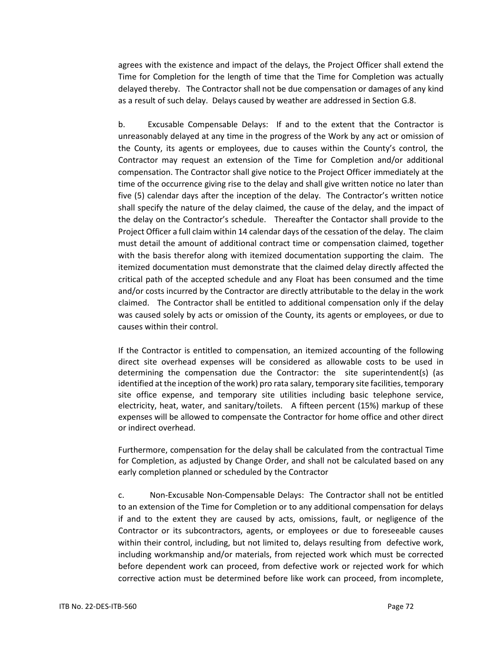agrees with the existence and impact of the delays, the Project Officer shall extend the Time for Completion for the length of time that the Time for Completion was actually delayed thereby. The Contractor shall not be due compensation or damages of any kind as a result of such delay. Delays caused by weather are addressed in Section G.8.

b. Excusable Compensable Delays: If and to the extent that the Contractor is unreasonably delayed at any time in the progress of the Work by any act or omission of the County, its agents or employees, due to causes within the County's control, the Contractor may request an extension of the Time for Completion and/or additional compensation. The Contractor shall give notice to the Project Officer immediately at the time of the occurrence giving rise to the delay and shall give written notice no later than five (5) calendar days after the inception of the delay. The Contractor's written notice shall specify the nature of the delay claimed, the cause of the delay, and the impact of the delay on the Contractor's schedule. Thereafter the Contactor shall provide to the Project Officer a full claim within 14 calendar days of the cessation of the delay. The claim must detail the amount of additional contract time or compensation claimed, together with the basis therefor along with itemized documentation supporting the claim. The itemized documentation must demonstrate that the claimed delay directly affected the critical path of the accepted schedule and any Float has been consumed and the time and/or costs incurred by the Contractor are directly attributable to the delay in the work claimed. The Contractor shall be entitled to additional compensation only if the delay was caused solely by acts or omission of the County, its agents or employees, or due to causes within their control.

If the Contractor is entitled to compensation, an itemized accounting of the following direct site overhead expenses will be considered as allowable costs to be used in determining the compensation due the Contractor: the site superintendent(s) (as identified at the inception of the work) pro rata salary, temporary site facilities, temporary site office expense, and temporary site utilities including basic telephone service, electricity, heat, water, and sanitary/toilets. A fifteen percent (15%) markup of these expenses will be allowed to compensate the Contractor for home office and other direct or indirect overhead.

Furthermore, compensation for the delay shall be calculated from the contractual Time for Completion, as adjusted by Change Order, and shall not be calculated based on any early completion planned or scheduled by the Contractor

c. Non-Excusable Non-Compensable Delays: The Contractor shall not be entitled to an extension of the Time for Completion or to any additional compensation for delays if and to the extent they are caused by acts, omissions, fault, or negligence of the Contractor or its subcontractors, agents, or employees or due to foreseeable causes within their control, including, but not limited to, delays resulting from defective work, including workmanship and/or materials, from rejected work which must be corrected before dependent work can proceed, from defective work or rejected work for which corrective action must be determined before like work can proceed, from incomplete,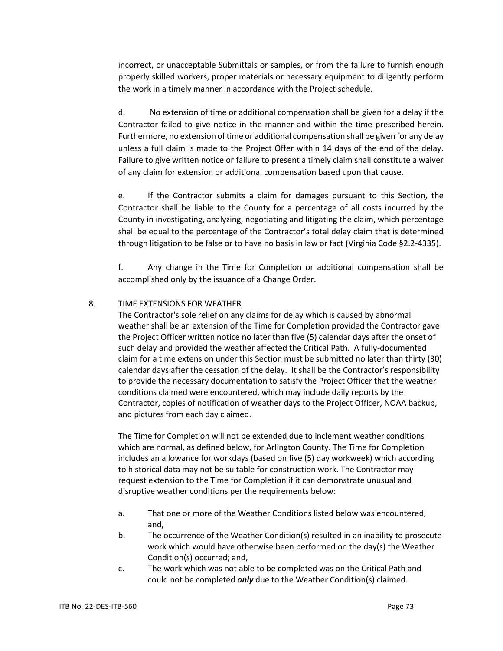incorrect, or unacceptable Submittals or samples, or from the failure to furnish enough properly skilled workers, proper materials or necessary equipment to diligently perform the work in a timely manner in accordance with the Project schedule.

d. No extension of time or additional compensation shall be given for a delay if the Contractor failed to give notice in the manner and within the time prescribed herein. Furthermore, no extension of time or additional compensation shall be given for any delay unless a full claim is made to the Project Offer within 14 days of the end of the delay. Failure to give written notice or failure to present a timely claim shall constitute a waiver of any claim for extension or additional compensation based upon that cause.

e. If the Contractor submits a claim for damages pursuant to this Section, the Contractor shall be liable to the County for a percentage of all costs incurred by the County in investigating, analyzing, negotiating and litigating the claim, which percentage shall be equal to the percentage of the Contractor's total delay claim that is determined through litigation to be false or to have no basis in law or fact (Virginia Code §2.2-4335).

f. Any change in the Time for Completion or additional compensation shall be accomplished only by the issuance of a Change Order.

# 8. TIME EXTENSIONS FOR WEATHER

The Contractor's sole relief on any claims for delay which is caused by abnormal weather shall be an extension of the Time for Completion provided the Contractor gave the Project Officer written notice no later than five (5) calendar days after the onset of such delay and provided the weather affected the Critical Path. A fully-documented claim for a time extension under this Section must be submitted no later than thirty (30) calendar days after the cessation of the delay. It shall be the Contractor's responsibility to provide the necessary documentation to satisfy the Project Officer that the weather conditions claimed were encountered, which may include daily reports by the Contractor, copies of notification of weather days to the Project Officer, NOAA backup, and pictures from each day claimed.

The Time for Completion will not be extended due to inclement weather conditions which are normal, as defined below, for Arlington County. The Time for Completion includes an allowance for workdays (based on five (5) day workweek) which according to historical data may not be suitable for construction work. The Contractor may request extension to the Time for Completion if it can demonstrate unusual and disruptive weather conditions per the requirements below:

- a. That one or more of the Weather Conditions listed below was encountered; and,
- b. The occurrence of the Weather Condition(s) resulted in an inability to prosecute work which would have otherwise been performed on the day(s) the Weather Condition(s) occurred; and,
- c. The work which was not able to be completed was on the Critical Path and could not be completed *only* due to the Weather Condition(s) claimed.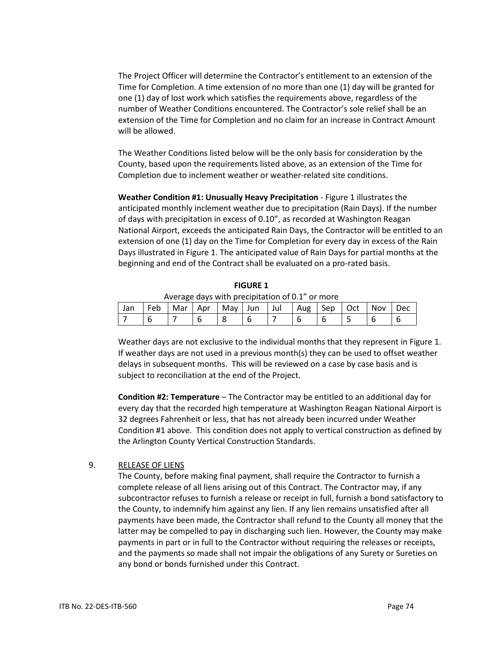The Project Officer will determine the Contractor's entitlement to an extension of the Time for Completion. A time extension of no more than one (1) day will be granted for one (1) day of lost work which satisfies the requirements above, regardless of the number of Weather Conditions encountered. The Contractor's sole relief shall be an extension of the Time for Completion and no claim for an increase in Contract Amount will be allowed.

The Weather Conditions listed below will be the only basis for consideration by the County, based upon the requirements listed above, as an extension of the Time for Completion due to inclement weather or weather-related site conditions.

**Weather Condition #1: Unusually Heavy Precipitation** - Figure 1 illustrates the anticipated monthly inclement weather due to precipitation (Rain Days). If the number of days with precipitation in excess of 0.10", as recorded at Washington Reagan National Airport, exceeds the anticipated Rain Days, the Contractor will be entitled to an extension of one (1) day on the Time for Completion for every day in excess of the Rain Days illustrated in Figure 1. The anticipated value of Rain Days for partial months at the beginning and end of the Contract shall be evaluated on a pro-rated basis.

**FIGURE 1** Average days with precipitation of 0.1" or more

|     |     |     |     |           |       | $\frac{1}{100}$ and $\frac{1}{100}$ is the production of $\frac{1}{100}$ . There |     |     |       |     |
|-----|-----|-----|-----|-----------|-------|----------------------------------------------------------------------------------|-----|-----|-------|-----|
| Jan | Feb | Mar | Apr | May   Jun | l Jul | Aug                                                                              | Sep | Oct | l Nov | Dec |
|     |     |     |     |           |       |                                                                                  |     |     |       |     |

Weather days are not exclusive to the individual months that they represent in Figure 1. If weather days are not used in a previous month(s) they can be used to offset weather delays in subsequent months. This will be reviewed on a case by case basis and is subject to reconciliation at the end of the Project.

**Condition #2: Temperature** – The Contractor may be entitled to an additional day for every day that the recorded high temperature at Washington Reagan National Airport is 32 degrees Fahrenheit or less, that has not already been incurred under Weather Condition #1 above. This condition does not apply to vertical construction as defined by the Arlington County Vertical Construction Standards.

# 9. RELEASE OF LIENS

The County, before making final payment, shall require the Contractor to furnish a complete release of all liens arising out of this Contract. The Contractor may, if any subcontractor refuses to furnish a release or receipt in full, furnish a bond satisfactory to the County, to indemnify him against any lien. If any lien remains unsatisfied after all payments have been made, the Contractor shall refund to the County all money that the latter may be compelled to pay in discharging such lien. However, the County may make payments in part or in full to the Contractor without requiring the releases or receipts, and the payments so made shall not impair the obligations of any Surety or Sureties on any bond or bonds furnished under this Contract.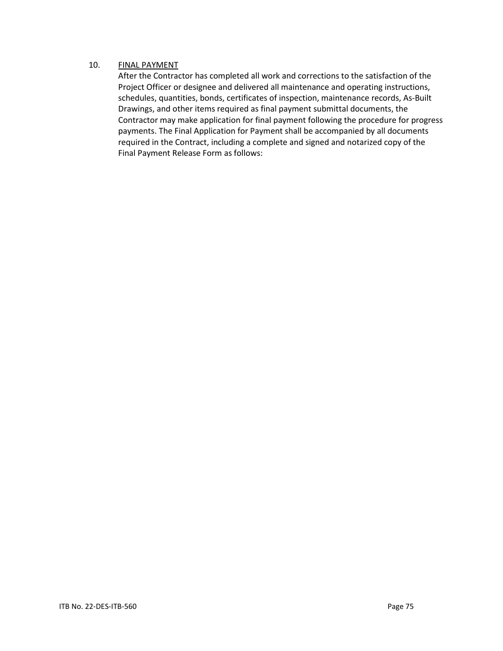# 10. FINAL PAYMENT

After the Contractor has completed all work and corrections to the satisfaction of the Project Officer or designee and delivered all maintenance and operating instructions, schedules, quantities, bonds, certificates of inspection, maintenance records, As-Built Drawings, and other items required as final payment submittal documents, the Contractor may make application for final payment following the procedure for progress payments. The Final Application for Payment shall be accompanied by all documents required in the Contract, including a complete and signed and notarized copy of the Final Payment Release Form as follows: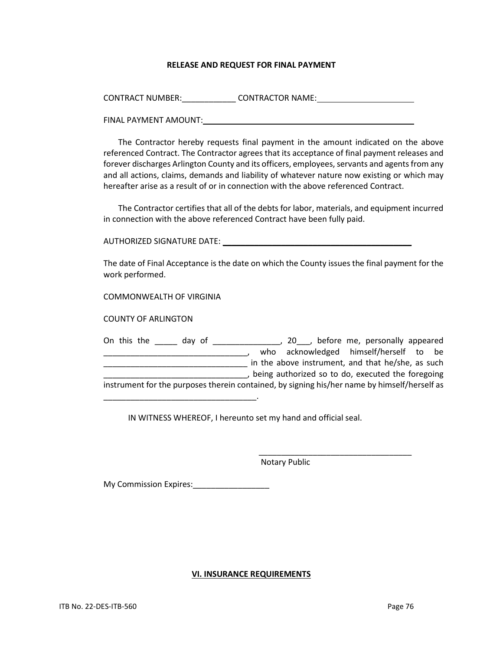### **RELEASE AND REQUEST FOR FINAL PAYMENT**

| <b>CONTRACT NUMBER:</b> | <b>CONTRACTOR NAME:</b> |  |
|-------------------------|-------------------------|--|
|                         |                         |  |

FINAL PAYMENT AMOUNT: **WAS ARRIVED AND THE PAYMENT** 

The Contractor hereby requests final payment in the amount indicated on the above referenced Contract. The Contractor agrees that its acceptance of final payment releases and forever discharges Arlington County and its officers, employees, servants and agents from any and all actions, claims, demands and liability of whatever nature now existing or which may hereafter arise as a result of or in connection with the above referenced Contract.

The Contractor certifies that all of the debts for labor, materials, and equipment incurred in connection with the above referenced Contract have been fully paid.

AUTHORIZED SIGNATURE DATE: \_\_\_\_\_\_\_\_\_\_\_\_\_\_\_\_\_\_\_\_\_\_\_\_\_\_\_\_\_\_\_\_\_\_\_\_\_\_\_\_\_\_

The date of Final Acceptance is the date on which the County issues the final payment for the work performed.

COMMONWEALTH OF VIRGINIA

COUNTY OF ARLINGTON

On this the \_\_\_\_\_ day of \_\_\_\_\_\_\_\_\_\_\_\_\_\_\_, 20\_\_\_, before me, personally appeared \_\_\_\_\_\_\_\_\_\_\_\_\_\_\_\_\_\_\_\_\_\_\_\_\_\_\_\_\_\_\_\_, who acknowledged himself/herself to be \_\_\_\_\_\_\_\_\_\_\_\_\_\_\_\_\_\_\_\_\_\_\_\_\_\_\_\_\_\_\_\_ in the above instrument, and that he/she, as such \_\_\_\_\_\_\_\_\_\_\_\_\_\_\_\_\_\_\_\_\_\_\_\_\_\_\_\_\_\_\_\_, being authorized so to do, executed the foregoing instrument for the purposes therein contained, by signing his/her name by himself/herself as

IN WITNESS WHEREOF, I hereunto set my hand and official seal.

 $\overline{\phantom{a}}$  ,  $\overline{\phantom{a}}$  ,  $\overline{\phantom{a}}$  ,  $\overline{\phantom{a}}$  ,  $\overline{\phantom{a}}$  ,  $\overline{\phantom{a}}$  ,  $\overline{\phantom{a}}$  ,  $\overline{\phantom{a}}$  ,  $\overline{\phantom{a}}$  ,  $\overline{\phantom{a}}$  ,  $\overline{\phantom{a}}$  ,  $\overline{\phantom{a}}$  ,  $\overline{\phantom{a}}$  ,  $\overline{\phantom{a}}$  ,  $\overline{\phantom{a}}$  ,  $\overline{\phantom{a}}$ 

Notary Public

My Commission Expires: 2008

\_\_\_\_\_\_\_\_\_\_\_\_\_\_\_\_\_\_\_\_\_\_\_\_\_\_\_\_\_\_\_\_\_\_.

### **VI. INSURANCE REQUIREMENTS**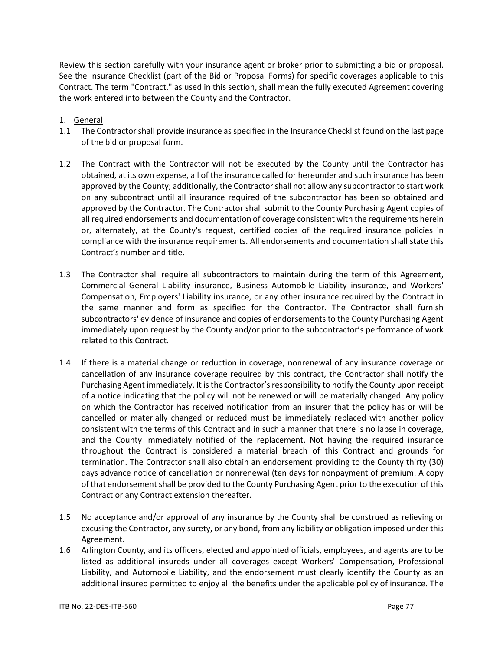Review this section carefully with your insurance agent or broker prior to submitting a bid or proposal. See the Insurance Checklist (part of the Bid or Proposal Forms) for specific coverages applicable to this Contract. The term "Contract," as used in this section, shall mean the fully executed Agreement covering the work entered into between the County and the Contractor.

# 1. General

- 1.1 The Contractor shall provide insurance as specified in the Insurance Checklist found on the last page of the bid or proposal form.
- 1.2 The Contract with the Contractor will not be executed by the County until the Contractor has obtained, at its own expense, all of the insurance called for hereunder and such insurance has been approved by the County; additionally, the Contractor shall not allow any subcontractor to start work on any subcontract until all insurance required of the subcontractor has been so obtained and approved by the Contractor. The Contractor shall submit to the County Purchasing Agent copies of all required endorsements and documentation of coverage consistent with the requirements herein or, alternately, at the County's request, certified copies of the required insurance policies in compliance with the insurance requirements. All endorsements and documentation shall state this Contract's number and title.
- 1.3 The Contractor shall require all subcontractors to maintain during the term of this Agreement, Commercial General Liability insurance, Business Automobile Liability insurance, and Workers' Compensation, Employers' Liability insurance, or any other insurance required by the Contract in the same manner and form as specified for the Contractor. The Contractor shall furnish subcontractors' evidence of insurance and copies of endorsements to the County Purchasing Agent immediately upon request by the County and/or prior to the subcontractor's performance of work related to this Contract.
- 1.4 If there is a material change or reduction in coverage, nonrenewal of any insurance coverage or cancellation of any insurance coverage required by this contract, the Contractor shall notify the Purchasing Agent immediately. It is the Contractor's responsibility to notify the County upon receipt of a notice indicating that the policy will not be renewed or will be materially changed. Any policy on which the Contractor has received notification from an insurer that the policy has or will be cancelled or materially changed or reduced must be immediately replaced with another policy consistent with the terms of this Contract and in such a manner that there is no lapse in coverage, and the County immediately notified of the replacement. Not having the required insurance throughout the Contract is considered a material breach of this Contract and grounds for termination. The Contractor shall also obtain an endorsement providing to the County thirty (30) days advance notice of cancellation or nonrenewal (ten days for nonpayment of premium. A copy of that endorsement shall be provided to the County Purchasing Agent prior to the execution of this Contract or any Contract extension thereafter.
- 1.5 No acceptance and/or approval of any insurance by the County shall be construed as relieving or excusing the Contractor, any surety, or any bond, from any liability or obligation imposed under this Agreement.
- 1.6 Arlington County, and its officers, elected and appointed officials, employees, and agents are to be listed as additional insureds under all coverages except Workers' Compensation, Professional Liability, and Automobile Liability, and the endorsement must clearly identify the County as an additional insured permitted to enjoy all the benefits under the applicable policy of insurance. The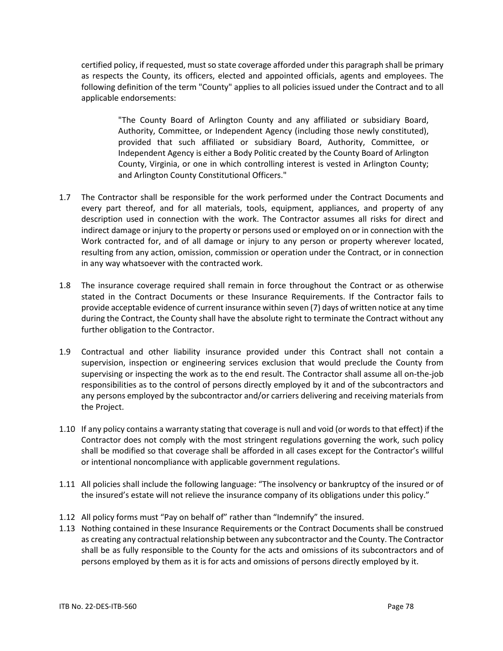certified policy, if requested, must so state coverage afforded under this paragraph shall be primary as respects the County, its officers, elected and appointed officials, agents and employees. The following definition of the term "County" applies to all policies issued under the Contract and to all applicable endorsements:

> "The County Board of Arlington County and any affiliated or subsidiary Board, Authority, Committee, or Independent Agency (including those newly constituted), provided that such affiliated or subsidiary Board, Authority, Committee, or Independent Agency is either a Body Politic created by the County Board of Arlington County, Virginia, or one in which controlling interest is vested in Arlington County; and Arlington County Constitutional Officers."

- 1.7 The Contractor shall be responsible for the work performed under the Contract Documents and every part thereof, and for all materials, tools, equipment, appliances, and property of any description used in connection with the work. The Contractor assumes all risks for direct and indirect damage or injury to the property or persons used or employed on or in connection with the Work contracted for, and of all damage or injury to any person or property wherever located, resulting from any action, omission, commission or operation under the Contract, or in connection in any way whatsoever with the contracted work.
- 1.8 The insurance coverage required shall remain in force throughout the Contract or as otherwise stated in the Contract Documents or these Insurance Requirements. If the Contractor fails to provide acceptable evidence of current insurance within seven (7) days of written notice at any time during the Contract, the County shall have the absolute right to terminate the Contract without any further obligation to the Contractor.
- 1.9 Contractual and other liability insurance provided under this Contract shall not contain a supervision, inspection or engineering services exclusion that would preclude the County from supervising or inspecting the work as to the end result. The Contractor shall assume all on-the-job responsibilities as to the control of persons directly employed by it and of the subcontractors and any persons employed by the subcontractor and/or carriers delivering and receiving materials from the Project.
- 1.10 If any policy contains a warranty stating that coverage is null and void (or words to that effect) if the Contractor does not comply with the most stringent regulations governing the work, such policy shall be modified so that coverage shall be afforded in all cases except for the Contractor's willful or intentional noncompliance with applicable government regulations.
- 1.11 All policies shall include the following language: "The insolvency or bankruptcy of the insured or of the insured's estate will not relieve the insurance company of its obligations under this policy."
- 1.12 All policy forms must "Pay on behalf of" rather than "Indemnify" the insured.
- 1.13 Nothing contained in these Insurance Requirements or the Contract Documents shall be construed as creating any contractual relationship between any subcontractor and the County. The Contractor shall be as fully responsible to the County for the acts and omissions of its subcontractors and of persons employed by them as it is for acts and omissions of persons directly employed by it.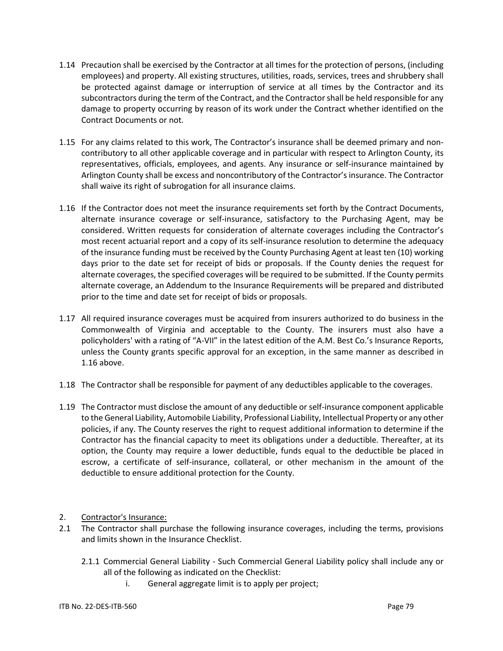- 1.14 Precaution shall be exercised by the Contractor at all times for the protection of persons, (including employees) and property. All existing structures, utilities, roads, services, trees and shrubbery shall be protected against damage or interruption of service at all times by the Contractor and its subcontractors during the term of the Contract, and the Contractor shall be held responsible for any damage to property occurring by reason of its work under the Contract whether identified on the Contract Documents or not.
- 1.15 For any claims related to this work, The Contractor's insurance shall be deemed primary and noncontributory to all other applicable coverage and in particular with respect to Arlington County, its representatives, officials, employees, and agents. Any insurance or self-insurance maintained by Arlington County shall be excess and noncontributory of the Contractor's insurance. The Contractor shall waive its right of subrogation for all insurance claims.
- 1.16 If the Contractor does not meet the insurance requirements set forth by the Contract Documents, alternate insurance coverage or self-insurance, satisfactory to the Purchasing Agent, may be considered. Written requests for consideration of alternate coverages including the Contractor's most recent actuarial report and a copy of its self-insurance resolution to determine the adequacy of the insurance funding must be received by the County Purchasing Agent at least ten (10) working days prior to the date set for receipt of bids or proposals. If the County denies the request for alternate coverages, the specified coverages will be required to be submitted. If the County permits alternate coverage, an Addendum to the Insurance Requirements will be prepared and distributed prior to the time and date set for receipt of bids or proposals.
- 1.17 All required insurance coverages must be acquired from insurers authorized to do business in the Commonwealth of Virginia and acceptable to the County. The insurers must also have a policyholders' with a rating of "A-VII" in the latest edition of the A.M. Best Co.'s Insurance Reports, unless the County grants specific approval for an exception, in the same manner as described in 1.16 above.
- 1.18 The Contractor shall be responsible for payment of any deductibles applicable to the coverages.
- 1.19 The Contractor must disclose the amount of any deductible or self-insurance component applicable to the General Liability, Automobile Liability, Professional Liability, Intellectual Property or any other policies, if any. The County reserves the right to request additional information to determine if the Contractor has the financial capacity to meet its obligations under a deductible. Thereafter, at its option, the County may require a lower deductible, funds equal to the deductible be placed in escrow, a certificate of self-insurance, collateral, or other mechanism in the amount of the deductible to ensure additional protection for the County.
- 2. Contractor's Insurance:
- 2.1 The Contractor shall purchase the following insurance coverages, including the terms, provisions and limits shown in the Insurance Checklist.
	- 2.1.1 Commercial General Liability Such Commercial General Liability policy shall include any or all of the following as indicated on the Checklist:
		- i. General aggregate limit is to apply per project;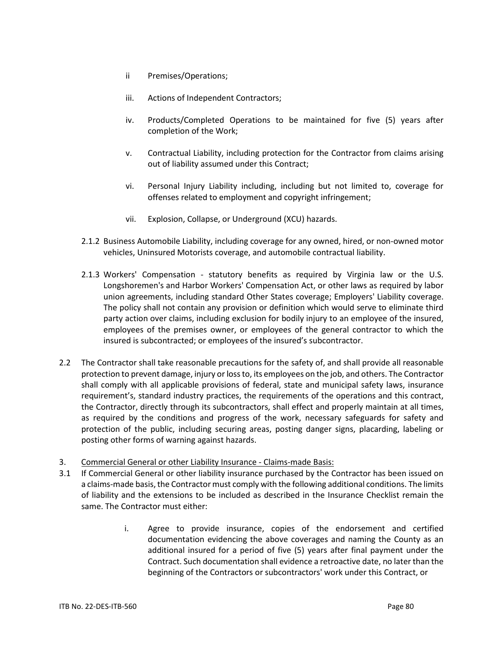- ii Premises/Operations;
- iii. Actions of Independent Contractors;
- iv. Products/Completed Operations to be maintained for five (5) years after completion of the Work;
- v. Contractual Liability, including protection for the Contractor from claims arising out of liability assumed under this Contract;
- vi. Personal Injury Liability including, including but not limited to, coverage for offenses related to employment and copyright infringement;
- vii. Explosion, Collapse, or Underground (XCU) hazards.
- 2.1.2 Business Automobile Liability, including coverage for any owned, hired, or non-owned motor vehicles, Uninsured Motorists coverage, and automobile contractual liability.
- 2.1.3 Workers' Compensation statutory benefits as required by Virginia law or the U.S. Longshoremen's and Harbor Workers' Compensation Act, or other laws as required by labor union agreements, including standard Other States coverage; Employers' Liability coverage. The policy shall not contain any provision or definition which would serve to eliminate third party action over claims, including exclusion for bodily injury to an employee of the insured, employees of the premises owner, or employees of the general contractor to which the insured is subcontracted; or employees of the insured's subcontractor.
- 2.2 The Contractor shall take reasonable precautions for the safety of, and shall provide all reasonable protection to prevent damage, injury or loss to, its employees on the job, and others. The Contractor shall comply with all applicable provisions of federal, state and municipal safety laws, insurance requirement's, standard industry practices, the requirements of the operations and this contract, the Contractor, directly through its subcontractors, shall effect and properly maintain at all times, as required by the conditions and progress of the work, necessary safeguards for safety and protection of the public, including securing areas, posting danger signs, placarding, labeling or posting other forms of warning against hazards.
- 3. Commercial General or other Liability Insurance Claims-made Basis:
- 3.1 If Commercial General or other liability insurance purchased by the Contractor has been issued on a claims-made basis, the Contractor must comply with the following additional conditions. The limits of liability and the extensions to be included as described in the Insurance Checklist remain the same. The Contractor must either:
	- i. Agree to provide insurance, copies of the endorsement and certified documentation evidencing the above coverages and naming the County as an additional insured for a period of five (5) years after final payment under the Contract. Such documentation shall evidence a retroactive date, no later than the beginning of the Contractors or subcontractors' work under this Contract, or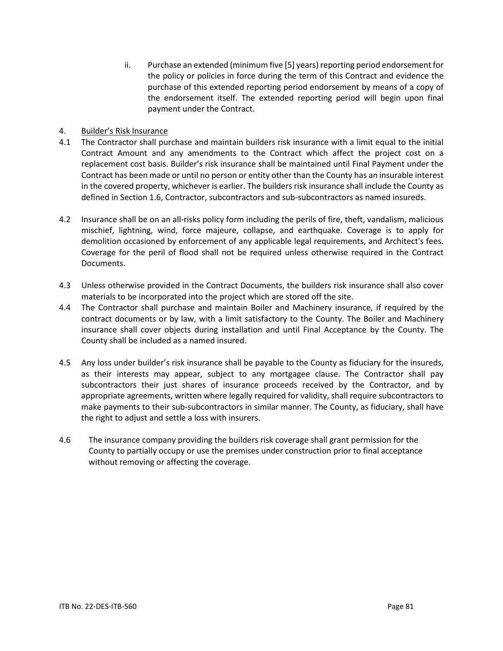ii. Purchase an extended (minimum five [5] years) reporting period endorsement for the policy or policies in force during the term of this Contract and evidence the purchase of this extended reporting period endorsement by means of a copy of the endorsement itself. The extended reporting period will begin upon final payment under the Contract.

# 4. Builder's Risk Insurance

- 4.1 The Contractor shall purchase and maintain builders risk insurance with a limit equal to the initial Contract Amount and any amendments to the Contract which affect the project cost on a replacement cost basis. Builder's risk insurance shall be maintained until Final Payment under the Contract has been made or until no person or entity other than the County has an insurable interest in the covered property, whichever is earlier. The builders risk insurance shall include the County as defined in Section 1.6, Contractor, subcontractors and sub-subcontractors as named insureds.
- 4.2 Insurance shall be on an all-risks policy form including the perils of fire, theft, vandalism, malicious mischief, lightning, wind, force majeure, collapse, and earthquake. Coverage is to apply for demolition occasioned by enforcement of any applicable legal requirements, and Architect's fees. Coverage for the peril of flood shall not be required unless otherwise required in the Contract Documents.
- 4.3 Unless otherwise provided in the Contract Documents, the builders risk insurance shall also cover materials to be incorporated into the project which are stored off the site.
- 4.4 The Contractor shall purchase and maintain Boiler and Machinery insurance, if required by the contract documents or by law, with a limit satisfactory to the County. The Boiler and Machinery insurance shall cover objects during installation and until Final Acceptance by the County. The County shall be included as a named insured.
- 4.5 Any loss under builder's risk insurance shall be payable to the County as fiduciary for the insureds, as their interests may appear, subject to any mortgagee clause. The Contractor shall pay subcontractors their just shares of insurance proceeds received by the Contractor, and by appropriate agreements, written where legally required for validity, shall require subcontractors to make payments to their sub-subcontractors in similar manner. The County, as fiduciary, shall have the right to adjust and settle a loss with insurers.
- 4.6 The insurance company providing the builders risk coverage shall grant permission for the County to partially occupy or use the premises under construction prior to final acceptance without removing or affecting the coverage.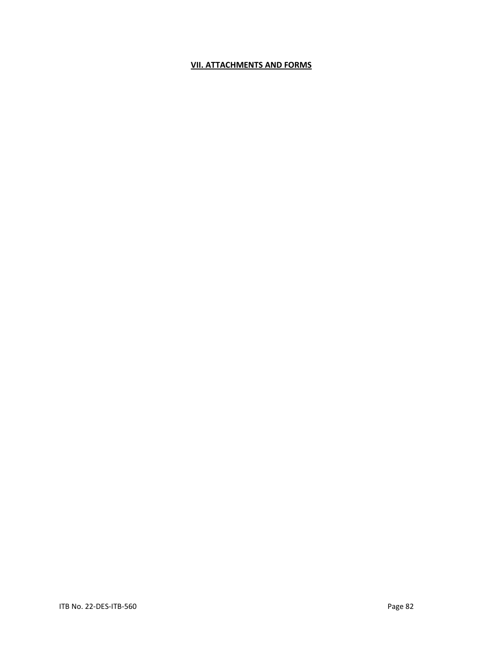# **VII. ATTACHMENTS AND FORMS**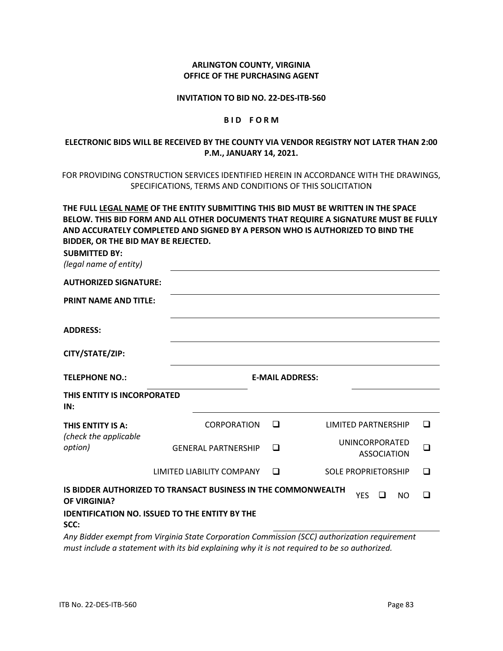### **ARLINGTON COUNTY, VIRGINIA OFFICE OF THE PURCHASING AGENT**

#### **INVITATION TO BID NO. 22-DES-ITB-560**

#### **B I D F O R M**

# **ELECTRONIC BIDS WILL BE RECEIVED BY THE COUNTY VIA VENDOR REGISTRY NOT LATER THAN 2:00 P.M., JANUARY 14, 2021.**

# FOR PROVIDING CONSTRUCTION SERVICES IDENTIFIED HEREIN IN ACCORDANCE WITH THE DRAWINGS, SPECIFICATIONS, TERMS AND CONDITIONS OF THIS SOLICITATION

# **THE FULL LEGAL NAME OF THE ENTITY SUBMITTING THIS BID MUST BE WRITTEN IN THE SPACE BELOW. THIS BID FORM AND ALL OTHER DOCUMENTS THAT REQUIRE A SIGNATURE MUST BE FULLY AND ACCURATELY COMPLETED AND SIGNED BY A PERSON WHO IS AUTHORIZED TO BIND THE BIDDER, OR THE BID MAY BE REJECTED.**

**SUBMITTED BY:** 

*(legal name of entity)*

| $\mu$ cyan namic oj chartyj        |                                                                      |        |                                             |   |
|------------------------------------|----------------------------------------------------------------------|--------|---------------------------------------------|---|
| <b>AUTHORIZED SIGNATURE:</b>       |                                                                      |        |                                             |   |
| <b>PRINT NAME AND TITLE:</b>       |                                                                      |        |                                             |   |
| <b>ADDRESS:</b>                    |                                                                      |        |                                             |   |
| CITY/STATE/ZIP:                    |                                                                      |        |                                             |   |
| <b>TELEPHONE NO.:</b>              |                                                                      |        | <b>E-MAIL ADDRESS:</b>                      |   |
| THIS ENTITY IS INCORPORATED<br>IN: |                                                                      |        |                                             |   |
| THIS ENTITY IS A:                  | CORPORATION                                                          | $\Box$ | <b>LIMITED PARTNERSHIP</b>                  | □ |
| (check the applicable<br>option)   | <b>GENERAL PARTNERSHIP</b>                                           | $\Box$ | <b>UNINCORPORATED</b><br><b>ASSOCIATION</b> | ◻ |
|                                    | LIMITED LIABILITY COMPANY                                            | $\Box$ | <b>SOLE PROPRIETORSHIP</b>                  | ◻ |
| <b>OF VIRGINIA?</b>                | <b>IS BIDDER AUTHORIZED TO TRANSACT BUSINESS IN THE COMMONWEALTH</b> |        | <b>YES</b><br><b>□</b><br><b>NO</b>         | □ |
| SCC:                               | <b>IDENTIFICATION NO. ISSUED TO THE ENTITY BY THE</b>                |        |                                             |   |

*Any Bidder exempt from Virginia State Corporation Commission (SCC) authorization requirement must include a statement with its bid explaining why it is not required to be so authorized.*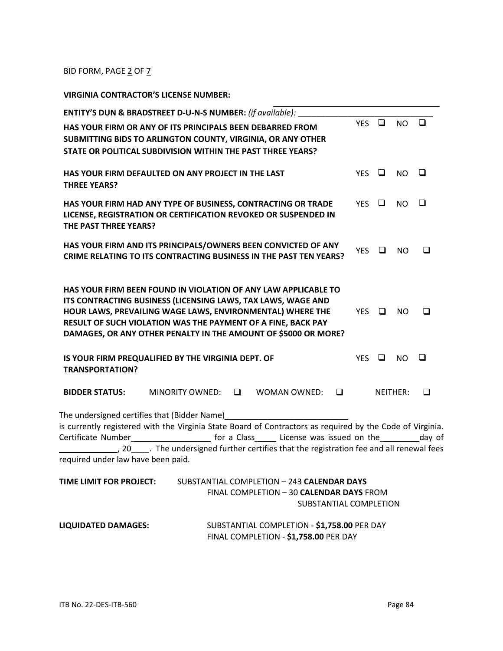BID FORM, PAGE 2 OF 7

**VIRGINIA CONTRACTOR'S LICENSE NUMBER:**

|                                    | ENTITY'S DUN & BRADSTREET D-U-N-S NUMBER: (if available):                                                                 |   |                                             |   |            |        |                 |        |
|------------------------------------|---------------------------------------------------------------------------------------------------------------------------|---|---------------------------------------------|---|------------|--------|-----------------|--------|
|                                    |                                                                                                                           |   |                                             |   | <b>YES</b> | $\Box$ | NO.             | $\Box$ |
|                                    | HAS YOUR FIRM OR ANY OF ITS PRINCIPALS BEEN DEBARRED FROM<br>SUBMITTING BIDS TO ARLINGTON COUNTY, VIRGINIA, OR ANY OTHER  |   |                                             |   |            |        |                 |        |
|                                    | STATE OR POLITICAL SUBDIVISION WITHIN THE PAST THREE YEARS?                                                               |   |                                             |   |            |        |                 |        |
|                                    |                                                                                                                           |   |                                             |   |            |        |                 |        |
|                                    | HAS YOUR FIRM DEFAULTED ON ANY PROJECT IN THE LAST                                                                        |   |                                             |   | YES        | $\Box$ | NO.             | $\Box$ |
| <b>THREE YEARS?</b>                |                                                                                                                           |   |                                             |   |            |        |                 |        |
|                                    | HAS YOUR FIRM HAD ANY TYPE OF BUSINESS, CONTRACTING OR TRADE                                                              |   |                                             |   | YES $\Box$ |        | NO.             | ❏      |
|                                    | LICENSE, REGISTRATION OR CERTIFICATION REVOKED OR SUSPENDED IN                                                            |   |                                             |   |            |        |                 |        |
| THE PAST THREE YEARS?              |                                                                                                                           |   |                                             |   |            |        |                 |        |
|                                    | HAS YOUR FIRM AND ITS PRINCIPALS/OWNERS BEEN CONVICTED OF ANY                                                             |   |                                             |   |            |        |                 |        |
|                                    | CRIME RELATING TO ITS CONTRACTING BUSINESS IN THE PAST TEN YEARS?                                                         |   |                                             |   | <b>YES</b> | □      | NO.             | □      |
|                                    |                                                                                                                           |   |                                             |   |            |        |                 |        |
|                                    |                                                                                                                           |   |                                             |   |            |        |                 |        |
|                                    | HAS YOUR FIRM BEEN FOUND IN VIOLATION OF ANY LAW APPLICABLE TO                                                            |   |                                             |   |            |        |                 |        |
|                                    | ITS CONTRACTING BUSINESS (LICENSING LAWS, TAX LAWS, WAGE AND<br>HOUR LAWS, PREVAILING WAGE LAWS, ENVIRONMENTAL) WHERE THE |   |                                             |   | <b>YES</b> | □      | N <sub>O</sub>  | ◻      |
|                                    | RESULT OF SUCH VIOLATION WAS THE PAYMENT OF A FINE, BACK PAY                                                              |   |                                             |   |            |        |                 |        |
|                                    | DAMAGES, OR ANY OTHER PENALTY IN THE AMOUNT OF \$5000 OR MORE?                                                            |   |                                             |   |            |        |                 |        |
|                                    |                                                                                                                           |   |                                             |   |            |        |                 |        |
|                                    | IS YOUR FIRM PREQUALIFIED BY THE VIRGINIA DEPT. OF                                                                        |   |                                             |   | <b>YES</b> | $\Box$ | NO              | $\Box$ |
| <b>TRANSPORTATION?</b>             |                                                                                                                           |   |                                             |   |            |        |                 |        |
| <b>BIDDER STATUS:</b>              | <b>MINORITY OWNED:</b>                                                                                                    | □ | WOMAN OWNED:                                | □ |            |        | <b>NEITHER:</b> | □      |
|                                    |                                                                                                                           |   |                                             |   |            |        |                 |        |
|                                    | The undersigned certifies that (Bidder Name)                                                                              |   |                                             |   |            |        |                 |        |
|                                    | is currently registered with the Virginia State Board of Contractors as required by the Code of Virginia.                 |   |                                             |   |            |        |                 |        |
|                                    | Certificate Number_________________________ for a Class_______ License was issued on the___________day of                 |   |                                             |   |            |        |                 |        |
| required under law have been paid. |                                                                                                                           |   |                                             |   |            |        |                 |        |
|                                    |                                                                                                                           |   |                                             |   |            |        |                 |        |
| TIME LIMIT FOR PROJECT:            |                                                                                                                           |   | SUBSTANTIAL COMPLETION - 243 CALENDAR DAYS  |   |            |        |                 |        |
|                                    |                                                                                                                           |   | FINAL COMPLETION - 30 CALENDAR DAYS FROM    |   |            |        |                 |        |
|                                    |                                                                                                                           |   | SUBSTANTIAL COMPLETION                      |   |            |        |                 |        |
| <b>LIQUIDATED DAMAGES:</b>         |                                                                                                                           |   | SUBSTANTIAL COMPLETION - \$1,758.00 PER DAY |   |            |        |                 |        |
|                                    |                                                                                                                           |   |                                             |   |            |        |                 |        |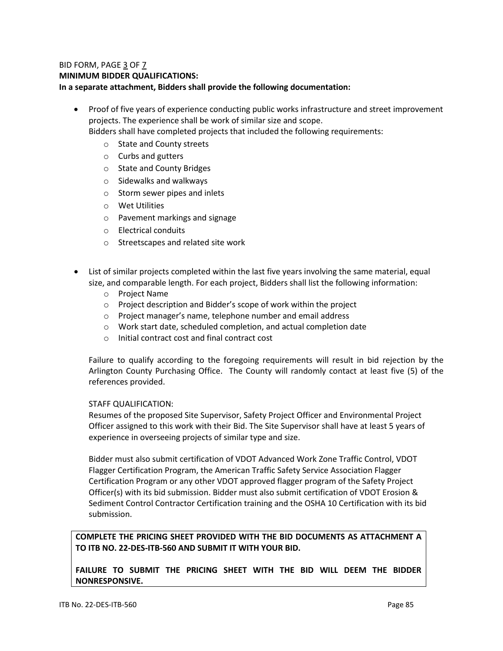# BID FORM, PAGE 3 OF 7 **MINIMUM BIDDER QUALIFICATIONS: In a separate attachment, Bidders shall provide the following documentation:**

• Proof of five years of experience conducting public works infrastructure and street improvement projects. The experience shall be work of similar size and scope.

Bidders shall have completed projects that included the following requirements:

- o State and County streets
- o Curbs and gutters
- o State and County Bridges
- o Sidewalks and walkways
- o Storm sewer pipes and inlets
- o Wet Utilities
- o Pavement markings and signage
- o Electrical conduits
- o Streetscapes and related site work
- List of similar projects completed within the last five years involving the same material, equal size, and comparable length. For each project, Bidders shall list the following information:
	- o Project Name
	- o Project description and Bidder's scope of work within the project
	- o Project manager's name, telephone number and email address
	- o Work start date, scheduled completion, and actual completion date
	- o Initial contract cost and final contract cost

Failure to qualify according to the foregoing requirements will result in bid rejection by the Arlington County Purchasing Office. The County will randomly contact at least five (5) of the references provided.

# STAFF QUALIFICATION:

Resumes of the proposed Site Supervisor, Safety Project Officer and Environmental Project Officer assigned to this work with their Bid. The Site Supervisor shall have at least 5 years of experience in overseeing projects of similar type and size.

Bidder must also submit certification of VDOT Advanced Work Zone Traffic Control, VDOT Flagger Certification Program, the American Traffic Safety Service Association Flagger Certification Program or any other VDOT approved flagger program of the Safety Project Officer(s) with its bid submission. Bidder must also submit certification of VDOT Erosion & Sediment Control Contractor Certification training and the OSHA 10 Certification with its bid submission.

# **COMPLETE THE PRICING SHEET PROVIDED WITH THE BID DOCUMENTS AS ATTACHMENT A TO ITB NO. 22-DES-ITB-560 AND SUBMIT IT WITH YOUR BID.**

**FAILURE TO SUBMIT THE PRICING SHEET WITH THE BID WILL DEEM THE BIDDER NONRESPONSIVE.**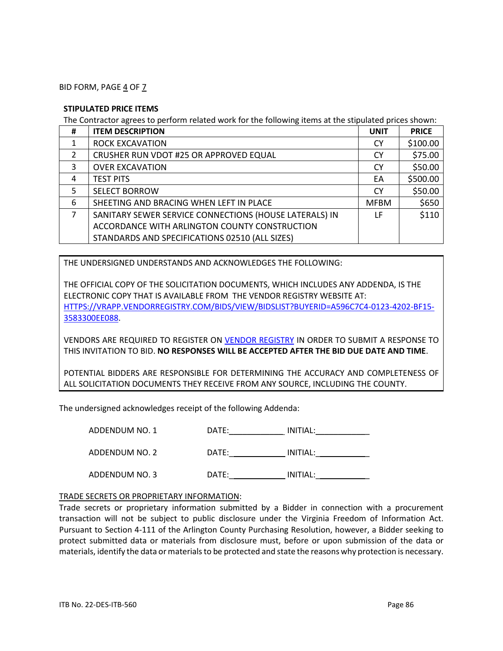BID FORM, PAGE 4 OF 7

### **STIPULATED PRICE ITEMS**

The Contractor agrees to perform related work for the following items at the stipulated prices shown:

| #              | <b>ITEM DESCRIPTION</b>                                | <b>UNIT</b> | <b>PRICE</b> |
|----------------|--------------------------------------------------------|-------------|--------------|
|                | <b>ROCK EXCAVATION</b>                                 | <b>CY</b>   | \$100.00     |
| 2              | CRUSHER RUN VDOT #25 OR APPROVED EQUAL                 | <b>CY</b>   | \$75.00      |
| 3              | <b>OVER EXCAVATION</b>                                 | <b>CY</b>   | \$50.00      |
| 4              | <b>TEST PITS</b>                                       | EA          | \$500.00     |
| 5              | <b>SELECT BORROW</b>                                   | <b>CY</b>   | \$50.00      |
| 6              | SHEETING AND BRACING WHEN LEFT IN PLACE                | <b>MFBM</b> | \$650        |
| $\overline{7}$ | SANITARY SEWER SERVICE CONNECTIONS (HOUSE LATERALS) IN | LF          | \$110        |
|                | ACCORDANCE WITH ARLINGTON COUNTY CONSTRUCTION          |             |              |
|                | STANDARDS AND SPECIFICATIONS 02510 (ALL SIZES)         |             |              |

THE UNDERSIGNED UNDERSTANDS AND ACKNOWLEDGES THE FOLLOWING:

THE OFFICIAL COPY OF THE SOLICITATION DOCUMENTS, WHICH INCLUDES ANY ADDENDA, IS THE ELECTRONIC COPY THAT IS AVAILABLE FROM THE VENDOR REGISTRY WEBSITE AT: [HTTPS://VRAPP.VENDORREGISTRY.COM/BIDS/VIEW/BIDSLIST?BUYERID=A596C7C4-0123-4202-BF15-](https://vrapp.vendorregistry.com/Bids/View/BidsList?BuyerId=a596c7c4-0123-4202-bf15-3583300ee088) [3583300EE088.](https://vrapp.vendorregistry.com/Bids/View/BidsList?BuyerId=a596c7c4-0123-4202-bf15-3583300ee088)

VENDORS ARE REQUIRED TO REGISTER ON [VENDOR REGISTRY](https://vrapp.vendorregistry.com/Vendor/Register/Index/arlington-county-government-va-vendor-registration) IN ORDER TO SUBMIT A RESPONSE TO THIS INVITATION TO BID. **NO RESPONSES WILL BE ACCEPTED AFTER THE BID DUE DATE AND TIME**.

POTENTIAL BIDDERS ARE RESPONSIBLE FOR DETERMINING THE ACCURACY AND COMPLETENESS OF ALL SOLICITATION DOCUMENTS THEY RECEIVE FROM ANY SOURCE, INCLUDING THE COUNTY.

The undersigned acknowledges receipt of the following Addenda:

| ADDENDUM NO. 1 | DATE: | INITIAL: |
|----------------|-------|----------|
| ADDENDUM NO. 2 | DATE: | INITIAL: |
| ADDENDUM NO. 3 | DATE: | INITIAL: |

### TRADE SECRETS OR PROPRIETARY INFORMATION:

Trade secrets or proprietary information submitted by a Bidder in connection with a procurement transaction will not be subject to public disclosure under the Virginia Freedom of Information Act. Pursuant to Section 4-111 of the Arlington County Purchasing Resolution, however, a Bidder seeking to protect submitted data or materials from disclosure must, before or upon submission of the data or materials, identify the data or materials to be protected and state the reasons why protection is necessary.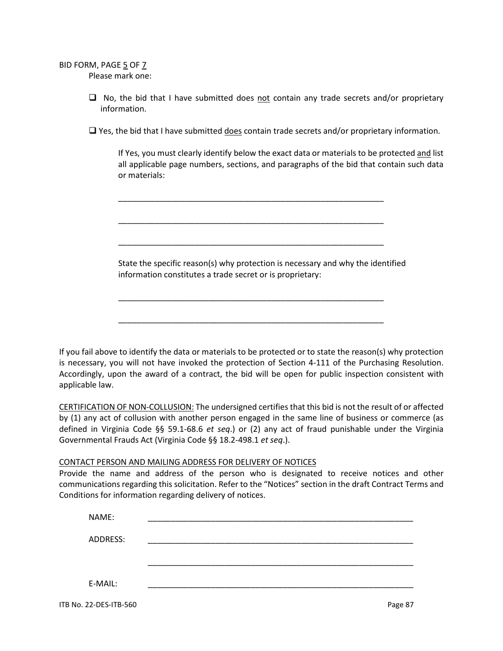BID FORM, PAGE 5 OF 7 Please mark one:

> $\Box$  No, the bid that I have submitted does not contain any trade secrets and/or proprietary information.

> $\Box$  Yes, the bid that I have submitted does contain trade secrets and/or proprietary information.

If Yes, you must clearly identify below the exact data or materials to be protected and list all applicable page numbers, sections, and paragraphs of the bid that contain such data or materials:

State the specific reason(s) why protection is necessary and why the identified information constitutes a trade secret or is proprietary:

\_\_\_\_\_\_\_\_\_\_\_\_\_\_\_\_\_\_\_\_\_\_\_\_\_\_\_\_\_\_\_\_\_\_\_\_\_\_\_\_\_\_\_\_\_\_\_\_\_\_\_\_\_\_\_\_\_\_\_

\_\_\_\_\_\_\_\_\_\_\_\_\_\_\_\_\_\_\_\_\_\_\_\_\_\_\_\_\_\_\_\_\_\_\_\_\_\_\_\_\_\_\_\_\_\_\_\_\_\_\_\_\_\_\_\_\_\_\_

\_\_\_\_\_\_\_\_\_\_\_\_\_\_\_\_\_\_\_\_\_\_\_\_\_\_\_\_\_\_\_\_\_\_\_\_\_\_\_\_\_\_\_\_\_\_\_\_\_\_\_\_\_\_\_\_\_\_\_

\_\_\_\_\_\_\_\_\_\_\_\_\_\_\_\_\_\_\_\_\_\_\_\_\_\_\_\_\_\_\_\_\_\_\_\_\_\_\_\_\_\_\_\_\_\_\_\_\_\_\_\_\_\_\_\_\_\_\_

\_\_\_\_\_\_\_\_\_\_\_\_\_\_\_\_\_\_\_\_\_\_\_\_\_\_\_\_\_\_\_\_\_\_\_\_\_\_\_\_\_\_\_\_\_\_\_\_\_\_\_\_\_\_\_\_\_\_\_

If you fail above to identify the data or materials to be protected or to state the reason(s) why protection is necessary, you will not have invoked the protection of Section 4-111 of the Purchasing Resolution. Accordingly, upon the award of a contract, the bid will be open for public inspection consistent with applicable law.

CERTIFICATION OF NON-COLLUSION: The undersigned certifies that this bid is not the result of or affected by (1) any act of collusion with another person engaged in the same line of business or commerce (as defined in Virginia Code §§ 59.1-68.6 *et seq*.) or (2) any act of fraud punishable under the Virginia Governmental Frauds Act (Virginia Code §§ 18.2-498.1 *et seq*.).

# CONTACT PERSON AND MAILING ADDRESS FOR DELIVERY OF NOTICES

Provide the name and address of the person who is designated to receive notices and other communications regarding this solicitation. Refer to the "Notices" section in the draft Contract Terms and Conditions for information regarding delivery of notices.

| NAME:    |  |  |
|----------|--|--|
|          |  |  |
| ADDRESS: |  |  |
|          |  |  |
|          |  |  |
|          |  |  |
| E-MAIL:  |  |  |

ITB No. 22-DES-ITB-560 Page 87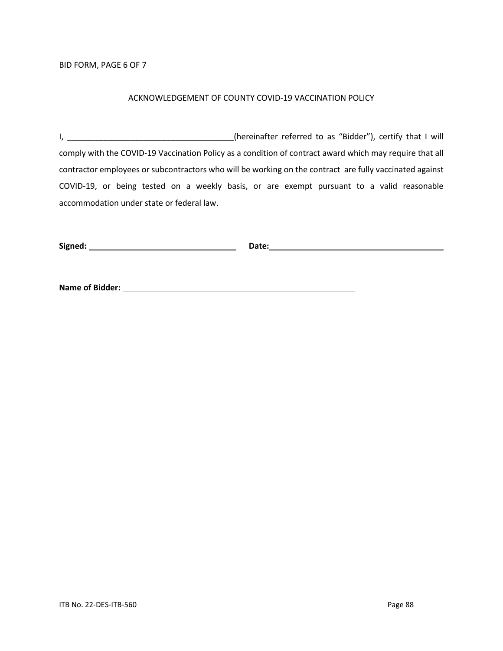### BID FORM, PAGE 6 OF 7

#### ACKNOWLEDGEMENT OF COUNTY COVID-19 VACCINATION POLICY

I, \_\_\_\_\_\_\_\_\_\_\_\_\_\_\_\_\_\_\_\_\_\_\_\_\_\_\_\_\_\_\_\_\_\_\_(hereinafter referred to as "Bidder"), certify that I will comply with the COVID-19 Vaccination Policy as a condition of contract award which may require that all contractor employees or subcontractors who will be working on the contract are fully vaccinated against COVID-19, or being tested on a weekly basis, or are exempt pursuant to a valid reasonable accommodation under state or federal law.

| Signed: | Date: |
|---------|-------|
|         |       |

**Name of Bidder:**